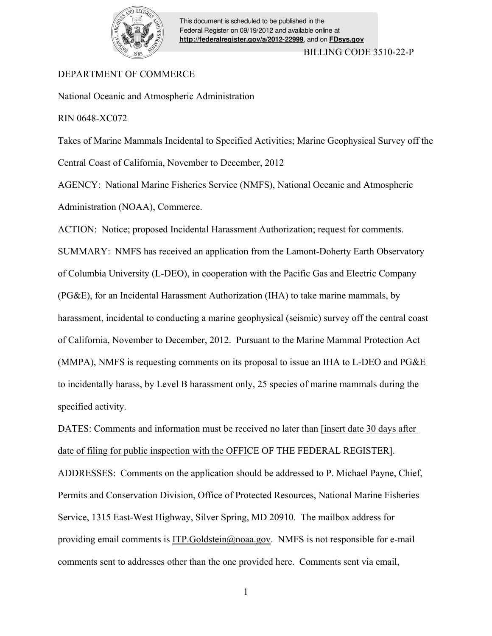

# DEPARTMENT OF COMMERCE

National Oceanic and Atmospheric Administration

RIN 0648-XC072

Takes of Marine Mammals Incidental to Specified Activities; Marine Geophysical Survey off the Central Coast of California, November to December, 2012

AGENCY: National Marine Fisheries Service (NMFS), National Oceanic and Atmospheric Administration (NOAA), Commerce.

ACTION: Notice; proposed Incidental Harassment Authorization; request for comments. SUMMARY: NMFS has received an application from the Lamont-Doherty Earth Observatory of Columbia University (L-DEO), in cooperation with the Pacific Gas and Electric Company (PG&E), for an Incidental Harassment Authorization (IHA) to take marine mammals, by harassment, incidental to conducting a marine geophysical (seismic) survey off the central coast of California, November to December, 2012. Pursuant to the Marine Mammal Protection Act (MMPA), NMFS is requesting comments on its proposal to issue an IHA to L-DEO and PG&E to incidentally harass, by Level B harassment only, 25 species of marine mammals during the specified activity.

DATES: Comments and information must be received no later than [insert date 30 days after date of filing for public inspection with the OFFICE OF THE FEDERAL REGISTER]. ADDRESSES: Comments on the application should be addressed to P. Michael Payne, Chief, Permits and Conservation Division, Office of Protected Resources, National Marine Fisheries Service, 1315 East-West Highway, Silver Spring, MD 20910. The mailbox address for providing email comments is ITP.Goldstein@noaa.gov. NMFS is not responsible for e-mail comments sent to addresses other than the one provided here. Comments sent via email,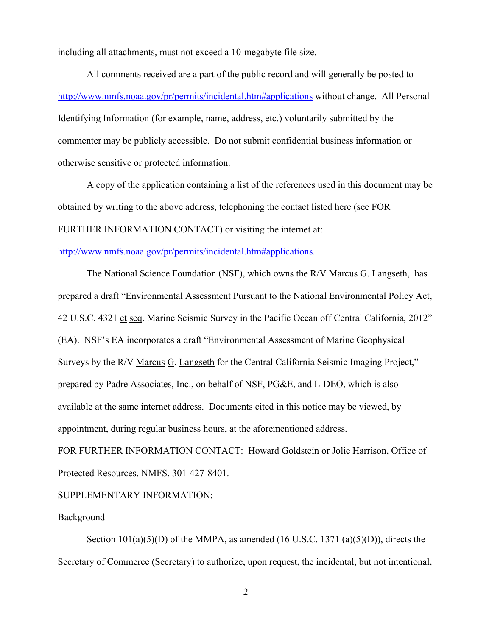including all attachments, must not exceed a 10-megabyte file size.

All comments received are a part of the public record and will generally be posted to http://www.nmfs.noaa.gov/pr/permits/incidental.htm#applications without change. All Personal Identifying Information (for example, name, address, etc.) voluntarily submitted by the commenter may be publicly accessible. Do not submit confidential business information or otherwise sensitive or protected information.

A copy of the application containing a list of the references used in this document may be obtained by writing to the above address, telephoning the contact listed here (see FOR FURTHER INFORMATION CONTACT) or visiting the internet at:

# http://www.nmfs.noaa.gov/pr/permits/incidental.htm#applications.

The National Science Foundation (NSF), which owns the R/V Marcus G. Langseth, has prepared a draft "Environmental Assessment Pursuant to the National Environmental Policy Act, 42 U.S.C. 4321 et seq. Marine Seismic Survey in the Pacific Ocean off Central California, 2012" (EA). NSF's EA incorporates a draft "Environmental Assessment of Marine Geophysical Surveys by the R/V Marcus G. Langseth for the Central California Seismic Imaging Project," prepared by Padre Associates, Inc., on behalf of NSF, PG&E, and L-DEO, which is also available at the same internet address. Documents cited in this notice may be viewed, by appointment, during regular business hours, at the aforementioned address.

FOR FURTHER INFORMATION CONTACT: Howard Goldstein or Jolie Harrison, Office of Protected Resources, NMFS, 301-427-8401.

SUPPLEMENTARY INFORMATION:

# Background

Section  $101(a)(5)(D)$  of the MMPA, as amended (16 U.S.C. 1371 (a)(5)(D)), directs the Secretary of Commerce (Secretary) to authorize, upon request, the incidental, but not intentional,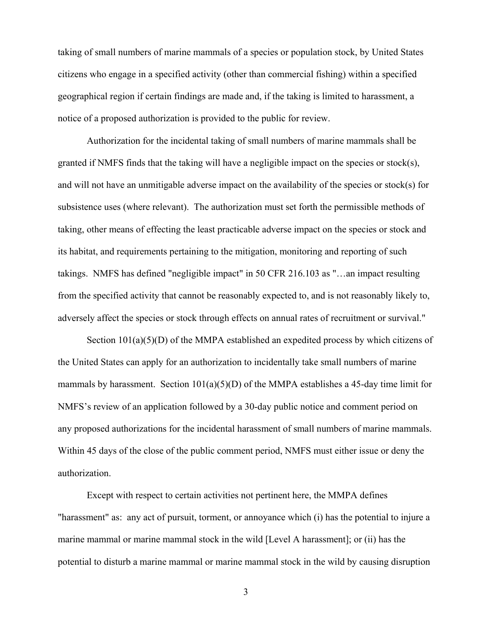taking of small numbers of marine mammals of a species or population stock, by United States citizens who engage in a specified activity (other than commercial fishing) within a specified geographical region if certain findings are made and, if the taking is limited to harassment, a notice of a proposed authorization is provided to the public for review.

Authorization for the incidental taking of small numbers of marine mammals shall be granted if NMFS finds that the taking will have a negligible impact on the species or stock(s), and will not have an unmitigable adverse impact on the availability of the species or stock(s) for subsistence uses (where relevant). The authorization must set forth the permissible methods of taking, other means of effecting the least practicable adverse impact on the species or stock and its habitat, and requirements pertaining to the mitigation, monitoring and reporting of such takings. NMFS has defined "negligible impact" in 50 CFR 216.103 as "…an impact resulting from the specified activity that cannot be reasonably expected to, and is not reasonably likely to, adversely affect the species or stock through effects on annual rates of recruitment or survival."

Section  $101(a)(5)(D)$  of the MMPA established an expedited process by which citizens of the United States can apply for an authorization to incidentally take small numbers of marine mammals by harassment. Section  $101(a)(5)(D)$  of the MMPA establishes a 45-day time limit for NMFS's review of an application followed by a 30-day public notice and comment period on any proposed authorizations for the incidental harassment of small numbers of marine mammals. Within 45 days of the close of the public comment period, NMFS must either issue or deny the authorization.

Except with respect to certain activities not pertinent here, the MMPA defines "harassment" as: any act of pursuit, torment, or annoyance which (i) has the potential to injure a marine mammal or marine mammal stock in the wild [Level A harassment]; or (ii) has the potential to disturb a marine mammal or marine mammal stock in the wild by causing disruption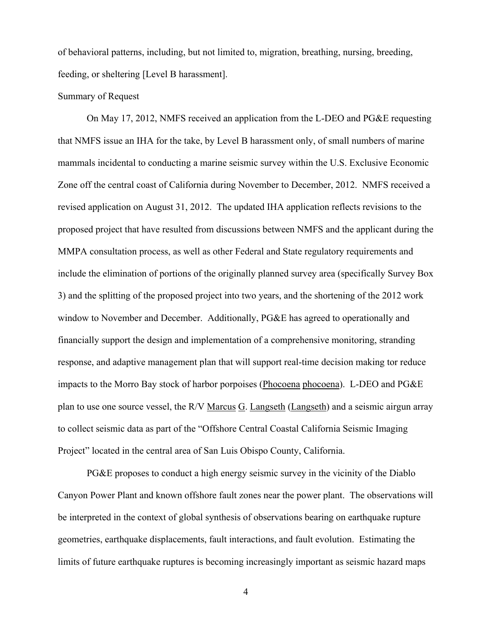of behavioral patterns, including, but not limited to, migration, breathing, nursing, breeding, feeding, or sheltering [Level B harassment].

### Summary of Request

On May 17, 2012, NMFS received an application from the L-DEO and PG&E requesting that NMFS issue an IHA for the take, by Level B harassment only, of small numbers of marine mammals incidental to conducting a marine seismic survey within the U.S. Exclusive Economic Zone off the central coast of California during November to December, 2012. NMFS received a revised application on August 31, 2012. The updated IHA application reflects revisions to the proposed project that have resulted from discussions between NMFS and the applicant during the MMPA consultation process, as well as other Federal and State regulatory requirements and include the elimination of portions of the originally planned survey area (specifically Survey Box 3) and the splitting of the proposed project into two years, and the shortening of the 2012 work window to November and December. Additionally, PG&E has agreed to operationally and financially support the design and implementation of a comprehensive monitoring, stranding response, and adaptive management plan that will support real-time decision making tor reduce impacts to the Morro Bay stock of harbor porpoises (Phocoena phocoena). L-DEO and PG&E plan to use one source vessel, the R/V Marcus G. Langseth (Langseth) and a seismic airgun array to collect seismic data as part of the "Offshore Central Coastal California Seismic Imaging Project" located in the central area of San Luis Obispo County, California.

PG&E proposes to conduct a high energy seismic survey in the vicinity of the Diablo Canyon Power Plant and known offshore fault zones near the power plant. The observations will be interpreted in the context of global synthesis of observations bearing on earthquake rupture geometries, earthquake displacements, fault interactions, and fault evolution. Estimating the limits of future earthquake ruptures is becoming increasingly important as seismic hazard maps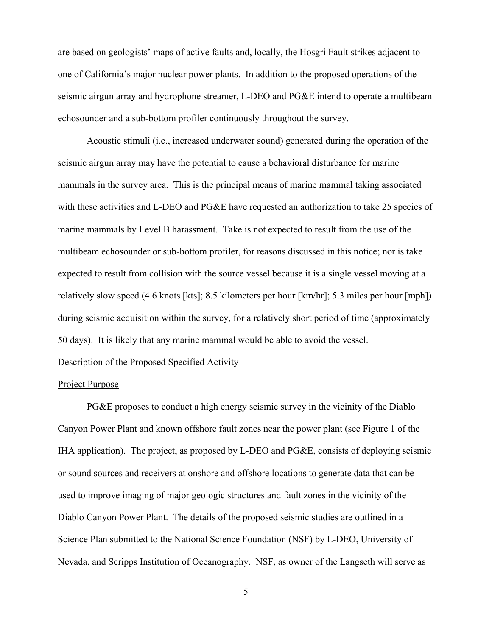are based on geologists' maps of active faults and, locally, the Hosgri Fault strikes adjacent to one of California's major nuclear power plants. In addition to the proposed operations of the seismic airgun array and hydrophone streamer, L-DEO and PG&E intend to operate a multibeam echosounder and a sub-bottom profiler continuously throughout the survey.

Acoustic stimuli (i.e., increased underwater sound) generated during the operation of the seismic airgun array may have the potential to cause a behavioral disturbance for marine mammals in the survey area. This is the principal means of marine mammal taking associated with these activities and L-DEO and PG&E have requested an authorization to take 25 species of marine mammals by Level B harassment. Take is not expected to result from the use of the multibeam echosounder or sub-bottom profiler, for reasons discussed in this notice; nor is take expected to result from collision with the source vessel because it is a single vessel moving at a relatively slow speed (4.6 knots [kts]; 8.5 kilometers per hour [km/hr]; 5.3 miles per hour [mph]) during seismic acquisition within the survey, for a relatively short period of time (approximately 50 days). It is likely that any marine mammal would be able to avoid the vessel.

Description of the Proposed Specified Activity

### Project Purpose

 PG&E proposes to conduct a high energy seismic survey in the vicinity of the Diablo Canyon Power Plant and known offshore fault zones near the power plant (see Figure 1 of the IHA application). The project, as proposed by L-DEO and PG&E, consists of deploying seismic or sound sources and receivers at onshore and offshore locations to generate data that can be used to improve imaging of major geologic structures and fault zones in the vicinity of the Diablo Canyon Power Plant. The details of the proposed seismic studies are outlined in a Science Plan submitted to the National Science Foundation (NSF) by L-DEO, University of Nevada, and Scripps Institution of Oceanography. NSF, as owner of the Langseth will serve as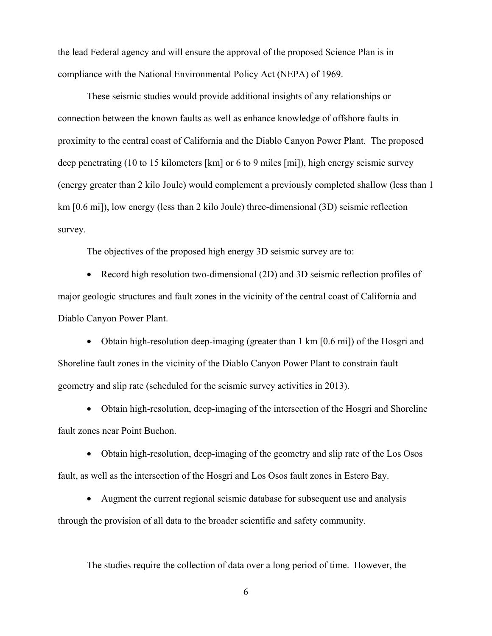the lead Federal agency and will ensure the approval of the proposed Science Plan is in compliance with the National Environmental Policy Act (NEPA) of 1969.

 These seismic studies would provide additional insights of any relationships or connection between the known faults as well as enhance knowledge of offshore faults in proximity to the central coast of California and the Diablo Canyon Power Plant. The proposed deep penetrating (10 to 15 kilometers [km] or 6 to 9 miles [mi]), high energy seismic survey (energy greater than 2 kilo Joule) would complement a previously completed shallow (less than 1 km [0.6 mi]), low energy (less than 2 kilo Joule) three-dimensional (3D) seismic reflection survey.

The objectives of the proposed high energy 3D seismic survey are to:

• Record high resolution two-dimensional (2D) and 3D seismic reflection profiles of major geologic structures and fault zones in the vicinity of the central coast of California and Diablo Canyon Power Plant.

• Obtain high-resolution deep-imaging (greater than 1 km [0.6 mi]) of the Hosgri and Shoreline fault zones in the vicinity of the Diablo Canyon Power Plant to constrain fault geometry and slip rate (scheduled for the seismic survey activities in 2013).

• Obtain high-resolution, deep-imaging of the intersection of the Hosgri and Shoreline fault zones near Point Buchon.

• Obtain high-resolution, deep-imaging of the geometry and slip rate of the Los Osos fault, as well as the intersection of the Hosgri and Los Osos fault zones in Estero Bay.

• Augment the current regional seismic database for subsequent use and analysis through the provision of all data to the broader scientific and safety community.

The studies require the collection of data over a long period of time. However, the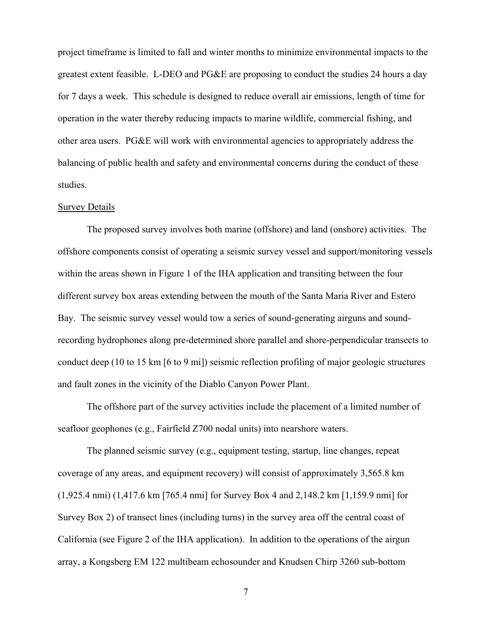project timeframe is limited to fall and winter months to minimize environmental impacts to the greatest extent feasible. L-DEO and PG&E are proposing to conduct the studies 24 hours a day for 7 days a week. This schedule is designed to reduce overall air emissions, length of time for operation in the water thereby reducing impacts to marine wildlife, commercial fishing, and other area users. PG&E will work with environmental agencies to appropriately address the balancing of public health and safety and environmental concerns during the conduct of these studies.

### Survey Details

 The proposed survey involves both marine (offshore) and land (onshore) activities. The offshore components consist of operating a seismic survey vessel and support/monitoring vessels within the areas shown in Figure 1 of the IHA application and transiting between the four different survey box areas extending between the mouth of the Santa Maria River and Estero Bay. The seismic survey vessel would tow a series of sound-generating airguns and soundrecording hydrophones along pre-determined shore parallel and shore-perpendicular transects to conduct deep (10 to 15 km [6 to 9 mi]) seismic reflection profiling of major geologic structures and fault zones in the vicinity of the Diablo Canyon Power Plant.

The offshore part of the survey activities include the placement of a limited number of seafloor geophones (e.g., Fairfield Z700 nodal units) into nearshore waters.

The planned seismic survey (e.g., equipment testing, startup, line changes, repeat coverage of any areas, and equipment recovery) will consist of approximately 3,565.8 km (1,925.4 nmi) (1,417.6 km [765.4 nmi] for Survey Box 4 and 2,148.2 km [1,159.9 nmi] for Survey Box 2) of transect lines (including turns) in the survey area off the central coast of California (see Figure 2 of the IHA application). In addition to the operations of the airgun array, a Kongsberg EM 122 multibeam echosounder and Knudsen Chirp 3260 sub-bottom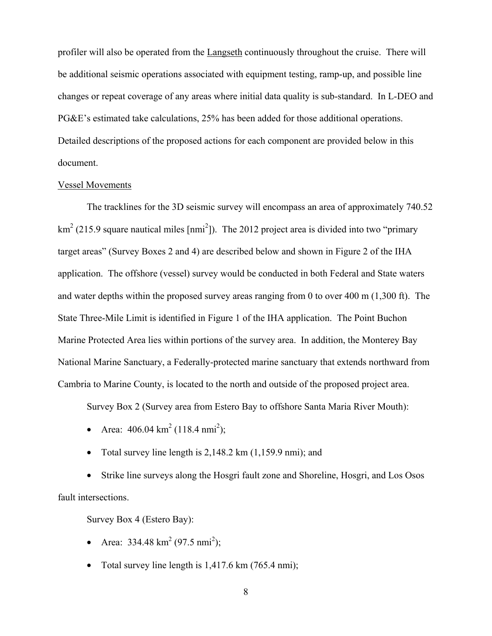profiler will also be operated from the Langseth continuously throughout the cruise. There will be additional seismic operations associated with equipment testing, ramp-up, and possible line changes or repeat coverage of any areas where initial data quality is sub-standard. In L-DEO and PG&E's estimated take calculations, 25% has been added for those additional operations. Detailed descriptions of the proposed actions for each component are provided below in this document.

### Vessel Movements

 The tracklines for the 3D seismic survey will encompass an area of approximately 740.52  $\text{km}^2$  (215.9 square nautical miles [nmi<sup>2</sup>]). The 2012 project area is divided into two "primary target areas" (Survey Boxes 2 and 4) are described below and shown in Figure 2 of the IHA application. The offshore (vessel) survey would be conducted in both Federal and State waters and water depths within the proposed survey areas ranging from 0 to over 400 m (1,300 ft). The State Three-Mile Limit is identified in Figure 1 of the IHA application. The Point Buchon Marine Protected Area lies within portions of the survey area. In addition, the Monterey Bay National Marine Sanctuary, a Federally-protected marine sanctuary that extends northward from Cambria to Marine County, is located to the north and outside of the proposed project area.

Survey Box 2 (Survey area from Estero Bay to offshore Santa Maria River Mouth):

- Area:  $406.04 \text{ km}^2 (118.4 \text{ nm}^2)$ ;
- Total survey line length is  $2,148.2$  km  $(1,159.9$  nmi); and

• Strike line surveys along the Hosgri fault zone and Shoreline, Hosgri, and Los Osos fault intersections.

Survey Box 4 (Estero Bay):

- Area:  $334.48 \text{ km}^2 (97.5 \text{ nm}^2)$ ;
- Total survey line length is 1,417.6 km (765.4 nmi);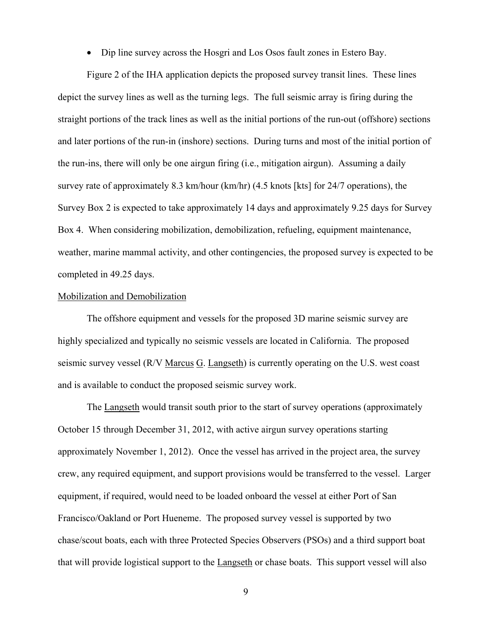• Dip line survey across the Hosgri and Los Osos fault zones in Estero Bay.

Figure 2 of the IHA application depicts the proposed survey transit lines. These lines depict the survey lines as well as the turning legs. The full seismic array is firing during the straight portions of the track lines as well as the initial portions of the run-out (offshore) sections and later portions of the run-in (inshore) sections. During turns and most of the initial portion of the run-ins, there will only be one airgun firing (i.e., mitigation airgun). Assuming a daily survey rate of approximately 8.3 km/hour (km/hr) (4.5 knots [kts] for 24/7 operations), the Survey Box 2 is expected to take approximately 14 days and approximately 9.25 days for Survey Box 4. When considering mobilization, demobilization, refueling, equipment maintenance, weather, marine mammal activity, and other contingencies, the proposed survey is expected to be completed in 49.25 days.

#### Mobilization and Demobilization

 The offshore equipment and vessels for the proposed 3D marine seismic survey are highly specialized and typically no seismic vessels are located in California. The proposed seismic survey vessel (R/V Marcus G. Langseth) is currently operating on the U.S. west coast and is available to conduct the proposed seismic survey work.

 The Langseth would transit south prior to the start of survey operations (approximately October 15 through December 31, 2012, with active airgun survey operations starting approximately November 1, 2012). Once the vessel has arrived in the project area, the survey crew, any required equipment, and support provisions would be transferred to the vessel. Larger equipment, if required, would need to be loaded onboard the vessel at either Port of San Francisco/Oakland or Port Hueneme. The proposed survey vessel is supported by two chase/scout boats, each with three Protected Species Observers (PSOs) and a third support boat that will provide logistical support to the Langseth or chase boats. This support vessel will also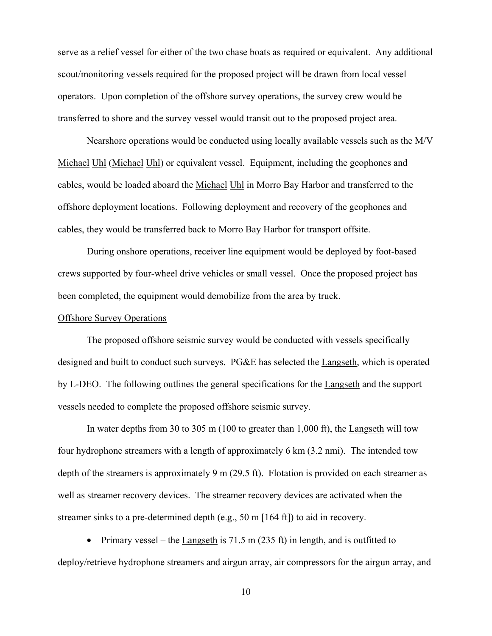serve as a relief vessel for either of the two chase boats as required or equivalent. Any additional scout/monitoring vessels required for the proposed project will be drawn from local vessel operators. Upon completion of the offshore survey operations, the survey crew would be transferred to shore and the survey vessel would transit out to the proposed project area.

 Nearshore operations would be conducted using locally available vessels such as the M/V Michael Uhl (Michael Uhl) or equivalent vessel. Equipment, including the geophones and cables, would be loaded aboard the Michael Uhl in Morro Bay Harbor and transferred to the offshore deployment locations. Following deployment and recovery of the geophones and cables, they would be transferred back to Morro Bay Harbor for transport offsite.

 During onshore operations, receiver line equipment would be deployed by foot-based crews supported by four-wheel drive vehicles or small vessel. Once the proposed project has been completed, the equipment would demobilize from the area by truck.

### Offshore Survey Operations

 The proposed offshore seismic survey would be conducted with vessels specifically designed and built to conduct such surveys. PG&E has selected the Langseth, which is operated by L-DEO. The following outlines the general specifications for the Langseth and the support vessels needed to complete the proposed offshore seismic survey.

 In water depths from 30 to 305 m (100 to greater than 1,000 ft), the Langseth will tow four hydrophone streamers with a length of approximately 6 km (3.2 nmi). The intended tow depth of the streamers is approximately 9 m (29.5 ft). Flotation is provided on each streamer as well as streamer recovery devices. The streamer recovery devices are activated when the streamer sinks to a pre-determined depth (e.g., 50 m [164 ft]) to aid in recovery.

• Primary vessel – the Langseth is  $71.5 \text{ m}$  (235 ft) in length, and is outfitted to deploy/retrieve hydrophone streamers and airgun array, air compressors for the airgun array, and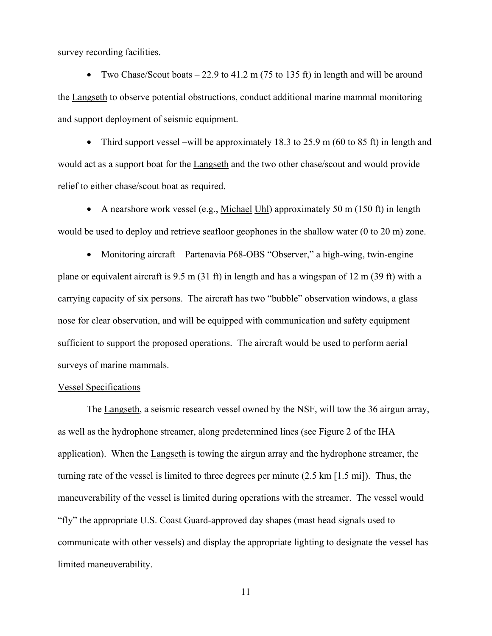survey recording facilities.

• Two Chase/Scout boats  $-22.9$  to 41.2 m (75 to 135 ft) in length and will be around the Langseth to observe potential obstructions, conduct additional marine mammal monitoring and support deployment of seismic equipment.

• Third support vessel –will be approximately 18.3 to 25.9 m (60 to 85 ft) in length and would act as a support boat for the Langseth and the two other chase/scout and would provide relief to either chase/scout boat as required.

• A nearshore work vessel (e.g., Michael Uhl) approximately 50 m (150 ft) in length would be used to deploy and retrieve seafloor geophones in the shallow water (0 to 20 m) zone.

• Monitoring aircraft – Partenavia P68-OBS "Observer," a high-wing, twin-engine plane or equivalent aircraft is 9.5 m (31 ft) in length and has a wingspan of 12 m (39 ft) with a carrying capacity of six persons. The aircraft has two "bubble" observation windows, a glass nose for clear observation, and will be equipped with communication and safety equipment sufficient to support the proposed operations. The aircraft would be used to perform aerial surveys of marine mammals.

## Vessel Specifications

The Langseth, a seismic research vessel owned by the NSF, will tow the 36 airgun array, as well as the hydrophone streamer, along predetermined lines (see Figure 2 of the IHA application). When the Langseth is towing the airgun array and the hydrophone streamer, the turning rate of the vessel is limited to three degrees per minute (2.5 km [1.5 mi]). Thus, the maneuverability of the vessel is limited during operations with the streamer. The vessel would "fly" the appropriate U.S. Coast Guard-approved day shapes (mast head signals used to communicate with other vessels) and display the appropriate lighting to designate the vessel has limited maneuverability.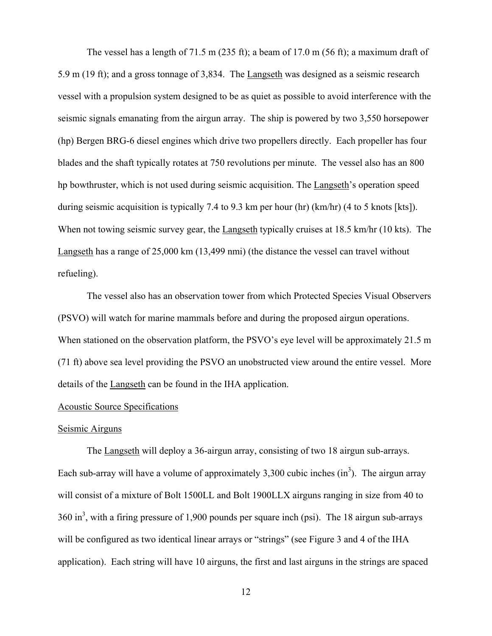The vessel has a length of 71.5 m (235 ft); a beam of 17.0 m (56 ft); a maximum draft of 5.9 m (19 ft); and a gross tonnage of 3,834. The Langseth was designed as a seismic research vessel with a propulsion system designed to be as quiet as possible to avoid interference with the seismic signals emanating from the airgun array. The ship is powered by two 3,550 horsepower (hp) Bergen BRG-6 diesel engines which drive two propellers directly. Each propeller has four blades and the shaft typically rotates at 750 revolutions per minute. The vessel also has an 800 hp bowthruster, which is not used during seismic acquisition. The Langseth's operation speed during seismic acquisition is typically 7.4 to 9.3 km per hour (hr) (km/hr) (4 to 5 knots [kts]). When not towing seismic survey gear, the Langseth typically cruises at 18.5 km/hr (10 kts). The Langseth has a range of 25,000 km (13,499 nmi) (the distance the vessel can travel without refueling).

The vessel also has an observation tower from which Protected Species Visual Observers (PSVO) will watch for marine mammals before and during the proposed airgun operations. When stationed on the observation platform, the PSVO's eye level will be approximately 21.5 m (71 ft) above sea level providing the PSVO an unobstructed view around the entire vessel. More details of the Langseth can be found in the IHA application.

### Acoustic Source Specifications

### Seismic Airguns

The Langseth will deploy a 36-airgun array, consisting of two 18 airgun sub-arrays. Each sub-array will have a volume of approximately 3,300 cubic inches  $(in^3)$ . The airgun array will consist of a mixture of Bolt 1500LL and Bolt 1900LLX airguns ranging in size from 40 to  $360 \text{ in}^3$ , with a firing pressure of 1,900 pounds per square inch (psi). The 18 airgun sub-arrays will be configured as two identical linear arrays or "strings" (see Figure 3 and 4 of the IHA application). Each string will have 10 airguns, the first and last airguns in the strings are spaced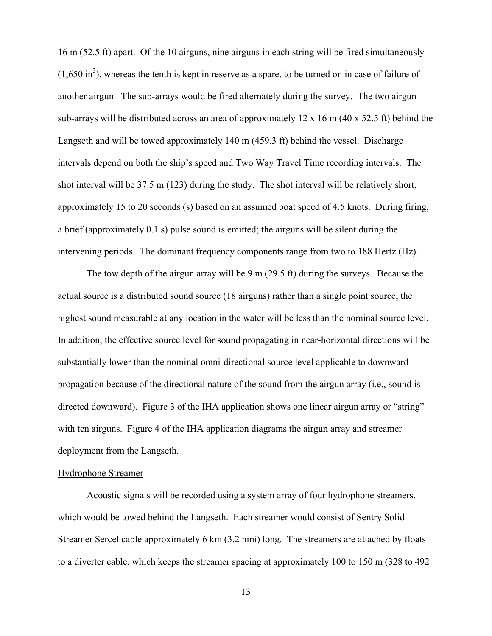16 m (52.5 ft) apart. Of the 10 airguns, nine airguns in each string will be fired simultaneously  $(1,650 \text{ in}^3)$ , whereas the tenth is kept in reserve as a spare, to be turned on in case of failure of another airgun. The sub-arrays would be fired alternately during the survey. The two airgun sub-arrays will be distributed across an area of approximately 12 x 16 m (40 x 52.5 ft) behind the Langseth and will be towed approximately 140 m (459.3 ft) behind the vessel. Discharge intervals depend on both the ship's speed and Two Way Travel Time recording intervals. The shot interval will be 37.5 m (123) during the study. The shot interval will be relatively short, approximately 15 to 20 seconds (s) based on an assumed boat speed of 4.5 knots. During firing, a brief (approximately 0.1 s) pulse sound is emitted; the airguns will be silent during the intervening periods. The dominant frequency components range from two to 188 Hertz (Hz).

The tow depth of the airgun array will be 9 m (29.5 ft) during the surveys. Because the actual source is a distributed sound source (18 airguns) rather than a single point source, the highest sound measurable at any location in the water will be less than the nominal source level. In addition, the effective source level for sound propagating in near-horizontal directions will be substantially lower than the nominal omni-directional source level applicable to downward propagation because of the directional nature of the sound from the airgun array (i.e., sound is directed downward). Figure 3 of the IHA application shows one linear airgun array or "string" with ten airguns. Figure 4 of the IHA application diagrams the airgun array and streamer deployment from the Langseth.

#### Hydrophone Streamer

Acoustic signals will be recorded using a system array of four hydrophone streamers, which would be towed behind the Langseth. Each streamer would consist of Sentry Solid Streamer Sercel cable approximately 6 km (3.2 nmi) long. The streamers are attached by floats to a diverter cable, which keeps the streamer spacing at approximately 100 to 150 m (328 to 492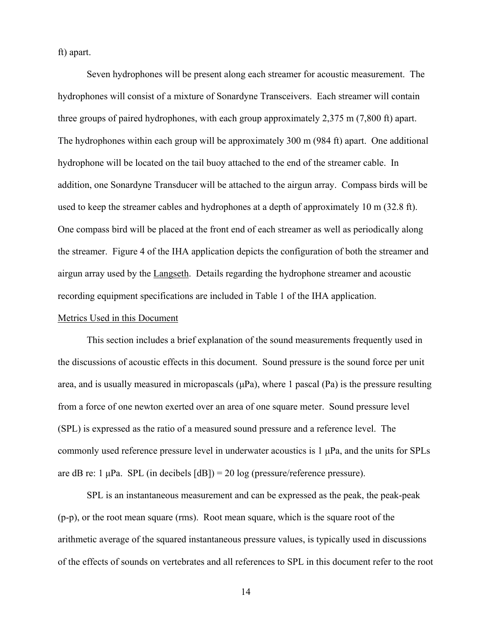ft) apart.

Seven hydrophones will be present along each streamer for acoustic measurement. The hydrophones will consist of a mixture of Sonardyne Transceivers. Each streamer will contain three groups of paired hydrophones, with each group approximately 2,375 m (7,800 ft) apart. The hydrophones within each group will be approximately 300 m (984 ft) apart. One additional hydrophone will be located on the tail buoy attached to the end of the streamer cable. In addition, one Sonardyne Transducer will be attached to the airgun array. Compass birds will be used to keep the streamer cables and hydrophones at a depth of approximately 10 m (32.8 ft). One compass bird will be placed at the front end of each streamer as well as periodically along the streamer. Figure 4 of the IHA application depicts the configuration of both the streamer and airgun array used by the Langseth. Details regarding the hydrophone streamer and acoustic recording equipment specifications are included in Table 1 of the IHA application.

## Metrics Used in this Document

This section includes a brief explanation of the sound measurements frequently used in the discussions of acoustic effects in this document. Sound pressure is the sound force per unit area, and is usually measured in micropascals  $(\mu Pa)$ , where 1 pascal (Pa) is the pressure resulting from a force of one newton exerted over an area of one square meter. Sound pressure level (SPL) is expressed as the ratio of a measured sound pressure and a reference level. The commonly used reference pressure level in underwater acoustics is 1 μPa, and the units for SPLs are dB re: 1  $\mu$ Pa. SPL (in decibels  $[dB]$ ) = 20 log (pressure/reference pressure).

SPL is an instantaneous measurement and can be expressed as the peak, the peak-peak (p-p), or the root mean square (rms). Root mean square, which is the square root of the arithmetic average of the squared instantaneous pressure values, is typically used in discussions of the effects of sounds on vertebrates and all references to SPL in this document refer to the root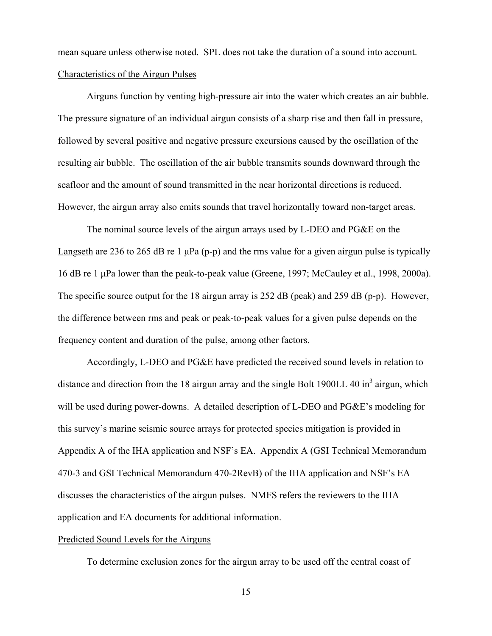mean square unless otherwise noted. SPL does not take the duration of a sound into account. Characteristics of the Airgun Pulses

Airguns function by venting high-pressure air into the water which creates an air bubble. The pressure signature of an individual airgun consists of a sharp rise and then fall in pressure, followed by several positive and negative pressure excursions caused by the oscillation of the resulting air bubble. The oscillation of the air bubble transmits sounds downward through the seafloor and the amount of sound transmitted in the near horizontal directions is reduced. However, the airgun array also emits sounds that travel horizontally toward non-target areas.

The nominal source levels of the airgun arrays used by L-DEO and PG&E on the Langseth are 236 to 265 dB re 1  $\mu$ Pa (p-p) and the rms value for a given airgun pulse is typically 16 dB re 1 μPa lower than the peak-to-peak value (Greene, 1997; McCauley et al., 1998, 2000a). The specific source output for the 18 airgun array is 252 dB (peak) and 259 dB (p-p). However, the difference between rms and peak or peak-to-peak values for a given pulse depends on the frequency content and duration of the pulse, among other factors.

Accordingly, L-DEO and PG&E have predicted the received sound levels in relation to distance and direction from the 18 airgun array and the single Bolt 1900LL 40  $\text{in}^3$  airgun, which will be used during power-downs. A detailed description of L-DEO and PG&E's modeling for this survey's marine seismic source arrays for protected species mitigation is provided in Appendix A of the IHA application and NSF's EA. Appendix A (GSI Technical Memorandum 470-3 and GSI Technical Memorandum 470-2RevB) of the IHA application and NSF's EA discusses the characteristics of the airgun pulses. NMFS refers the reviewers to the IHA application and EA documents for additional information.

## Predicted Sound Levels for the Airguns

To determine exclusion zones for the airgun array to be used off the central coast of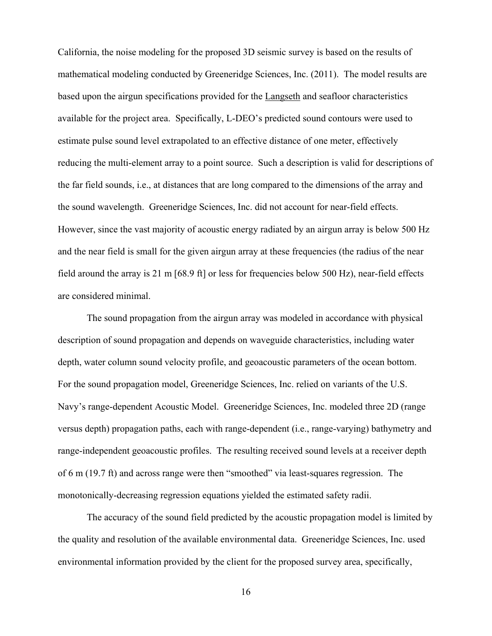California, the noise modeling for the proposed 3D seismic survey is based on the results of mathematical modeling conducted by Greeneridge Sciences, Inc. (2011). The model results are based upon the airgun specifications provided for the Langseth and seafloor characteristics available for the project area. Specifically, L-DEO's predicted sound contours were used to estimate pulse sound level extrapolated to an effective distance of one meter, effectively reducing the multi-element array to a point source. Such a description is valid for descriptions of the far field sounds, i.e., at distances that are long compared to the dimensions of the array and the sound wavelength. Greeneridge Sciences, Inc. did not account for near-field effects. However, since the vast majority of acoustic energy radiated by an airgun array is below 500 Hz and the near field is small for the given airgun array at these frequencies (the radius of the near field around the array is 21 m [68.9 ft] or less for frequencies below 500 Hz), near-field effects are considered minimal.

The sound propagation from the airgun array was modeled in accordance with physical description of sound propagation and depends on waveguide characteristics, including water depth, water column sound velocity profile, and geoacoustic parameters of the ocean bottom. For the sound propagation model, Greeneridge Sciences, Inc. relied on variants of the U.S. Navy's range-dependent Acoustic Model. Greeneridge Sciences, Inc. modeled three 2D (range versus depth) propagation paths, each with range-dependent (i.e., range-varying) bathymetry and range-independent geoacoustic profiles. The resulting received sound levels at a receiver depth of 6 m (19.7 ft) and across range were then "smoothed" via least-squares regression. The monotonically-decreasing regression equations yielded the estimated safety radii.

The accuracy of the sound field predicted by the acoustic propagation model is limited by the quality and resolution of the available environmental data. Greeneridge Sciences, Inc. used environmental information provided by the client for the proposed survey area, specifically,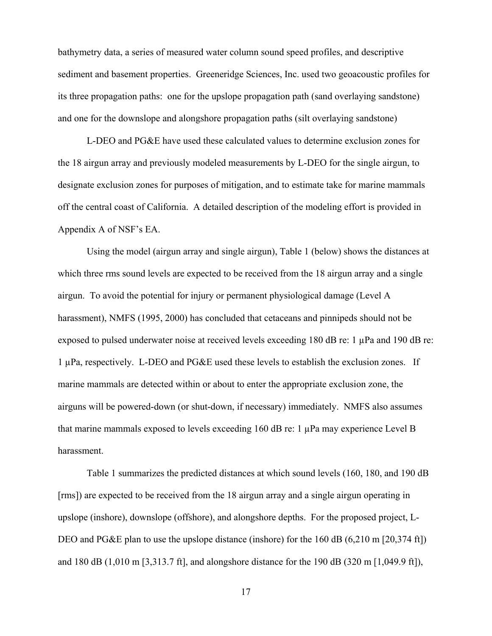bathymetry data, a series of measured water column sound speed profiles, and descriptive sediment and basement properties. Greeneridge Sciences, Inc. used two geoacoustic profiles for its three propagation paths: one for the upslope propagation path (sand overlaying sandstone) and one for the downslope and alongshore propagation paths (silt overlaying sandstone)

L-DEO and PG&E have used these calculated values to determine exclusion zones for the 18 airgun array and previously modeled measurements by L-DEO for the single airgun, to designate exclusion zones for purposes of mitigation, and to estimate take for marine mammals off the central coast of California. A detailed description of the modeling effort is provided in Appendix A of NSF's EA.

Using the model (airgun array and single airgun), Table 1 (below) shows the distances at which three rms sound levels are expected to be received from the 18 airgun array and a single airgun. To avoid the potential for injury or permanent physiological damage (Level A harassment), NMFS (1995, 2000) has concluded that cetaceans and pinnipeds should not be exposed to pulsed underwater noise at received levels exceeding 180 dB re: 1 µPa and 190 dB re: 1 µPa, respectively. L-DEO and PG&E used these levels to establish the exclusion zones. If marine mammals are detected within or about to enter the appropriate exclusion zone, the airguns will be powered-down (or shut-down, if necessary) immediately. NMFS also assumes that marine mammals exposed to levels exceeding 160 dB re: 1 µPa may experience Level B harassment.

Table 1 summarizes the predicted distances at which sound levels (160, 180, and 190 dB [rms]) are expected to be received from the 18 airgun array and a single airgun operating in upslope (inshore), downslope (offshore), and alongshore depths. For the proposed project, L-DEO and PG&E plan to use the upslope distance (inshore) for the 160 dB (6,210 m [20,374 ft]) and 180 dB (1,010 m [3,313.7 ft], and alongshore distance for the 190 dB (320 m [1,049.9 ft]),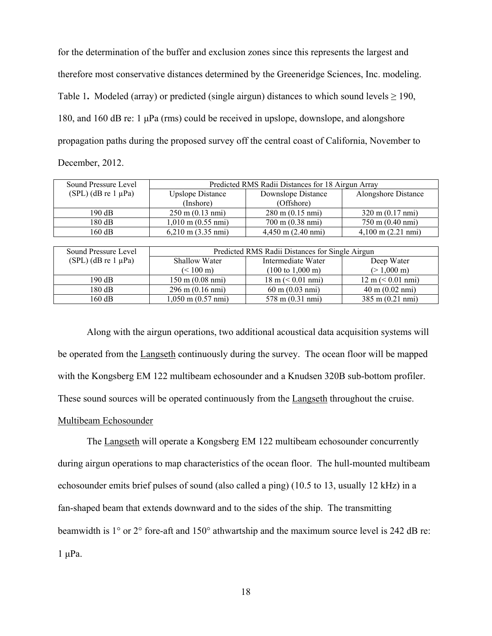for the determination of the buffer and exclusion zones since this represents the largest and therefore most conservative distances determined by the Greeneridge Sciences, Inc. modeling. Table 1. Modeled (array) or predicted (single airgun) distances to which sound levels  $\geq 190$ , 180, and 160 dB re: 1 μPa (rms) could be received in upslope, downslope, and alongshore propagation paths during the proposed survey off the central coast of California, November to December, 2012.

| Sound Pressure Level  | Predicted RMS Radii Distances for 18 Airgun Array |                                     |                                     |  |
|-----------------------|---------------------------------------------------|-------------------------------------|-------------------------------------|--|
| $(SPL)$ (dB re 1 µPa) | <b>Upslope Distance</b>                           | Downslope Distance                  | Alongshore Distance                 |  |
|                       | (Inshore)                                         | (Offshore)                          |                                     |  |
| 190 dB                | $250 \text{ m} (0.13 \text{ nm})$                 | $280 \text{ m} (0.15 \text{ nm})$   | $320 \text{ m} (0.17 \text{ nm})$   |  |
| 180 dB                | $1,010 \text{ m}$ (0.55 nmi)                      | $700 \text{ m}$ (0.38 nmi)          | 750 m (0.40 nmi)                    |  |
| 160 dB                | $6,210 \text{ m} (3.35 \text{ nm})$               | $4,450 \text{ m} (2.40 \text{ nm})$ | $4,100 \text{ m} (2.21 \text{ nm})$ |  |

| Sound Pressure Level       | Predicted RMS Radii Distances for Single Airgun |                                                     |                                     |  |
|----------------------------|-------------------------------------------------|-----------------------------------------------------|-------------------------------------|--|
| $(SPL)$ (dB re 1 $\mu$ Pa) | Shallow Water                                   | Intermediate Water                                  | Deep Water                          |  |
|                            | $(< 100 \text{ m})$                             | $(100 \text{ to } 1,000 \text{ m})$                 | $(>1,000 \text{ m})$                |  |
| $190 \text{ dB}$           | $150 \text{ m}$ (0.08 nmi)                      | $18 \text{ m} \left( \leq 0.01 \text{ nmi} \right)$ | $12 \text{ m} \leq 0.01 \text{ nm}$ |  |
| 180 dB                     | $296 \text{ m} (0.16 \text{ nm})$               | $60 \text{ m} (0.03 \text{ nm})$                    | $40 \text{ m} (0.02 \text{ nm})$    |  |
| 160 dB                     | $1,050 \text{ m}$ $(0.57 \text{ nm})$           | 578 m (0.31 nmi)                                    | $385 \text{ m} (0.21 \text{ nm})$   |  |

Along with the airgun operations, two additional acoustical data acquisition systems will be operated from the Langseth continuously during the survey. The ocean floor will be mapped with the Kongsberg EM 122 multibeam echosounder and a Knudsen 320B sub-bottom profiler. These sound sources will be operated continuously from the Langseth throughout the cruise. Multibeam Echosounder

The Langseth will operate a Kongsberg EM 122 multibeam echosounder concurrently during airgun operations to map characteristics of the ocean floor. The hull-mounted multibeam echosounder emits brief pulses of sound (also called a ping) (10.5 to 13, usually 12 kHz) in a fan-shaped beam that extends downward and to the sides of the ship. The transmitting beamwidth is 1° or 2° fore-aft and 150° athwartship and the maximum source level is 242 dB re: 1 μPa.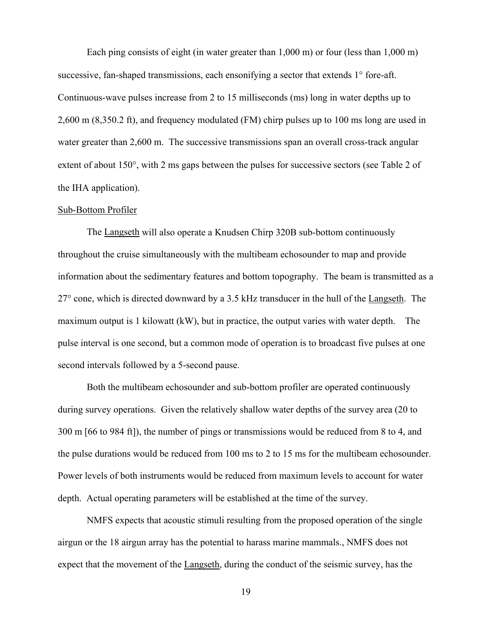Each ping consists of eight (in water greater than 1,000 m) or four (less than 1,000 m) successive, fan-shaped transmissions, each ensonifying a sector that extends 1° fore-aft. Continuous-wave pulses increase from 2 to 15 milliseconds (ms) long in water depths up to 2,600 m (8,350.2 ft), and frequency modulated (FM) chirp pulses up to 100 ms long are used in water greater than 2,600 m. The successive transmissions span an overall cross-track angular extent of about 150°, with 2 ms gaps between the pulses for successive sectors (see Table 2 of the IHA application).

#### Sub-Bottom Profiler

The Langseth will also operate a Knudsen Chirp 320B sub-bottom continuously throughout the cruise simultaneously with the multibeam echosounder to map and provide information about the sedimentary features and bottom topography. The beam is transmitted as a 27° cone, which is directed downward by a 3.5 kHz transducer in the hull of the Langseth. The maximum output is 1 kilowatt (kW), but in practice, the output varies with water depth. The pulse interval is one second, but a common mode of operation is to broadcast five pulses at one second intervals followed by a 5-second pause.

Both the multibeam echosounder and sub-bottom profiler are operated continuously during survey operations. Given the relatively shallow water depths of the survey area (20 to 300 m [66 to 984 ft]), the number of pings or transmissions would be reduced from 8 to 4, and the pulse durations would be reduced from 100 ms to 2 to 15 ms for the multibeam echosounder. Power levels of both instruments would be reduced from maximum levels to account for water depth. Actual operating parameters will be established at the time of the survey.

NMFS expects that acoustic stimuli resulting from the proposed operation of the single airgun or the 18 airgun array has the potential to harass marine mammals., NMFS does not expect that the movement of the Langseth, during the conduct of the seismic survey, has the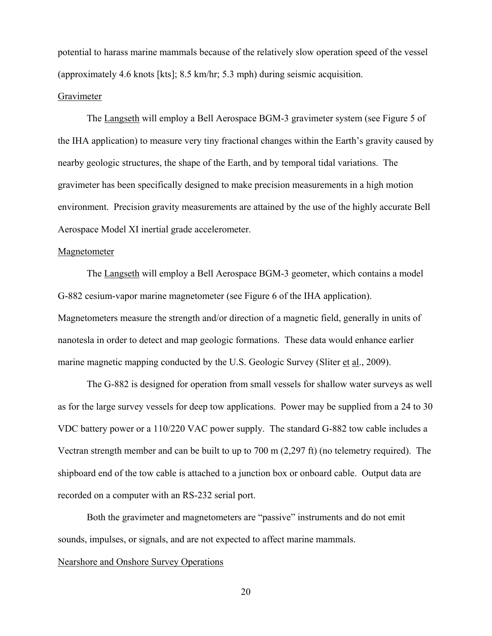potential to harass marine mammals because of the relatively slow operation speed of the vessel (approximately 4.6 knots [kts]; 8.5 km/hr; 5.3 mph) during seismic acquisition.

### Gravimeter

 The Langseth will employ a Bell Aerospace BGM-3 gravimeter system (see Figure 5 of the IHA application) to measure very tiny fractional changes within the Earth's gravity caused by nearby geologic structures, the shape of the Earth, and by temporal tidal variations. The gravimeter has been specifically designed to make precision measurements in a high motion environment. Precision gravity measurements are attained by the use of the highly accurate Bell Aerospace Model XI inertial grade accelerometer.

#### Magnetometer

 The Langseth will employ a Bell Aerospace BGM-3 geometer, which contains a model G-882 cesium-vapor marine magnetometer (see Figure 6 of the IHA application). Magnetometers measure the strength and/or direction of a magnetic field, generally in units of nanotesla in order to detect and map geologic formations. These data would enhance earlier marine magnetic mapping conducted by the U.S. Geologic Survey (Sliter et al., 2009).

 The G-882 is designed for operation from small vessels for shallow water surveys as well as for the large survey vessels for deep tow applications. Power may be supplied from a 24 to 30 VDC battery power or a 110/220 VAC power supply. The standard G-882 tow cable includes a Vectran strength member and can be built to up to 700 m (2,297 ft) (no telemetry required). The shipboard end of the tow cable is attached to a junction box or onboard cable. Output data are recorded on a computer with an RS-232 serial port.

 Both the gravimeter and magnetometers are "passive" instruments and do not emit sounds, impulses, or signals, and are not expected to affect marine mammals.

## Nearshore and Onshore Survey Operations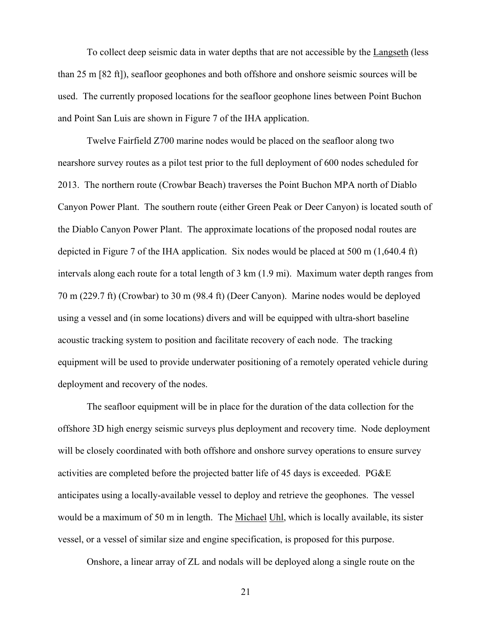To collect deep seismic data in water depths that are not accessible by the Langseth (less than 25 m [82 ft]), seafloor geophones and both offshore and onshore seismic sources will be used. The currently proposed locations for the seafloor geophone lines between Point Buchon and Point San Luis are shown in Figure 7 of the IHA application.

 Twelve Fairfield Z700 marine nodes would be placed on the seafloor along two nearshore survey routes as a pilot test prior to the full deployment of 600 nodes scheduled for 2013. The northern route (Crowbar Beach) traverses the Point Buchon MPA north of Diablo Canyon Power Plant. The southern route (either Green Peak or Deer Canyon) is located south of the Diablo Canyon Power Plant. The approximate locations of the proposed nodal routes are depicted in Figure 7 of the IHA application. Six nodes would be placed at 500 m (1,640.4 ft) intervals along each route for a total length of 3 km (1.9 mi). Maximum water depth ranges from 70 m (229.7 ft) (Crowbar) to 30 m (98.4 ft) (Deer Canyon). Marine nodes would be deployed using a vessel and (in some locations) divers and will be equipped with ultra-short baseline acoustic tracking system to position and facilitate recovery of each node. The tracking equipment will be used to provide underwater positioning of a remotely operated vehicle during deployment and recovery of the nodes.

The seafloor equipment will be in place for the duration of the data collection for the offshore 3D high energy seismic surveys plus deployment and recovery time. Node deployment will be closely coordinated with both offshore and onshore survey operations to ensure survey activities are completed before the projected batter life of 45 days is exceeded. PG&E anticipates using a locally-available vessel to deploy and retrieve the geophones. The vessel would be a maximum of 50 m in length. The Michael Uhl, which is locally available, its sister vessel, or a vessel of similar size and engine specification, is proposed for this purpose.

Onshore, a linear array of ZL and nodals will be deployed along a single route on the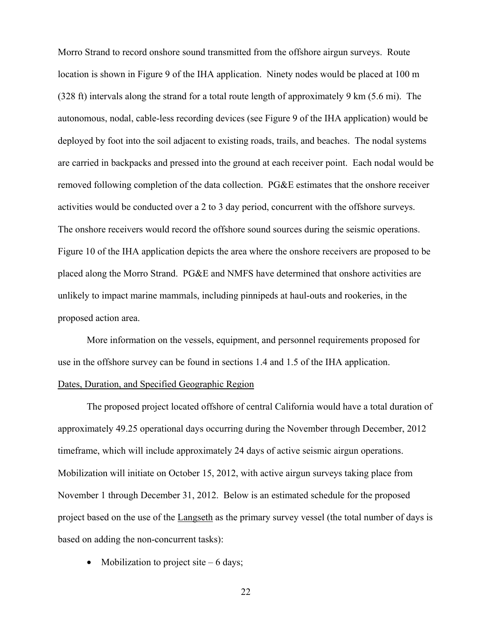Morro Strand to record onshore sound transmitted from the offshore airgun surveys. Route location is shown in Figure 9 of the IHA application. Ninety nodes would be placed at 100 m (328 ft) intervals along the strand for a total route length of approximately 9 km (5.6 mi). The autonomous, nodal, cable-less recording devices (see Figure 9 of the IHA application) would be deployed by foot into the soil adjacent to existing roads, trails, and beaches. The nodal systems are carried in backpacks and pressed into the ground at each receiver point. Each nodal would be removed following completion of the data collection. PG&E estimates that the onshore receiver activities would be conducted over a 2 to 3 day period, concurrent with the offshore surveys. The onshore receivers would record the offshore sound sources during the seismic operations. Figure 10 of the IHA application depicts the area where the onshore receivers are proposed to be placed along the Morro Strand. PG&E and NMFS have determined that onshore activities are unlikely to impact marine mammals, including pinnipeds at haul-outs and rookeries, in the proposed action area.

 More information on the vessels, equipment, and personnel requirements proposed for use in the offshore survey can be found in sections 1.4 and 1.5 of the IHA application.

# Dates, Duration, and Specified Geographic Region

The proposed project located offshore of central California would have a total duration of approximately 49.25 operational days occurring during the November through December, 2012 timeframe, which will include approximately 24 days of active seismic airgun operations. Mobilization will initiate on October 15, 2012, with active airgun surveys taking place from November 1 through December 31, 2012. Below is an estimated schedule for the proposed project based on the use of the Langseth as the primary survey vessel (the total number of days is based on adding the non-concurrent tasks):

• Mobilization to project site  $-6$  days;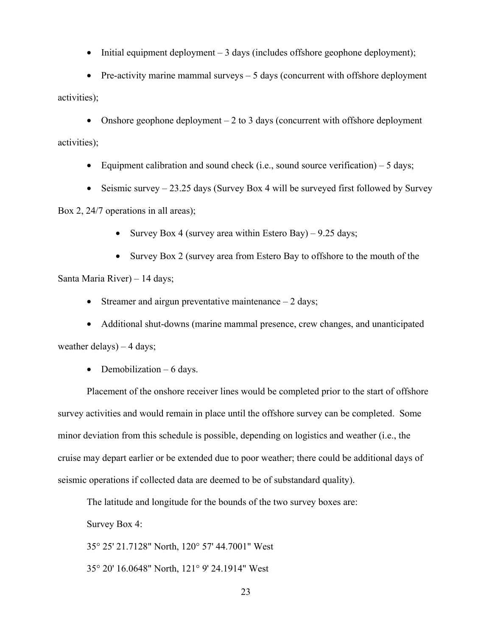• Initial equipment deployment – 3 days (includes offshore geophone deployment);

• Pre-activity marine mammal surveys – 5 days (concurrent with offshore deployment activities);

• Onshore geophone deployment  $-2$  to 3 days (concurrent with offshore deployment activities);

- Equipment calibration and sound check (i.e., sound source verification)  $-5$  days;
- Seismic survey  $-23.25$  days (Survey Box 4 will be surveyed first followed by Survey

Box 2, 24/7 operations in all areas);

- Survey Box 4 (survey area within Estero Bay)  $9.25$  days;
- Survey Box 2 (survey area from Estero Bay to offshore to the mouth of the

Santa Maria River) – 14 days;

- Streamer and airgun preventative maintenance  $-2$  days;
- Additional shut-downs (marine mammal presence, crew changes, and unanticipated

weather delays) – 4 days;

• Demobilization  $-6$  days.

Placement of the onshore receiver lines would be completed prior to the start of offshore survey activities and would remain in place until the offshore survey can be completed. Some minor deviation from this schedule is possible, depending on logistics and weather (i.e., the cruise may depart earlier or be extended due to poor weather; there could be additional days of seismic operations if collected data are deemed to be of substandard quality).

The latitude and longitude for the bounds of the two survey boxes are:

Survey Box 4:

35° 25' 21.7128" North, 120° 57' 44.7001" West

35° 20' 16.0648" North, 121° 9' 24.1914" West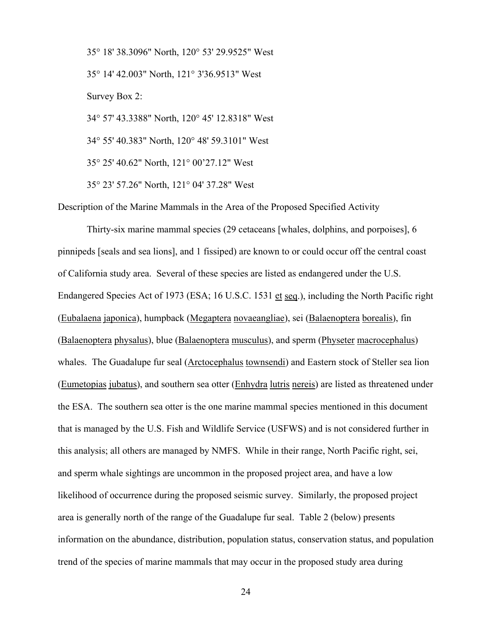35° 18' 38.3096" North, 120° 53' 29.9525" West 35° 14' 42.003" North, 121° 3'36.9513" West Survey Box 2: 34° 57' 43.3388" North, 120° 45' 12.8318" West 34° 55' 40.383" North, 120° 48' 59.3101" West 35° 25' 40.62" North, 121° 00'27.12" West 35° 23' 57.26" North, 121° 04' 37.28" West

Description of the Marine Mammals in the Area of the Proposed Specified Activity

Thirty-six marine mammal species (29 cetaceans [whales, dolphins, and porpoises], 6 pinnipeds [seals and sea lions], and 1 fissiped) are known to or could occur off the central coast of California study area. Several of these species are listed as endangered under the U.S. Endangered Species Act of 1973 (ESA; 16 U.S.C. 1531 et seq.), including the North Pacific right (Eubalaena japonica), humpback (Megaptera novaeangliae), sei (Balaenoptera borealis), fin (Balaenoptera physalus), blue (Balaenoptera musculus), and sperm (Physeter macrocephalus) whales. The Guadalupe fur seal (Arctocephalus townsendi) and Eastern stock of Steller sea lion (Eumetopias jubatus), and southern sea otter (Enhydra lutris nereis) are listed as threatened under the ESA. The southern sea otter is the one marine mammal species mentioned in this document that is managed by the U.S. Fish and Wildlife Service (USFWS) and is not considered further in this analysis; all others are managed by NMFS. While in their range, North Pacific right, sei, and sperm whale sightings are uncommon in the proposed project area, and have a low likelihood of occurrence during the proposed seismic survey. Similarly, the proposed project area is generally north of the range of the Guadalupe fur seal. Table 2 (below) presents information on the abundance, distribution, population status, conservation status, and population trend of the species of marine mammals that may occur in the proposed study area during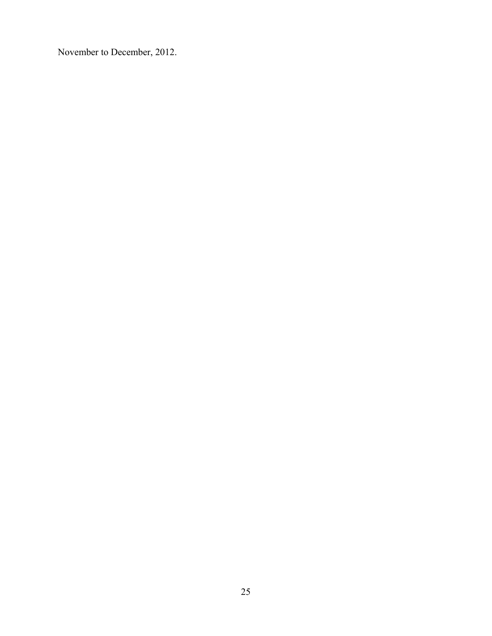November to December, 2012.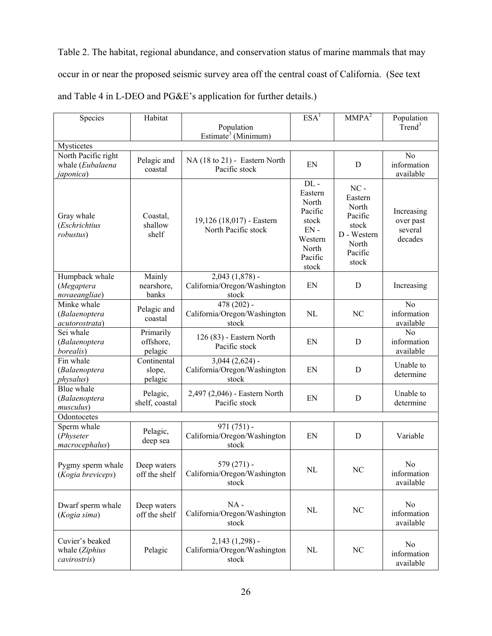Table 2. The habitat, regional abundance, and conservation status of marine mammals that may occur in or near the proposed seismic survey area off the central coast of California. (See text and Table 4 in L-DEO and PG&E's application for further details.)

| Species                                           | Habitat                           |                                                              | ESA <sup>1</sup>                                                                                 | MMPA <sup>2</sup>                                                                          | Population                                    |
|---------------------------------------------------|-----------------------------------|--------------------------------------------------------------|--------------------------------------------------------------------------------------------------|--------------------------------------------------------------------------------------------|-----------------------------------------------|
|                                                   |                                   | Population                                                   |                                                                                                  |                                                                                            | Trend <sup>3</sup>                            |
| Mysticetes                                        |                                   | Estimate <sup>3</sup> (Minimum)                              |                                                                                                  |                                                                                            |                                               |
| North Pacific right                               | Pelagic and                       | NA (18 to 21) - Eastern North                                | EN                                                                                               | D                                                                                          | N <sub>0</sub><br>information                 |
| whale (Eubalaena<br><i>japonica</i> )             | coastal                           | Pacific stock                                                |                                                                                                  |                                                                                            | available                                     |
| Gray whale<br>(Eschrichtius<br>robustus)          | Coastal,<br>shallow<br>shelf      | 19,126 (18,017) - Eastern<br>North Pacific stock             | $DL -$<br>Eastern<br>North<br>Pacific<br>stock<br>$EN -$<br>Western<br>North<br>Pacific<br>stock | $NC -$<br>Eastern<br>North<br>Pacific<br>stock<br>D - Western<br>North<br>Pacific<br>stock | Increasing<br>over past<br>several<br>decades |
| Humpback whale<br>(Megaptera<br>novaeangliae)     | Mainly<br>nearshore,<br>banks     | $2,043$ $(1,878)$ -<br>California/Oregon/Washington<br>stock | EN                                                                                               | $\mathbf D$                                                                                | Increasing                                    |
| Minke whale<br>(Balaenoptera<br>acutorostrata)    | Pelagic and<br>coastal            | $478(202)$ -<br>California/Oregon/Washington<br>stock        | NL                                                                                               | NC                                                                                         | N <sub>o</sub><br>information<br>available    |
| Sei whale<br>(Balaenoptera<br>borealis)           | Primarily<br>offshore,<br>pelagic | 126 (83) - Eastern North<br>Pacific stock                    | EN                                                                                               | D                                                                                          | N <sub>o</sub><br>information<br>available    |
| Fin whale<br>(Balaenoptera<br><i>physalus</i> )   | Continental<br>slope,<br>pelagic  | $3,044$ $(2,624)$ -<br>California/Oregon/Washington<br>stock | EN                                                                                               | $\mathbf D$                                                                                | Unable to<br>determine                        |
| Blue whale<br>(Balaenoptera<br>musculus)          | Pelagic,<br>shelf, coastal        | 2,497 (2,046) - Eastern North<br>Pacific stock               | EN                                                                                               | $\mathbf D$                                                                                | Unable to<br>determine                        |
| Odontocetes                                       |                                   |                                                              |                                                                                                  |                                                                                            |                                               |
| Sperm whale<br>(Physeter<br>macrocephalus)        | Pelagic,<br>deep sea              | $971(751)$ -<br>California/Oregon/Washington<br>stock        | EN                                                                                               | D                                                                                          | Variable                                      |
| Pygmy sperm whale<br>(Kogia breviceps)            | Deep waters<br>off the shelf      | $579(271)$ -<br>California/Oregon/Washington<br>stock        | $\rm NL$                                                                                         | NC                                                                                         | No<br>information<br>available                |
| Dwarf sperm whale<br>(Kogia sima)                 | Deep waters<br>off the shelf      | $NA -$<br>California/Oregon/Washington<br>stock              | $\rm NL$                                                                                         | $\rm NC$                                                                                   | N <sub>0</sub><br>information<br>available    |
| Cuvier's beaked<br>whale (Ziphius<br>cavirostris) | Pelagic                           | $2,143(1,298)$ -<br>California/Oregon/Washington<br>stock    | $\rm NL$                                                                                         | NC                                                                                         | No<br>information<br>available                |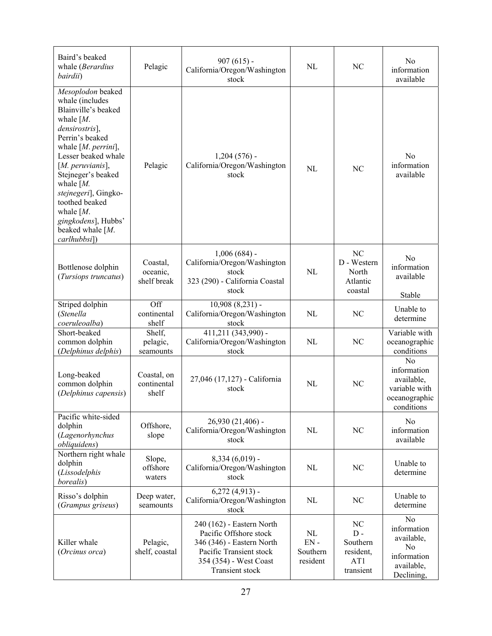| Baird's beaked<br>whale (Berardius<br>bairdii)                                                                                                                                                                                                                                                                                                            | Pelagic                             | $907(615)$ -<br>California/Oregon/Washington<br>stock                                                                                                    | NL                                   | N <sub>C</sub>                                           | N <sub>0</sub><br>information<br>available                                                               |
|-----------------------------------------------------------------------------------------------------------------------------------------------------------------------------------------------------------------------------------------------------------------------------------------------------------------------------------------------------------|-------------------------------------|----------------------------------------------------------------------------------------------------------------------------------------------------------|--------------------------------------|----------------------------------------------------------|----------------------------------------------------------------------------------------------------------|
| Mesoplodon beaked<br>whale (includes<br>Blainville's beaked<br>whale $[M]$ .<br>densirostris],<br>Perrin's beaked<br>whale $[M.$ perrini],<br>Lesser beaked whale<br>$[M.$ peruvianis],<br>Stejneger's beaked<br>whale $[M]$ .<br>stejnegeri], Gingko-<br>toothed beaked<br>whale $[M.$<br>gingkodens], Hubbs'<br>beaked whale $[M]$ .<br>$carlhubbsi$ ]) | Pelagic                             | $1,204(576)$ -<br>California/Oregon/Washington<br>stock                                                                                                  | NL                                   | NC                                                       | N <sub>0</sub><br>information<br>available                                                               |
| Bottlenose dolphin<br>(Tursiops truncatus)                                                                                                                                                                                                                                                                                                                | Coastal,<br>oceanic,<br>shelf break | $1,006(684)$ -<br>California/Oregon/Washington<br>stock<br>323 (290) - California Coastal<br>stock                                                       | NL                                   | NC<br>D - Western<br>North<br>Atlantic<br>coastal        | N <sub>0</sub><br>information<br>available<br>Stable                                                     |
| Striped dolphin<br>(Stenella<br>coeruleoalba)                                                                                                                                                                                                                                                                                                             | Off<br>continental<br>shelf         | $10,908(8,231)$ -<br>California/Oregon/Washington<br>stock                                                                                               | NL                                   | NC                                                       | Unable to<br>determine                                                                                   |
| Short-beaked<br>common dolphin<br>(Delphinus delphis)                                                                                                                                                                                                                                                                                                     | Shelf,<br>pelagic,<br>seamounts     | 411,211 (343,990) -<br>California/Oregon/Washington<br>stock                                                                                             | NL                                   | NC                                                       | Variable with<br>oceanographic<br>conditions                                                             |
| Long-beaked<br>common dolphin<br>(Delphinus capensis)                                                                                                                                                                                                                                                                                                     | Coastal, on<br>continental<br>shelf | 27,046 (17,127) - California<br>stock                                                                                                                    | NL                                   | NC                                                       | No<br>information<br>available,<br>variable with<br>oceanographic<br>conditions                          |
| Pacific white-sided<br>dolphin<br>(Lagenorhynchus<br>obliquidens)                                                                                                                                                                                                                                                                                         | Offshore,<br>slope                  | 26,930 (21,406) -<br>California/Oregon/Washington<br>stock                                                                                               | NL                                   | NC                                                       | N <sub>o</sub><br>information<br>available                                                               |
| Northern right whale<br>dolphin<br>(Lissodelphis<br>borealis)                                                                                                                                                                                                                                                                                             | Slope,<br>offshore<br>waters        | $8,334(6,019)$ -<br>California/Oregon/Washington<br>stock                                                                                                | NL                                   | NC                                                       | Unable to<br>determine                                                                                   |
| Risso's dolphin<br>(Grampus griseus)                                                                                                                                                                                                                                                                                                                      | Deep water,<br>seamounts            | $6,272$ $(4,913)$ -<br>California/Oregon/Washington<br>stock                                                                                             | NL                                   | NC                                                       | Unable to<br>determine                                                                                   |
| Killer whale<br>(Orcinus orca)                                                                                                                                                                                                                                                                                                                            | Pelagic,<br>shelf, coastal          | 240 (162) - Eastern North<br>Pacific Offshore stock<br>346 (346) - Eastern North<br>Pacific Transient stock<br>354 (354) - West Coast<br>Transient stock | NL<br>$EN -$<br>Southern<br>resident | NC<br>$D -$<br>Southern<br>resident,<br>AT1<br>transient | N <sub>o</sub><br>information<br>available,<br>N <sub>o</sub><br>information<br>available,<br>Declining, |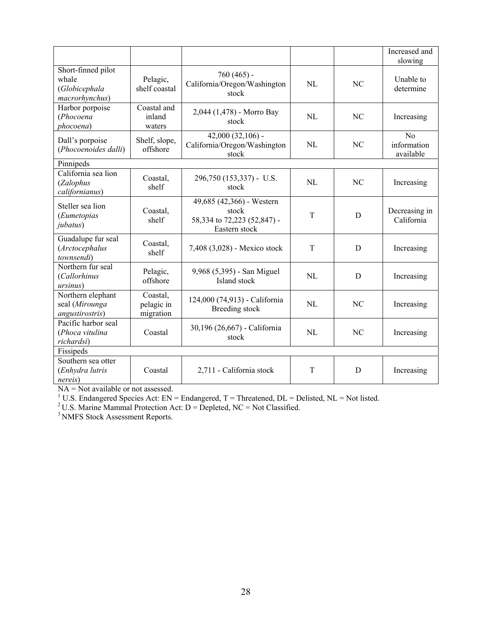|                                                                |                                     |                                                                                    |     |                | Increased and<br>slowing       |
|----------------------------------------------------------------|-------------------------------------|------------------------------------------------------------------------------------|-----|----------------|--------------------------------|
| Short-finned pilot<br>whale<br>(Globicephala<br>macrorhynchus) | Pelagic,<br>shelf coastal           | $760(465)$ -<br>California/Oregon/Washington<br>stock                              | NI. | NC             | Unable to<br>determine         |
| Harbor porpoise<br>(Phocoena<br>phocoena)                      | Coastal and<br>inland<br>waters     | 2,044 (1,478) - Morro Bay<br>stock                                                 | NI. | NC             | Increasing                     |
| Dall's porpoise<br>(Phocoenoides dalli)                        | Shelf, slope,<br>offshore           | $42,000(32,106)$ -<br>California/Oregon/Washington<br>stock                        | NL  | NC             | No<br>information<br>available |
| Pinnipeds                                                      |                                     |                                                                                    |     |                |                                |
| California sea lion<br>(Zalophus<br>californianus)             | Coastal,<br>shelf                   | 296,750 (153,337) - U.S.<br>stock                                                  | NL  | N <sub>C</sub> | Increasing                     |
| Steller sea lion<br>(Eumetopias<br><i>jubatus</i> )            | Coastal,<br>shelf                   | 49,685 (42,366) - Western<br>stock<br>58,334 to 72,223 (52,847) -<br>Eastern stock | T   | D              | Decreasing in<br>California    |
| Guadalupe fur seal<br>(Arctocephalus<br>townsendi)             | Coastal,<br>shelf                   | 7,408 (3,028) - Mexico stock                                                       | T   | D              | Increasing                     |
| Northern fur seal<br>(Callorhinus<br>ursinus)                  | Pelagic,<br>offshore                | 9,968 (5,395) - San Miguel<br>Island stock                                         | NL  | D              | Increasing                     |
| Northern elephant<br>seal (Mirounga<br>angustirostris)         | Coastal,<br>pelagic in<br>migration | 124,000 (74,913) - California<br>Breeding stock                                    | NI. | NC             | Increasing                     |
| Pacific harbor seal<br>(Phoca vitulina<br>richardsi)           | Coastal                             | 30,196 (26,667) - California<br>stock                                              | NL  | NC             | Increasing                     |
| Fissipeds                                                      |                                     |                                                                                    |     |                |                                |
| Southern sea otter<br>(Enhydra lutris<br><i>nereis</i> )       | Coastal                             | 2,711 - California stock                                                           | T   | D              | Increasing                     |

NA = Not available or not assessed.<br><sup>1</sup> U.S. Endangered Species Act: EN = Endangered, T = Threatened, DL = Delisted, NL = Not listed.<br><sup>2</sup> U.S. Marine Mammal Protection Act: D = Depleted, NC = Not Classified.<br><sup>3</sup> NMFS Stoc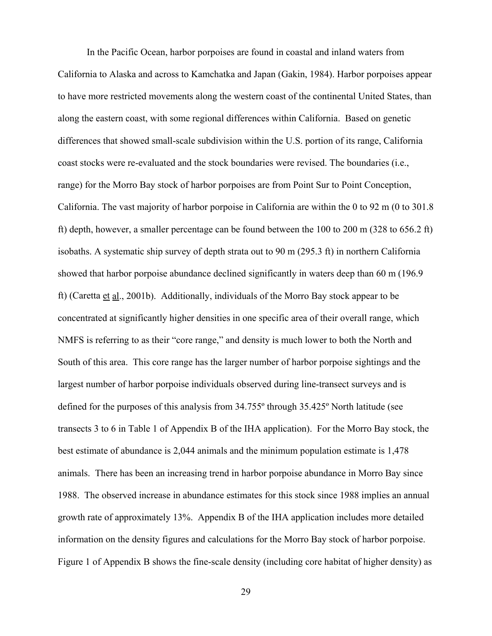In the Pacific Ocean, harbor porpoises are found in coastal and inland waters from California to Alaska and across to Kamchatka and Japan (Gakin, 1984). Harbor porpoises appear to have more restricted movements along the western coast of the continental United States, than along the eastern coast, with some regional differences within California. Based on genetic differences that showed small-scale subdivision within the U.S. portion of its range, California coast stocks were re-evaluated and the stock boundaries were revised. The boundaries (i.e., range) for the Morro Bay stock of harbor porpoises are from Point Sur to Point Conception, California. The vast majority of harbor porpoise in California are within the 0 to 92 m (0 to 301.8 ft) depth, however, a smaller percentage can be found between the 100 to 200 m (328 to 656.2 ft) isobaths. A systematic ship survey of depth strata out to 90 m (295.3 ft) in northern California showed that harbor porpoise abundance declined significantly in waters deep than 60 m (196.9 ft) (Caretta et al., 2001b). Additionally, individuals of the Morro Bay stock appear to be concentrated at significantly higher densities in one specific area of their overall range, which NMFS is referring to as their "core range," and density is much lower to both the North and South of this area. This core range has the larger number of harbor porpoise sightings and the largest number of harbor porpoise individuals observed during line-transect surveys and is defined for the purposes of this analysis from 34.755º through 35.425º North latitude (see transects 3 to 6 in Table 1 of Appendix B of the IHA application). For the Morro Bay stock, the best estimate of abundance is 2,044 animals and the minimum population estimate is 1,478 animals. There has been an increasing trend in harbor porpoise abundance in Morro Bay since 1988. The observed increase in abundance estimates for this stock since 1988 implies an annual growth rate of approximately 13%. Appendix B of the IHA application includes more detailed information on the density figures and calculations for the Morro Bay stock of harbor porpoise. Figure 1 of Appendix B shows the fine-scale density (including core habitat of higher density) as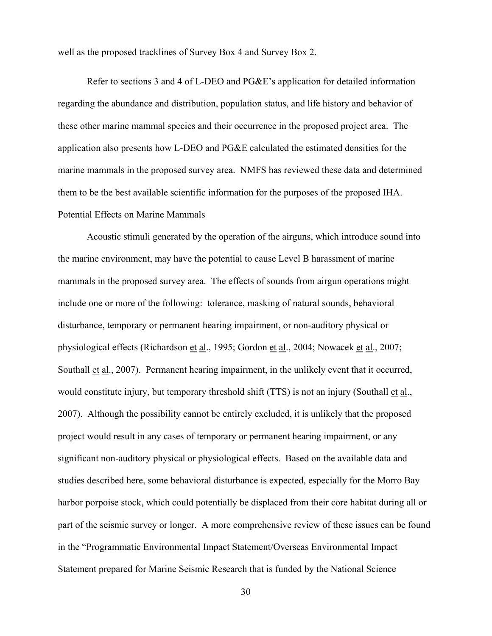well as the proposed tracklines of Survey Box 4 and Survey Box 2.

Refer to sections 3 and 4 of L-DEO and PG&E's application for detailed information regarding the abundance and distribution, population status, and life history and behavior of these other marine mammal species and their occurrence in the proposed project area. The application also presents how L-DEO and PG&E calculated the estimated densities for the marine mammals in the proposed survey area. NMFS has reviewed these data and determined them to be the best available scientific information for the purposes of the proposed IHA. Potential Effects on Marine Mammals

Acoustic stimuli generated by the operation of the airguns, which introduce sound into the marine environment, may have the potential to cause Level B harassment of marine mammals in the proposed survey area. The effects of sounds from airgun operations might include one or more of the following: tolerance, masking of natural sounds, behavioral disturbance, temporary or permanent hearing impairment, or non-auditory physical or physiological effects (Richardson et al., 1995; Gordon et al., 2004; Nowacek et al., 2007; Southall et al., 2007). Permanent hearing impairment, in the unlikely event that it occurred, would constitute injury, but temporary threshold shift (TTS) is not an injury (Southall et al., 2007). Although the possibility cannot be entirely excluded, it is unlikely that the proposed project would result in any cases of temporary or permanent hearing impairment, or any significant non-auditory physical or physiological effects. Based on the available data and studies described here, some behavioral disturbance is expected, especially for the Morro Bay harbor porpoise stock, which could potentially be displaced from their core habitat during all or part of the seismic survey or longer. A more comprehensive review of these issues can be found in the "Programmatic Environmental Impact Statement/Overseas Environmental Impact Statement prepared for Marine Seismic Research that is funded by the National Science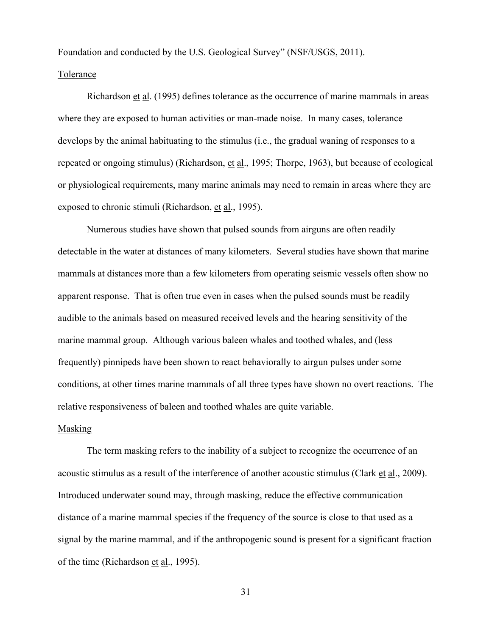Foundation and conducted by the U.S. Geological Survey" (NSF/USGS, 2011).

#### Tolerance

Richardson et al. (1995) defines tolerance as the occurrence of marine mammals in areas where they are exposed to human activities or man-made noise. In many cases, tolerance develops by the animal habituating to the stimulus (i.e., the gradual waning of responses to a repeated or ongoing stimulus) (Richardson, et al., 1995; Thorpe, 1963), but because of ecological or physiological requirements, many marine animals may need to remain in areas where they are exposed to chronic stimuli (Richardson, et al., 1995).

Numerous studies have shown that pulsed sounds from airguns are often readily detectable in the water at distances of many kilometers. Several studies have shown that marine mammals at distances more than a few kilometers from operating seismic vessels often show no apparent response. That is often true even in cases when the pulsed sounds must be readily audible to the animals based on measured received levels and the hearing sensitivity of the marine mammal group. Although various baleen whales and toothed whales, and (less frequently) pinnipeds have been shown to react behaviorally to airgun pulses under some conditions, at other times marine mammals of all three types have shown no overt reactions. The relative responsiveness of baleen and toothed whales are quite variable.

## Masking

The term masking refers to the inability of a subject to recognize the occurrence of an acoustic stimulus as a result of the interference of another acoustic stimulus (Clark et al., 2009). Introduced underwater sound may, through masking, reduce the effective communication distance of a marine mammal species if the frequency of the source is close to that used as a signal by the marine mammal, and if the anthropogenic sound is present for a significant fraction of the time (Richardson et al., 1995).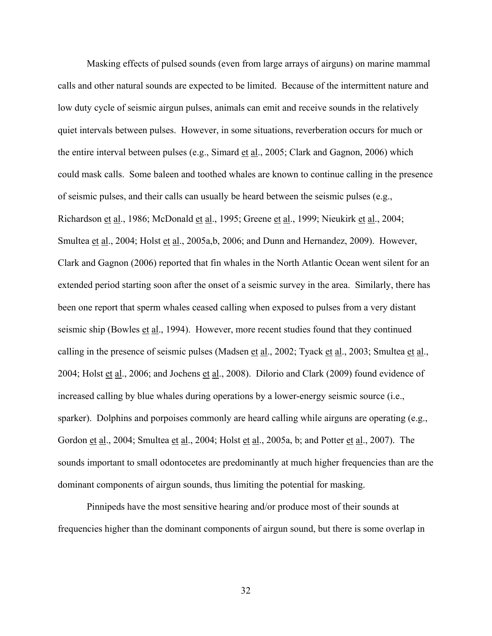Masking effects of pulsed sounds (even from large arrays of airguns) on marine mammal calls and other natural sounds are expected to be limited. Because of the intermittent nature and low duty cycle of seismic airgun pulses, animals can emit and receive sounds in the relatively quiet intervals between pulses. However, in some situations, reverberation occurs for much or the entire interval between pulses (e.g., Simard et al., 2005; Clark and Gagnon, 2006) which could mask calls. Some baleen and toothed whales are known to continue calling in the presence of seismic pulses, and their calls can usually be heard between the seismic pulses (e.g., Richardson et al., 1986; McDonald et al., 1995; Greene et al., 1999; Nieukirk et al., 2004; Smultea et al., 2004; Holst et al., 2005a,b, 2006; and Dunn and Hernandez, 2009). However, Clark and Gagnon (2006) reported that fin whales in the North Atlantic Ocean went silent for an extended period starting soon after the onset of a seismic survey in the area. Similarly, there has been one report that sperm whales ceased calling when exposed to pulses from a very distant seismic ship (Bowles et al., 1994). However, more recent studies found that they continued calling in the presence of seismic pulses (Madsen et al., 2002; Tyack et al., 2003; Smultea et al., 2004; Holst et al., 2006; and Jochens et al., 2008). Dilorio and Clark (2009) found evidence of increased calling by blue whales during operations by a lower-energy seismic source (i.e., sparker). Dolphins and porpoises commonly are heard calling while airguns are operating (e.g., Gordon et al., 2004; Smultea et al., 2004; Holst et al., 2005a, b; and Potter et al., 2007). The sounds important to small odontocetes are predominantly at much higher frequencies than are the dominant components of airgun sounds, thus limiting the potential for masking.

Pinnipeds have the most sensitive hearing and/or produce most of their sounds at frequencies higher than the dominant components of airgun sound, but there is some overlap in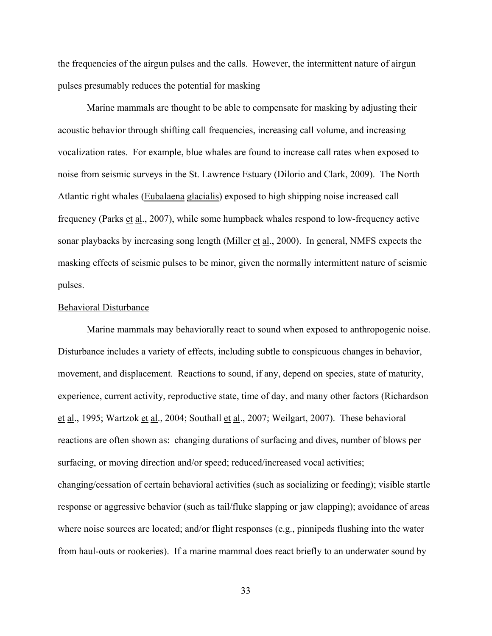the frequencies of the airgun pulses and the calls. However, the intermittent nature of airgun pulses presumably reduces the potential for masking

Marine mammals are thought to be able to compensate for masking by adjusting their acoustic behavior through shifting call frequencies, increasing call volume, and increasing vocalization rates. For example, blue whales are found to increase call rates when exposed to noise from seismic surveys in the St. Lawrence Estuary (Dilorio and Clark, 2009). The North Atlantic right whales (Eubalaena glacialis) exposed to high shipping noise increased call frequency (Parks et al., 2007), while some humpback whales respond to low-frequency active sonar playbacks by increasing song length (Miller et al., 2000). In general, NMFS expects the masking effects of seismic pulses to be minor, given the normally intermittent nature of seismic pulses.

### Behavioral Disturbance

Marine mammals may behaviorally react to sound when exposed to anthropogenic noise. Disturbance includes a variety of effects, including subtle to conspicuous changes in behavior, movement, and displacement. Reactions to sound, if any, depend on species, state of maturity, experience, current activity, reproductive state, time of day, and many other factors (Richardson et al., 1995; Wartzok et al., 2004; Southall et al., 2007; Weilgart, 2007). These behavioral reactions are often shown as: changing durations of surfacing and dives, number of blows per surfacing, or moving direction and/or speed; reduced/increased vocal activities; changing/cessation of certain behavioral activities (such as socializing or feeding); visible startle response or aggressive behavior (such as tail/fluke slapping or jaw clapping); avoidance of areas where noise sources are located; and/or flight responses (e.g., pinnipeds flushing into the water from haul-outs or rookeries). If a marine mammal does react briefly to an underwater sound by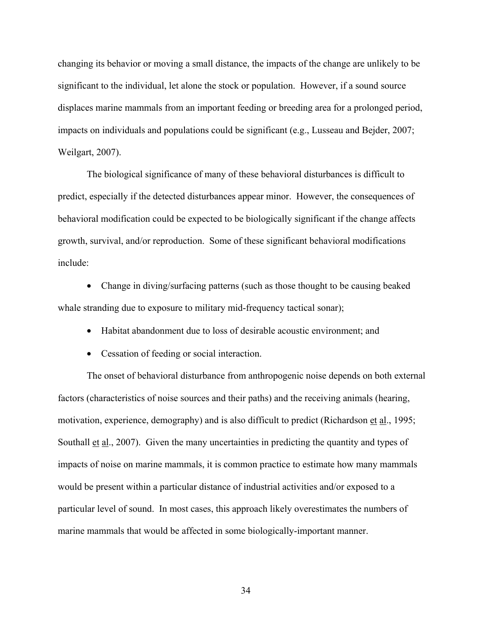changing its behavior or moving a small distance, the impacts of the change are unlikely to be significant to the individual, let alone the stock or population. However, if a sound source displaces marine mammals from an important feeding or breeding area for a prolonged period, impacts on individuals and populations could be significant (e.g., Lusseau and Bejder, 2007; Weilgart, 2007).

The biological significance of many of these behavioral disturbances is difficult to predict, especially if the detected disturbances appear minor. However, the consequences of behavioral modification could be expected to be biologically significant if the change affects growth, survival, and/or reproduction. Some of these significant behavioral modifications include:

• Change in diving/surfacing patterns (such as those thought to be causing beaked whale stranding due to exposure to military mid-frequency tactical sonar);

- Habitat abandonment due to loss of desirable acoustic environment; and
- Cessation of feeding or social interaction.

The onset of behavioral disturbance from anthropogenic noise depends on both external factors (characteristics of noise sources and their paths) and the receiving animals (hearing, motivation, experience, demography) and is also difficult to predict (Richardson et al., 1995; Southall et al., 2007). Given the many uncertainties in predicting the quantity and types of impacts of noise on marine mammals, it is common practice to estimate how many mammals would be present within a particular distance of industrial activities and/or exposed to a particular level of sound. In most cases, this approach likely overestimates the numbers of marine mammals that would be affected in some biologically-important manner.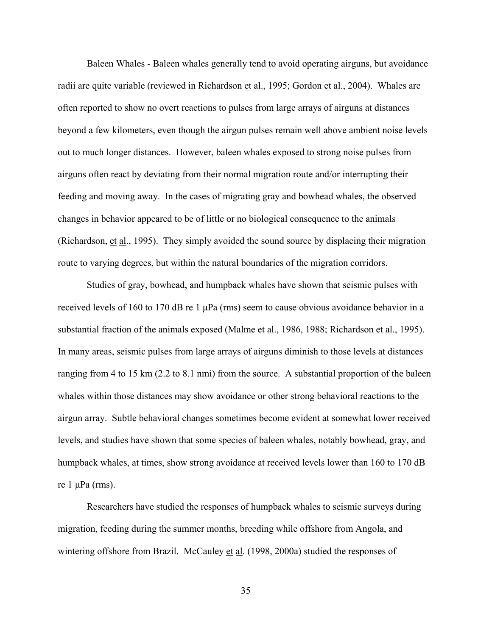Baleen Whales - Baleen whales generally tend to avoid operating airguns, but avoidance radii are quite variable (reviewed in Richardson et al., 1995; Gordon et al., 2004). Whales are often reported to show no overt reactions to pulses from large arrays of airguns at distances beyond a few kilometers, even though the airgun pulses remain well above ambient noise levels out to much longer distances. However, baleen whales exposed to strong noise pulses from airguns often react by deviating from their normal migration route and/or interrupting their feeding and moving away. In the cases of migrating gray and bowhead whales, the observed changes in behavior appeared to be of little or no biological consequence to the animals (Richardson, et al., 1995). They simply avoided the sound source by displacing their migration route to varying degrees, but within the natural boundaries of the migration corridors.

Studies of gray, bowhead, and humpback whales have shown that seismic pulses with received levels of 160 to 170 dB re 1 μPa (rms) seem to cause obvious avoidance behavior in a substantial fraction of the animals exposed (Malme et al., 1986, 1988; Richardson et al., 1995). In many areas, seismic pulses from large arrays of airguns diminish to those levels at distances ranging from 4 to 15 km (2.2 to 8.1 nmi) from the source. A substantial proportion of the baleen whales within those distances may show avoidance or other strong behavioral reactions to the airgun array. Subtle behavioral changes sometimes become evident at somewhat lower received levels, and studies have shown that some species of baleen whales, notably bowhead, gray, and humpback whales, at times, show strong avoidance at received levels lower than 160 to 170 dB re 1 μPa (rms).

Researchers have studied the responses of humpback whales to seismic surveys during migration, feeding during the summer months, breeding while offshore from Angola, and wintering offshore from Brazil. McCauley et al. (1998, 2000a) studied the responses of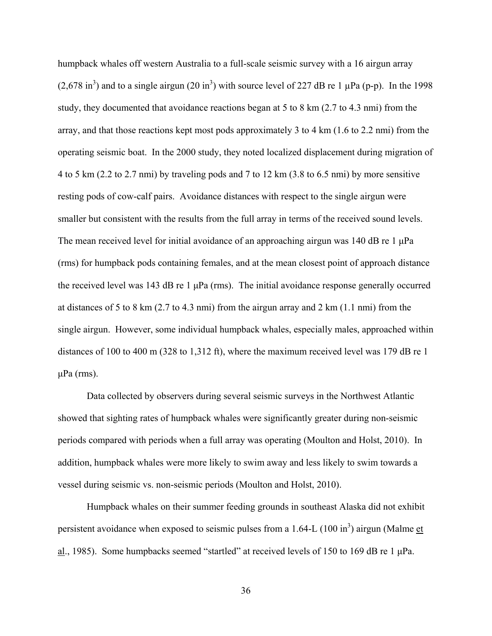humpback whales off western Australia to a full-scale seismic survey with a 16 airgun array  $(2,678 \text{ in}^3)$  and to a single airgun  $(20 \text{ in}^3)$  with source level of 227 dB re 1 µPa (p-p). In the 1998 study, they documented that avoidance reactions began at 5 to 8 km (2.7 to 4.3 nmi) from the array, and that those reactions kept most pods approximately 3 to 4 km (1.6 to 2.2 nmi) from the operating seismic boat. In the 2000 study, they noted localized displacement during migration of 4 to 5 km (2.2 to 2.7 nmi) by traveling pods and 7 to 12 km (3.8 to 6.5 nmi) by more sensitive resting pods of cow-calf pairs. Avoidance distances with respect to the single airgun were smaller but consistent with the results from the full array in terms of the received sound levels. The mean received level for initial avoidance of an approaching airgun was 140 dB re 1 μPa (rms) for humpback pods containing females, and at the mean closest point of approach distance the received level was 143 dB re 1  $\mu$ Pa (rms). The initial avoidance response generally occurred at distances of 5 to 8 km (2.7 to 4.3 nmi) from the airgun array and 2 km (1.1 nmi) from the single airgun. However, some individual humpback whales, especially males, approached within distances of 100 to 400 m (328 to 1,312 ft), where the maximum received level was 179 dB re 1 μPa (rms).

Data collected by observers during several seismic surveys in the Northwest Atlantic showed that sighting rates of humpback whales were significantly greater during non-seismic periods compared with periods when a full array was operating (Moulton and Holst, 2010). In addition, humpback whales were more likely to swim away and less likely to swim towards a vessel during seismic vs. non-seismic periods (Moulton and Holst, 2010).

Humpback whales on their summer feeding grounds in southeast Alaska did not exhibit persistent avoidance when exposed to seismic pulses from a 1.64-L (100 in<sup>3</sup>) airgun (Malme  $et$ </u> al., 1985). Some humpbacks seemed "startled" at received levels of 150 to 169 dB re 1 μPa.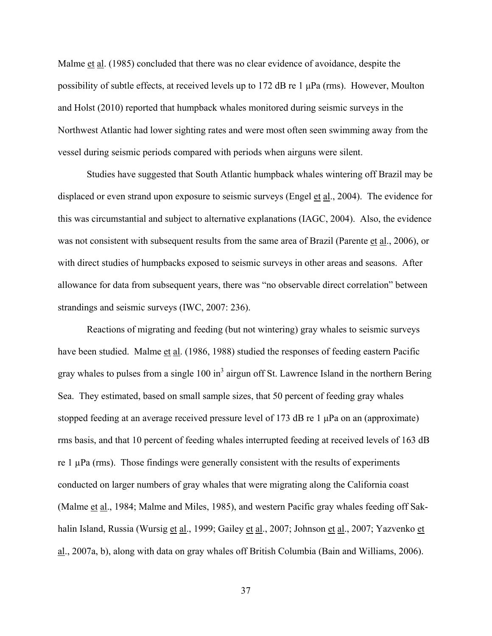Malme et al. (1985) concluded that there was no clear evidence of avoidance, despite the possibility of subtle effects, at received levels up to 172 dB re 1 μPa (rms). However, Moulton and Holst (2010) reported that humpback whales monitored during seismic surveys in the Northwest Atlantic had lower sighting rates and were most often seen swimming away from the vessel during seismic periods compared with periods when airguns were silent.

Studies have suggested that South Atlantic humpback whales wintering off Brazil may be displaced or even strand upon exposure to seismic surveys (Engel et al., 2004). The evidence for this was circumstantial and subject to alternative explanations (IAGC, 2004). Also, the evidence was not consistent with subsequent results from the same area of Brazil (Parente et al., 2006), or with direct studies of humpbacks exposed to seismic surveys in other areas and seasons. After allowance for data from subsequent years, there was "no observable direct correlation" between strandings and seismic surveys (IWC, 2007: 236).

Reactions of migrating and feeding (but not wintering) gray whales to seismic surveys have been studied. Malme et al. (1986, 1988) studied the responses of feeding eastern Pacific gray whales to pulses from a single  $100 \text{ in}^3$  airgun off St. Lawrence Island in the northern Bering Sea. They estimated, based on small sample sizes, that 50 percent of feeding gray whales stopped feeding at an average received pressure level of 173 dB re 1 μPa on an (approximate) rms basis, and that 10 percent of feeding whales interrupted feeding at received levels of 163 dB re  $1 \mu Pa$  (rms). Those findings were generally consistent with the results of experiments conducted on larger numbers of gray whales that were migrating along the California coast (Malme et al., 1984; Malme and Miles, 1985), and western Pacific gray whales feeding off Sakhalin Island, Russia (Wursig et al., 1999; Gailey et al., 2007; Johnson et al., 2007; Yazvenko et al., 2007a, b), along with data on gray whales off British Columbia (Bain and Williams, 2006).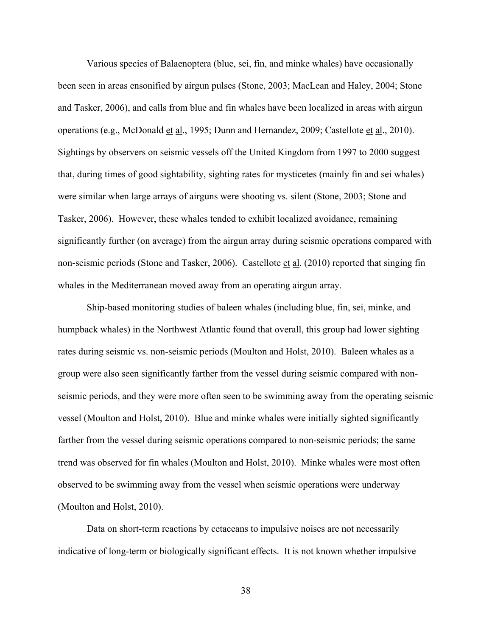Various species of Balaenoptera (blue, sei, fin, and minke whales) have occasionally been seen in areas ensonified by airgun pulses (Stone, 2003; MacLean and Haley, 2004; Stone and Tasker, 2006), and calls from blue and fin whales have been localized in areas with airgun operations (e.g., McDonald et al., 1995; Dunn and Hernandez, 2009; Castellote et al., 2010). Sightings by observers on seismic vessels off the United Kingdom from 1997 to 2000 suggest that, during times of good sightability, sighting rates for mysticetes (mainly fin and sei whales) were similar when large arrays of airguns were shooting vs. silent (Stone, 2003; Stone and Tasker, 2006). However, these whales tended to exhibit localized avoidance, remaining significantly further (on average) from the airgun array during seismic operations compared with non-seismic periods (Stone and Tasker, 2006). Castellote et al. (2010) reported that singing fin whales in the Mediterranean moved away from an operating airgun array.

Ship-based monitoring studies of baleen whales (including blue, fin, sei, minke, and humpback whales) in the Northwest Atlantic found that overall, this group had lower sighting rates during seismic vs. non-seismic periods (Moulton and Holst, 2010). Baleen whales as a group were also seen significantly farther from the vessel during seismic compared with nonseismic periods, and they were more often seen to be swimming away from the operating seismic vessel (Moulton and Holst, 2010). Blue and minke whales were initially sighted significantly farther from the vessel during seismic operations compared to non-seismic periods; the same trend was observed for fin whales (Moulton and Holst, 2010). Minke whales were most often observed to be swimming away from the vessel when seismic operations were underway (Moulton and Holst, 2010).

Data on short-term reactions by cetaceans to impulsive noises are not necessarily indicative of long-term or biologically significant effects. It is not known whether impulsive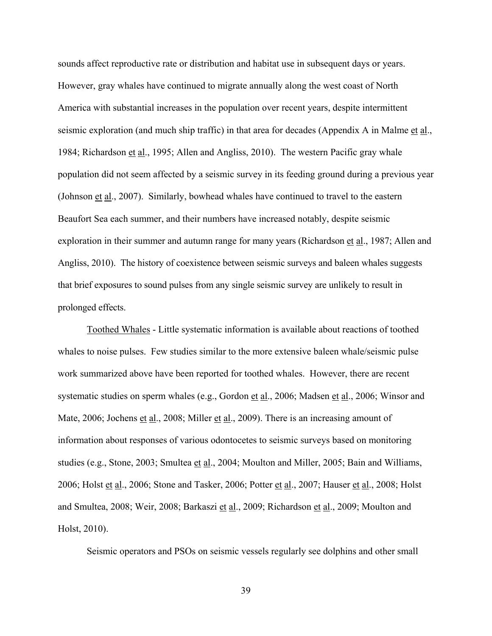sounds affect reproductive rate or distribution and habitat use in subsequent days or years. However, gray whales have continued to migrate annually along the west coast of North America with substantial increases in the population over recent years, despite intermittent seismic exploration (and much ship traffic) in that area for decades (Appendix A in Malme et al., 1984; Richardson et al., 1995; Allen and Angliss, 2010). The western Pacific gray whale population did not seem affected by a seismic survey in its feeding ground during a previous year (Johnson et al., 2007). Similarly, bowhead whales have continued to travel to the eastern Beaufort Sea each summer, and their numbers have increased notably, despite seismic exploration in their summer and autumn range for many years (Richardson et al., 1987; Allen and Angliss, 2010). The history of coexistence between seismic surveys and baleen whales suggests that brief exposures to sound pulses from any single seismic survey are unlikely to result in prolonged effects.

Toothed Whales - Little systematic information is available about reactions of toothed whales to noise pulses. Few studies similar to the more extensive baleen whale/seismic pulse work summarized above have been reported for toothed whales. However, there are recent systematic studies on sperm whales (e.g., Gordon et al., 2006; Madsen et al., 2006; Winsor and Mate, 2006; Jochens et al., 2008; Miller et al., 2009). There is an increasing amount of information about responses of various odontocetes to seismic surveys based on monitoring studies (e.g., Stone, 2003; Smultea et al., 2004; Moulton and Miller, 2005; Bain and Williams, 2006; Holst et al., 2006; Stone and Tasker, 2006; Potter et al., 2007; Hauser et al., 2008; Holst and Smultea, 2008; Weir, 2008; Barkaszi et al., 2009; Richardson et al., 2009; Moulton and Holst, 2010).

Seismic operators and PSOs on seismic vessels regularly see dolphins and other small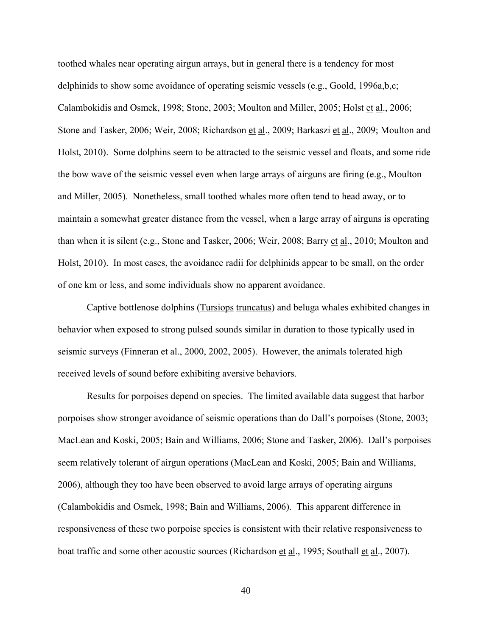toothed whales near operating airgun arrays, but in general there is a tendency for most delphinids to show some avoidance of operating seismic vessels (e.g., Goold, 1996a,b,c; Calambokidis and Osmek, 1998; Stone, 2003; Moulton and Miller, 2005; Holst et al., 2006; Stone and Tasker, 2006; Weir, 2008; Richardson et al., 2009; Barkaszi et al., 2009; Moulton and Holst, 2010). Some dolphins seem to be attracted to the seismic vessel and floats, and some ride the bow wave of the seismic vessel even when large arrays of airguns are firing (e.g., Moulton and Miller, 2005). Nonetheless, small toothed whales more often tend to head away, or to maintain a somewhat greater distance from the vessel, when a large array of airguns is operating than when it is silent (e.g., Stone and Tasker, 2006; Weir, 2008; Barry et al., 2010; Moulton and Holst, 2010). In most cases, the avoidance radii for delphinids appear to be small, on the order of one km or less, and some individuals show no apparent avoidance.

Captive bottlenose dolphins (Tursiops truncatus) and beluga whales exhibited changes in behavior when exposed to strong pulsed sounds similar in duration to those typically used in seismic surveys (Finneran et al., 2000, 2002, 2005). However, the animals tolerated high received levels of sound before exhibiting aversive behaviors.

Results for porpoises depend on species. The limited available data suggest that harbor porpoises show stronger avoidance of seismic operations than do Dall's porpoises (Stone, 2003; MacLean and Koski, 2005; Bain and Williams, 2006; Stone and Tasker, 2006). Dall's porpoises seem relatively tolerant of airgun operations (MacLean and Koski, 2005; Bain and Williams, 2006), although they too have been observed to avoid large arrays of operating airguns (Calambokidis and Osmek, 1998; Bain and Williams, 2006). This apparent difference in responsiveness of these two porpoise species is consistent with their relative responsiveness to boat traffic and some other acoustic sources (Richardson et al., 1995; Southall et al., 2007).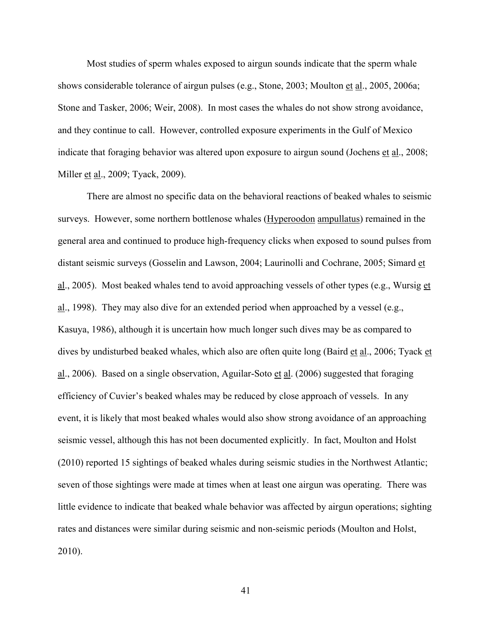Most studies of sperm whales exposed to airgun sounds indicate that the sperm whale shows considerable tolerance of airgun pulses (e.g., Stone, 2003; Moulton et al., 2005, 2006a; Stone and Tasker, 2006; Weir, 2008). In most cases the whales do not show strong avoidance, and they continue to call. However, controlled exposure experiments in the Gulf of Mexico indicate that foraging behavior was altered upon exposure to airgun sound (Jochens et al., 2008; Miller <u>et al.</u>, 2009; Tyack, 2009).

There are almost no specific data on the behavioral reactions of beaked whales to seismic surveys. However, some northern bottlenose whales (Hyperoodon ampullatus) remained in the general area and continued to produce high-frequency clicks when exposed to sound pulses from distant seismic surveys (Gosselin and Lawson, 2004; Laurinolli and Cochrane, 2005; Simard et al., 2005). Most beaked whales tend to avoid approaching vessels of other types (e.g., Wursig et al., 1998). They may also dive for an extended period when approached by a vessel (e.g., Kasuya, 1986), although it is uncertain how much longer such dives may be as compared to dives by undisturbed beaked whales, which also are often quite long (Baird et al., 2006; Tyack et  $\underline{\text{al}}$ , 2006). Based on a single observation, Aguilar-Soto et al. (2006) suggested that foraging efficiency of Cuvier's beaked whales may be reduced by close approach of vessels. In any event, it is likely that most beaked whales would also show strong avoidance of an approaching seismic vessel, although this has not been documented explicitly. In fact, Moulton and Holst (2010) reported 15 sightings of beaked whales during seismic studies in the Northwest Atlantic; seven of those sightings were made at times when at least one airgun was operating. There was little evidence to indicate that beaked whale behavior was affected by airgun operations; sighting rates and distances were similar during seismic and non-seismic periods (Moulton and Holst, 2010).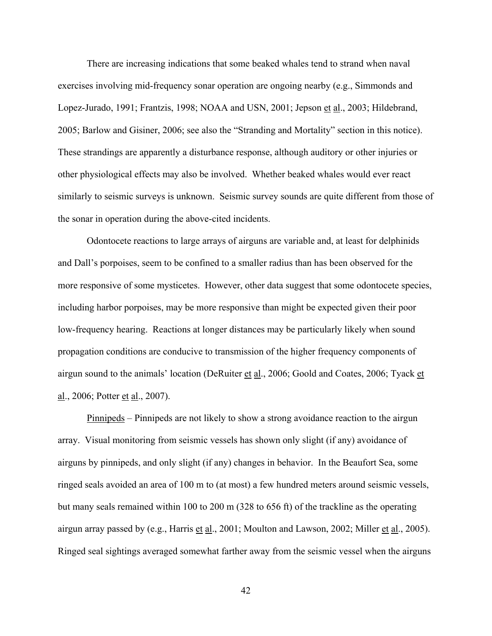There are increasing indications that some beaked whales tend to strand when naval exercises involving mid-frequency sonar operation are ongoing nearby (e.g., Simmonds and Lopez-Jurado, 1991; Frantzis, 1998; NOAA and USN, 2001; Jepson et al., 2003; Hildebrand, 2005; Barlow and Gisiner, 2006; see also the "Stranding and Mortality" section in this notice). These strandings are apparently a disturbance response, although auditory or other injuries or other physiological effects may also be involved. Whether beaked whales would ever react similarly to seismic surveys is unknown. Seismic survey sounds are quite different from those of the sonar in operation during the above-cited incidents.

Odontocete reactions to large arrays of airguns are variable and, at least for delphinids and Dall's porpoises, seem to be confined to a smaller radius than has been observed for the more responsive of some mysticetes. However, other data suggest that some odontocete species, including harbor porpoises, may be more responsive than might be expected given their poor low-frequency hearing. Reactions at longer distances may be particularly likely when sound propagation conditions are conducive to transmission of the higher frequency components of airgun sound to the animals' location (DeRuiter et al., 2006; Goold and Coates, 2006; Tyack et al., 2006; Potter et al., 2007).

Pinnipeds – Pinnipeds are not likely to show a strong avoidance reaction to the airgun array. Visual monitoring from seismic vessels has shown only slight (if any) avoidance of airguns by pinnipeds, and only slight (if any) changes in behavior. In the Beaufort Sea, some ringed seals avoided an area of 100 m to (at most) a few hundred meters around seismic vessels, but many seals remained within 100 to 200 m (328 to 656 ft) of the trackline as the operating airgun array passed by (e.g., Harris et al., 2001; Moulton and Lawson, 2002; Miller et al., 2005). Ringed seal sightings averaged somewhat farther away from the seismic vessel when the airguns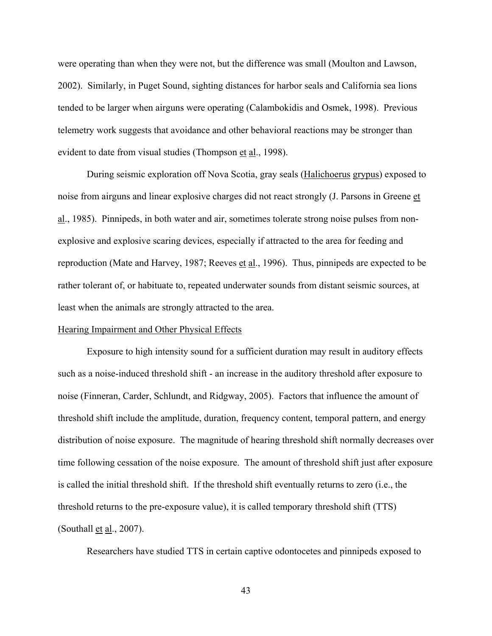were operating than when they were not, but the difference was small (Moulton and Lawson, 2002). Similarly, in Puget Sound, sighting distances for harbor seals and California sea lions tended to be larger when airguns were operating (Calambokidis and Osmek, 1998). Previous telemetry work suggests that avoidance and other behavioral reactions may be stronger than evident to date from visual studies (Thompson et al., 1998).

During seismic exploration off Nova Scotia, gray seals (Halichoerus grypus) exposed to noise from airguns and linear explosive charges did not react strongly (J. Parsons in Greene et al., 1985). Pinnipeds, in both water and air, sometimes tolerate strong noise pulses from nonexplosive and explosive scaring devices, especially if attracted to the area for feeding and reproduction (Mate and Harvey, 1987; Reeves et al., 1996). Thus, pinnipeds are expected to be rather tolerant of, or habituate to, repeated underwater sounds from distant seismic sources, at least when the animals are strongly attracted to the area.

## Hearing Impairment and Other Physical Effects

Exposure to high intensity sound for a sufficient duration may result in auditory effects such as a noise-induced threshold shift - an increase in the auditory threshold after exposure to noise (Finneran, Carder, Schlundt, and Ridgway, 2005). Factors that influence the amount of threshold shift include the amplitude, duration, frequency content, temporal pattern, and energy distribution of noise exposure. The magnitude of hearing threshold shift normally decreases over time following cessation of the noise exposure. The amount of threshold shift just after exposure is called the initial threshold shift. If the threshold shift eventually returns to zero (i.e., the threshold returns to the pre-exposure value), it is called temporary threshold shift (TTS) (Southall et al., 2007).

Researchers have studied TTS in certain captive odontocetes and pinnipeds exposed to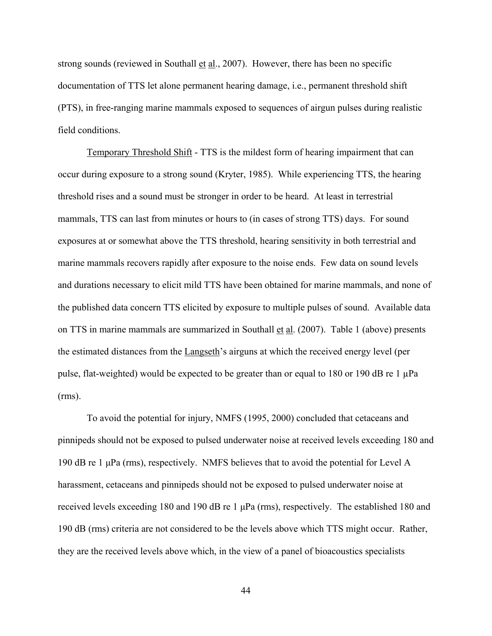strong sounds (reviewed in Southall  $et al., 2007$ ). However, there has been no specific</u> documentation of TTS let alone permanent hearing damage, i.e., permanent threshold shift (PTS), in free-ranging marine mammals exposed to sequences of airgun pulses during realistic field conditions.

Temporary Threshold Shift - TTS is the mildest form of hearing impairment that can occur during exposure to a strong sound (Kryter, 1985). While experiencing TTS, the hearing threshold rises and a sound must be stronger in order to be heard. At least in terrestrial mammals, TTS can last from minutes or hours to (in cases of strong TTS) days. For sound exposures at or somewhat above the TTS threshold, hearing sensitivity in both terrestrial and marine mammals recovers rapidly after exposure to the noise ends. Few data on sound levels and durations necessary to elicit mild TTS have been obtained for marine mammals, and none of the published data concern TTS elicited by exposure to multiple pulses of sound. Available data on TTS in marine mammals are summarized in Southall et al. (2007). Table 1 (above) presents the estimated distances from the Langseth's airguns at which the received energy level (per pulse, flat-weighted) would be expected to be greater than or equal to 180 or 190 dB re 1 µPa (rms).

To avoid the potential for injury, NMFS (1995, 2000) concluded that cetaceans and pinnipeds should not be exposed to pulsed underwater noise at received levels exceeding 180 and 190 dB re 1 μPa (rms), respectively. NMFS believes that to avoid the potential for Level A harassment, cetaceans and pinnipeds should not be exposed to pulsed underwater noise at received levels exceeding 180 and 190 dB re 1  $\mu$ Pa (rms), respectively. The established 180 and 190 dB (rms) criteria are not considered to be the levels above which TTS might occur. Rather, they are the received levels above which, in the view of a panel of bioacoustics specialists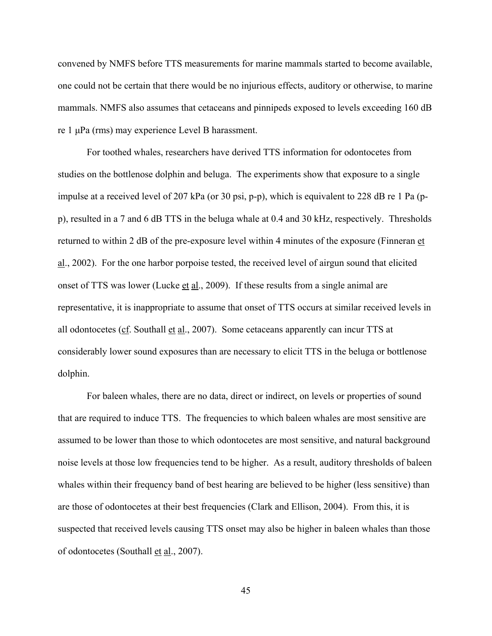convened by NMFS before TTS measurements for marine mammals started to become available, one could not be certain that there would be no injurious effects, auditory or otherwise, to marine mammals. NMFS also assumes that cetaceans and pinnipeds exposed to levels exceeding 160 dB re 1 μPa (rms) may experience Level B harassment.

For toothed whales, researchers have derived TTS information for odontocetes from studies on the bottlenose dolphin and beluga. The experiments show that exposure to a single impulse at a received level of 207 kPa (or 30 psi, p-p), which is equivalent to 228 dB re 1 Pa (pp), resulted in a 7 and 6 dB TTS in the beluga whale at 0.4 and 30 kHz, respectively. Thresholds returned to within 2 dB of the pre-exposure level within 4 minutes of the exposure (Finneran et al., 2002). For the one harbor porpoise tested, the received level of airgun sound that elicited onset of TTS was lower (Lucke et al., 2009). If these results from a single animal are representative, it is inappropriate to assume that onset of TTS occurs at similar received levels in all odontocetes (cf. Southall et al., 2007). Some cetaceans apparently can incur TTS at considerably lower sound exposures than are necessary to elicit TTS in the beluga or bottlenose dolphin.

For baleen whales, there are no data, direct or indirect, on levels or properties of sound that are required to induce TTS. The frequencies to which baleen whales are most sensitive are assumed to be lower than those to which odontocetes are most sensitive, and natural background noise levels at those low frequencies tend to be higher. As a result, auditory thresholds of baleen whales within their frequency band of best hearing are believed to be higher (less sensitive) than are those of odontocetes at their best frequencies (Clark and Ellison, 2004). From this, it is suspected that received levels causing TTS onset may also be higher in baleen whales than those of odontocetes (Southall et al., 2007).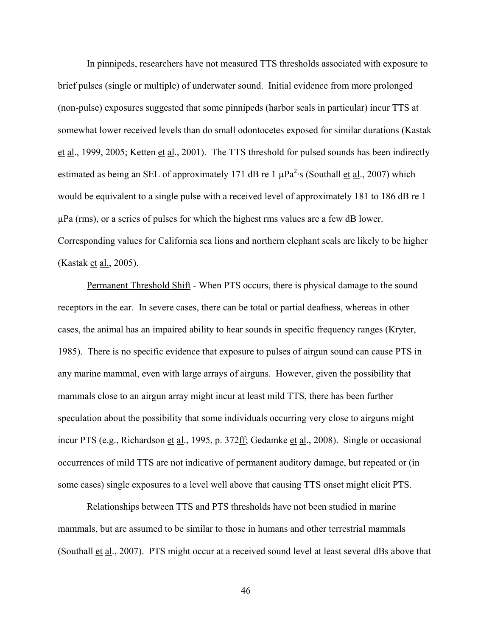In pinnipeds, researchers have not measured TTS thresholds associated with exposure to brief pulses (single or multiple) of underwater sound. Initial evidence from more prolonged (non-pulse) exposures suggested that some pinnipeds (harbor seals in particular) incur TTS at somewhat lower received levels than do small odontocetes exposed for similar durations (Kastak et al., 1999, 2005; Ketten et al., 2001). The TTS threshold for pulsed sounds has been indirectly estimated as being an SEL of approximately 171 dB re 1  $\mu$ Pa<sup>2</sup>·s (Southall et al., 2007) which would be equivalent to a single pulse with a received level of approximately 181 to 186 dB re 1 µPa (rms), or a series of pulses for which the highest rms values are a few dB lower. Corresponding values for California sea lions and northern elephant seals are likely to be higher (Kastak <u>et al.</u>, 2005).

Permanent Threshold Shift - When PTS occurs, there is physical damage to the sound receptors in the ear. In severe cases, there can be total or partial deafness, whereas in other cases, the animal has an impaired ability to hear sounds in specific frequency ranges (Kryter, 1985). There is no specific evidence that exposure to pulses of airgun sound can cause PTS in any marine mammal, even with large arrays of airguns. However, given the possibility that mammals close to an airgun array might incur at least mild TTS, there has been further speculation about the possibility that some individuals occurring very close to airguns might incur PTS (e.g., Richardson et al., 1995, p. 372ff; Gedamke et al., 2008). Single or occasional occurrences of mild TTS are not indicative of permanent auditory damage, but repeated or (in some cases) single exposures to a level well above that causing TTS onset might elicit PTS.

Relationships between TTS and PTS thresholds have not been studied in marine mammals, but are assumed to be similar to those in humans and other terrestrial mammals (Southall et al., 2007). PTS might occur at a received sound level at least several dBs above that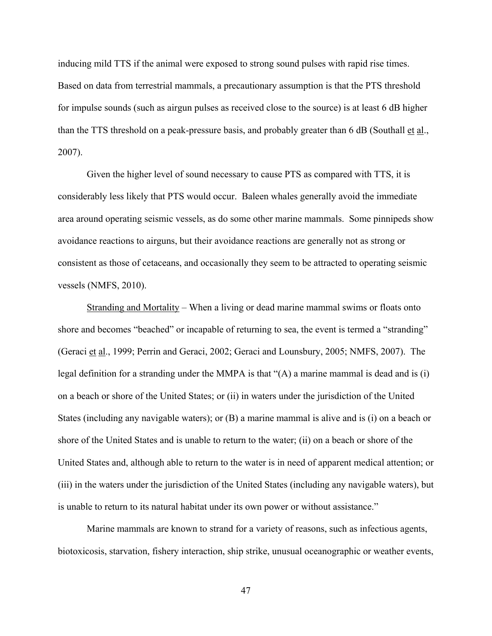inducing mild TTS if the animal were exposed to strong sound pulses with rapid rise times. Based on data from terrestrial mammals, a precautionary assumption is that the PTS threshold for impulse sounds (such as airgun pulses as received close to the source) is at least 6 dB higher than the TTS threshold on a peak-pressure basis, and probably greater than 6 dB (Southall et al., 2007).

Given the higher level of sound necessary to cause PTS as compared with TTS, it is considerably less likely that PTS would occur. Baleen whales generally avoid the immediate area around operating seismic vessels, as do some other marine mammals. Some pinnipeds show avoidance reactions to airguns, but their avoidance reactions are generally not as strong or consistent as those of cetaceans, and occasionally they seem to be attracted to operating seismic vessels (NMFS, 2010).

Stranding and Mortality – When a living or dead marine mammal swims or floats onto shore and becomes "beached" or incapable of returning to sea, the event is termed a "stranding" (Geraci et al., 1999; Perrin and Geraci, 2002; Geraci and Lounsbury, 2005; NMFS, 2007). The legal definition for a stranding under the MMPA is that "(A) a marine mammal is dead and is (i) on a beach or shore of the United States; or (ii) in waters under the jurisdiction of the United States (including any navigable waters); or (B) a marine mammal is alive and is (i) on a beach or shore of the United States and is unable to return to the water; (ii) on a beach or shore of the United States and, although able to return to the water is in need of apparent medical attention; or (iii) in the waters under the jurisdiction of the United States (including any navigable waters), but is unable to return to its natural habitat under its own power or without assistance."

Marine mammals are known to strand for a variety of reasons, such as infectious agents, biotoxicosis, starvation, fishery interaction, ship strike, unusual oceanographic or weather events,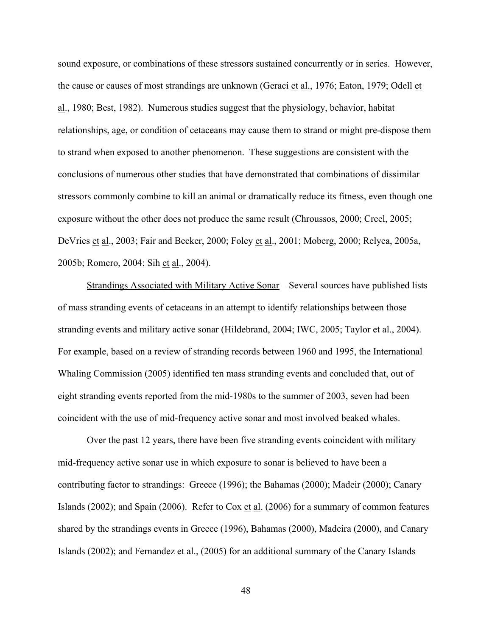sound exposure, or combinations of these stressors sustained concurrently or in series. However, the cause or causes of most strandings are unknown (Geraci et al., 1976; Eaton, 1979; Odell et al., 1980; Best, 1982). Numerous studies suggest that the physiology, behavior, habitat relationships, age, or condition of cetaceans may cause them to strand or might pre-dispose them to strand when exposed to another phenomenon. These suggestions are consistent with the conclusions of numerous other studies that have demonstrated that combinations of dissimilar stressors commonly combine to kill an animal or dramatically reduce its fitness, even though one exposure without the other does not produce the same result (Chroussos, 2000; Creel, 2005; DeVries et al., 2003; Fair and Becker, 2000; Foley et al., 2001; Moberg, 2000; Relyea, 2005a, 2005b; Romero, 2004; Sih et al., 2004).

Strandings Associated with Military Active Sonar – Several sources have published lists of mass stranding events of cetaceans in an attempt to identify relationships between those stranding events and military active sonar (Hildebrand, 2004; IWC, 2005; Taylor et al., 2004). For example, based on a review of stranding records between 1960 and 1995, the International Whaling Commission (2005) identified ten mass stranding events and concluded that, out of eight stranding events reported from the mid-1980s to the summer of 2003, seven had been coincident with the use of mid-frequency active sonar and most involved beaked whales.

Over the past 12 years, there have been five stranding events coincident with military mid-frequency active sonar use in which exposure to sonar is believed to have been a contributing factor to strandings: Greece (1996); the Bahamas (2000); Madeir (2000); Canary Islands (2002); and Spain (2006). Refer to Cox et al. (2006) for a summary of common features shared by the strandings events in Greece (1996), Bahamas (2000), Madeira (2000), and Canary Islands (2002); and Fernandez et al., (2005) for an additional summary of the Canary Islands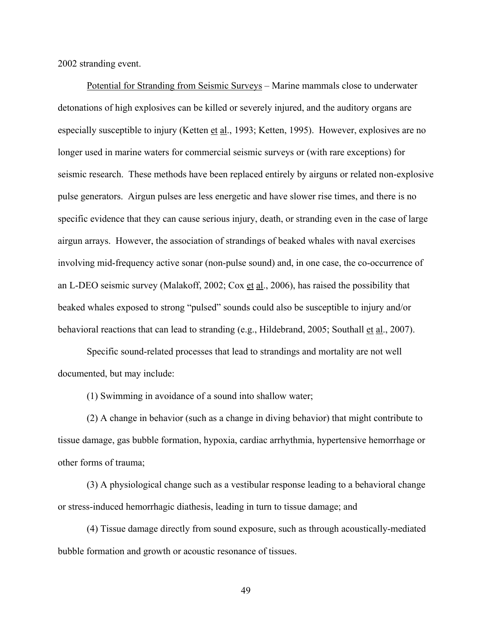2002 stranding event.

Potential for Stranding from Seismic Surveys – Marine mammals close to underwater detonations of high explosives can be killed or severely injured, and the auditory organs are especially susceptible to injury (Ketten et al., 1993; Ketten, 1995). However, explosives are no longer used in marine waters for commercial seismic surveys or (with rare exceptions) for seismic research. These methods have been replaced entirely by airguns or related non-explosive pulse generators. Airgun pulses are less energetic and have slower rise times, and there is no specific evidence that they can cause serious injury, death, or stranding even in the case of large airgun arrays. However, the association of strandings of beaked whales with naval exercises involving mid-frequency active sonar (non-pulse sound) and, in one case, the co-occurrence of an L-DEO seismic survey (Malakoff, 2002; Cox et al., 2006), has raised the possibility that beaked whales exposed to strong "pulsed" sounds could also be susceptible to injury and/or behavioral reactions that can lead to stranding (e.g., Hildebrand, 2005; Southall et al., 2007).

Specific sound-related processes that lead to strandings and mortality are not well documented, but may include:

(1) Swimming in avoidance of a sound into shallow water;

(2) A change in behavior (such as a change in diving behavior) that might contribute to tissue damage, gas bubble formation, hypoxia, cardiac arrhythmia, hypertensive hemorrhage or other forms of trauma;

(3) A physiological change such as a vestibular response leading to a behavioral change or stress-induced hemorrhagic diathesis, leading in turn to tissue damage; and

(4) Tissue damage directly from sound exposure, such as through acoustically-mediated bubble formation and growth or acoustic resonance of tissues.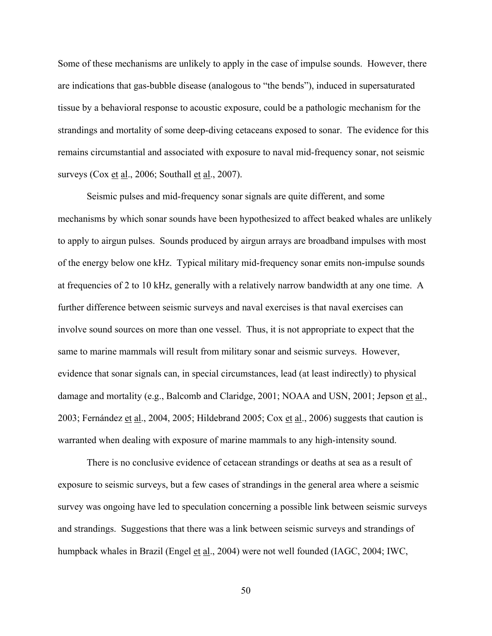Some of these mechanisms are unlikely to apply in the case of impulse sounds. However, there are indications that gas-bubble disease (analogous to "the bends"), induced in supersaturated tissue by a behavioral response to acoustic exposure, could be a pathologic mechanism for the strandings and mortality of some deep-diving cetaceans exposed to sonar. The evidence for this remains circumstantial and associated with exposure to naval mid-frequency sonar, not seismic surveys (Cox et al., 2006; Southall et al., 2007).

Seismic pulses and mid-frequency sonar signals are quite different, and some mechanisms by which sonar sounds have been hypothesized to affect beaked whales are unlikely to apply to airgun pulses. Sounds produced by airgun arrays are broadband impulses with most of the energy below one kHz. Typical military mid-frequency sonar emits non-impulse sounds at frequencies of 2 to 10 kHz, generally with a relatively narrow bandwidth at any one time. A further difference between seismic surveys and naval exercises is that naval exercises can involve sound sources on more than one vessel. Thus, it is not appropriate to expect that the same to marine mammals will result from military sonar and seismic surveys. However, evidence that sonar signals can, in special circumstances, lead (at least indirectly) to physical damage and mortality (e.g., Balcomb and Claridge, 2001; NOAA and USN, 2001; Jepson et al., 2003; Fernández et al., 2004, 2005; Hildebrand 2005; Cox et al., 2006) suggests that caution is warranted when dealing with exposure of marine mammals to any high-intensity sound.

There is no conclusive evidence of cetacean strandings or deaths at sea as a result of exposure to seismic surveys, but a few cases of strandings in the general area where a seismic survey was ongoing have led to speculation concerning a possible link between seismic surveys and strandings. Suggestions that there was a link between seismic surveys and strandings of humpback whales in Brazil (Engel et al., 2004) were not well founded (IAGC, 2004; IWC,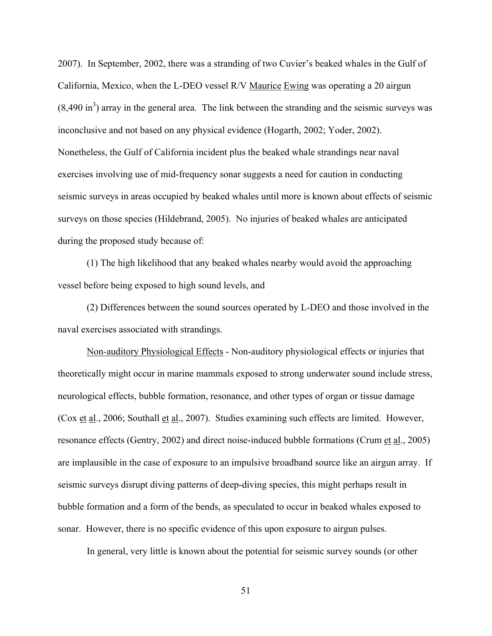2007). In September, 2002, there was a stranding of two Cuvier's beaked whales in the Gulf of California, Mexico, when the L-DEO vessel R/V Maurice Ewing was operating a 20 airgun  $(8,490 \text{ in}^3)$  array in the general area. The link between the stranding and the seismic surveys was inconclusive and not based on any physical evidence (Hogarth, 2002; Yoder, 2002). Nonetheless, the Gulf of California incident plus the beaked whale strandings near naval exercises involving use of mid-frequency sonar suggests a need for caution in conducting seismic surveys in areas occupied by beaked whales until more is known about effects of seismic surveys on those species (Hildebrand, 2005). No injuries of beaked whales are anticipated during the proposed study because of:

(1) The high likelihood that any beaked whales nearby would avoid the approaching vessel before being exposed to high sound levels, and

(2) Differences between the sound sources operated by L-DEO and those involved in the naval exercises associated with strandings.

Non-auditory Physiological Effects - Non-auditory physiological effects or injuries that theoretically might occur in marine mammals exposed to strong underwater sound include stress, neurological effects, bubble formation, resonance, and other types of organ or tissue damage (Cox et al., 2006; Southall et al., 2007). Studies examining such effects are limited. However, resonance effects (Gentry, 2002) and direct noise-induced bubble formations (Crum et al., 2005) are implausible in the case of exposure to an impulsive broadband source like an airgun array. If seismic surveys disrupt diving patterns of deep-diving species, this might perhaps result in bubble formation and a form of the bends, as speculated to occur in beaked whales exposed to sonar. However, there is no specific evidence of this upon exposure to airgun pulses.

In general, very little is known about the potential for seismic survey sounds (or other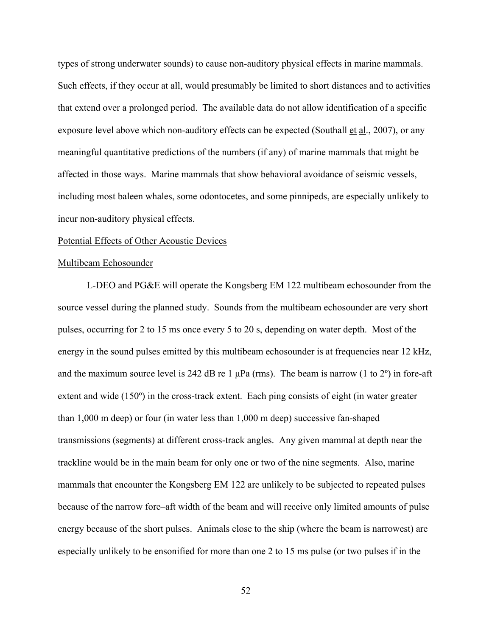types of strong underwater sounds) to cause non-auditory physical effects in marine mammals. Such effects, if they occur at all, would presumably be limited to short distances and to activities that extend over a prolonged period. The available data do not allow identification of a specific exposure level above which non-auditory effects can be expected (Southall et al., 2007), or any meaningful quantitative predictions of the numbers (if any) of marine mammals that might be affected in those ways. Marine mammals that show behavioral avoidance of seismic vessels, including most baleen whales, some odontocetes, and some pinnipeds, are especially unlikely to incur non-auditory physical effects.

## Potential Effects of Other Acoustic Devices

## Multibeam Echosounder

L-DEO and PG&E will operate the Kongsberg EM 122 multibeam echosounder from the source vessel during the planned study. Sounds from the multibeam echosounder are very short pulses, occurring for 2 to 15 ms once every 5 to 20 s, depending on water depth. Most of the energy in the sound pulses emitted by this multibeam echosounder is at frequencies near 12 kHz, and the maximum source level is 242 dB re 1  $\mu$ Pa (rms). The beam is narrow (1 to 2°) in fore-aft extent and wide (150º) in the cross-track extent. Each ping consists of eight (in water greater than 1,000 m deep) or four (in water less than 1,000 m deep) successive fan-shaped transmissions (segments) at different cross-track angles. Any given mammal at depth near the trackline would be in the main beam for only one or two of the nine segments. Also, marine mammals that encounter the Kongsberg EM 122 are unlikely to be subjected to repeated pulses because of the narrow fore–aft width of the beam and will receive only limited amounts of pulse energy because of the short pulses. Animals close to the ship (where the beam is narrowest) are especially unlikely to be ensonified for more than one 2 to 15 ms pulse (or two pulses if in the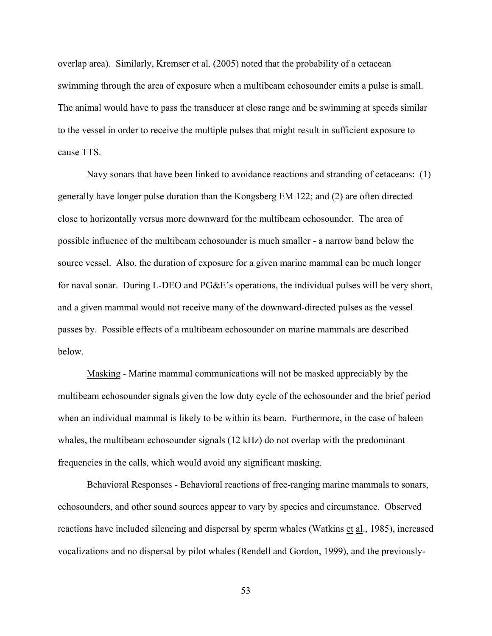overlap area). Similarly, Kremser et al. (2005) noted that the probability of a cetacean swimming through the area of exposure when a multibeam echosounder emits a pulse is small. The animal would have to pass the transducer at close range and be swimming at speeds similar to the vessel in order to receive the multiple pulses that might result in sufficient exposure to cause TTS.

Navy sonars that have been linked to avoidance reactions and stranding of cetaceans: (1) generally have longer pulse duration than the Kongsberg EM 122; and (2) are often directed close to horizontally versus more downward for the multibeam echosounder. The area of possible influence of the multibeam echosounder is much smaller - a narrow band below the source vessel. Also, the duration of exposure for a given marine mammal can be much longer for naval sonar. During L-DEO and PG&E's operations, the individual pulses will be very short, and a given mammal would not receive many of the downward-directed pulses as the vessel passes by. Possible effects of a multibeam echosounder on marine mammals are described below.

Masking - Marine mammal communications will not be masked appreciably by the multibeam echosounder signals given the low duty cycle of the echosounder and the brief period when an individual mammal is likely to be within its beam. Furthermore, in the case of baleen whales, the multibeam echosounder signals (12 kHz) do not overlap with the predominant frequencies in the calls, which would avoid any significant masking.

Behavioral Responses - Behavioral reactions of free-ranging marine mammals to sonars, echosounders, and other sound sources appear to vary by species and circumstance. Observed reactions have included silencing and dispersal by sperm whales (Watkins et al., 1985), increased vocalizations and no dispersal by pilot whales (Rendell and Gordon, 1999), and the previously-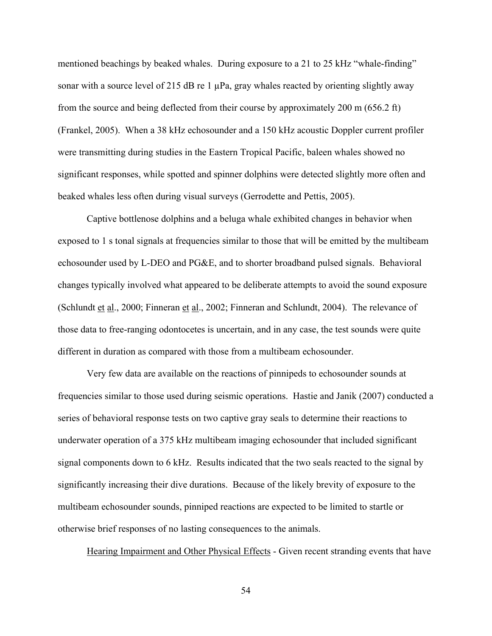mentioned beachings by beaked whales. During exposure to a 21 to 25 kHz "whale-finding" sonar with a source level of 215 dB re 1  $\mu$ Pa, gray whales reacted by orienting slightly away from the source and being deflected from their course by approximately 200 m (656.2 ft) (Frankel, 2005). When a 38 kHz echosounder and a 150 kHz acoustic Doppler current profiler were transmitting during studies in the Eastern Tropical Pacific, baleen whales showed no significant responses, while spotted and spinner dolphins were detected slightly more often and beaked whales less often during visual surveys (Gerrodette and Pettis, 2005).

Captive bottlenose dolphins and a beluga whale exhibited changes in behavior when exposed to 1 s tonal signals at frequencies similar to those that will be emitted by the multibeam echosounder used by L-DEO and PG&E, and to shorter broadband pulsed signals. Behavioral changes typically involved what appeared to be deliberate attempts to avoid the sound exposure (Schlundt et al., 2000; Finneran et al., 2002; Finneran and Schlundt, 2004). The relevance of those data to free-ranging odontocetes is uncertain, and in any case, the test sounds were quite different in duration as compared with those from a multibeam echosounder.

Very few data are available on the reactions of pinnipeds to echosounder sounds at frequencies similar to those used during seismic operations. Hastie and Janik (2007) conducted a series of behavioral response tests on two captive gray seals to determine their reactions to underwater operation of a 375 kHz multibeam imaging echosounder that included significant signal components down to 6 kHz. Results indicated that the two seals reacted to the signal by significantly increasing their dive durations. Because of the likely brevity of exposure to the multibeam echosounder sounds, pinniped reactions are expected to be limited to startle or otherwise brief responses of no lasting consequences to the animals.

Hearing Impairment and Other Physical Effects - Given recent stranding events that have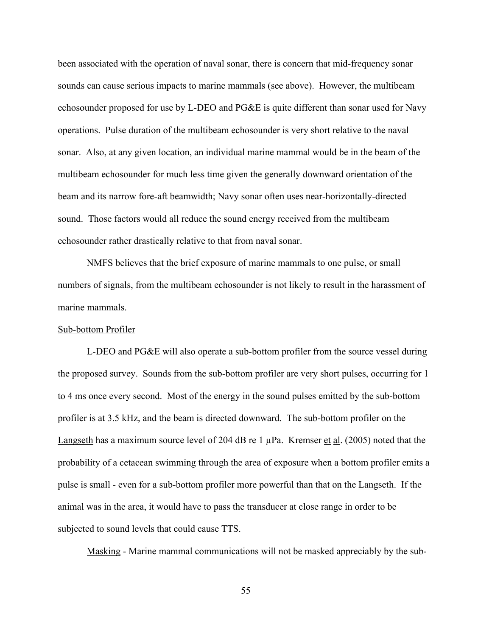been associated with the operation of naval sonar, there is concern that mid-frequency sonar sounds can cause serious impacts to marine mammals (see above). However, the multibeam echosounder proposed for use by L-DEO and PG&E is quite different than sonar used for Navy operations. Pulse duration of the multibeam echosounder is very short relative to the naval sonar. Also, at any given location, an individual marine mammal would be in the beam of the multibeam echosounder for much less time given the generally downward orientation of the beam and its narrow fore-aft beamwidth; Navy sonar often uses near-horizontally-directed sound. Those factors would all reduce the sound energy received from the multibeam echosounder rather drastically relative to that from naval sonar.

NMFS believes that the brief exposure of marine mammals to one pulse, or small numbers of signals, from the multibeam echosounder is not likely to result in the harassment of marine mammals.

## Sub-bottom Profiler

L-DEO and PG&E will also operate a sub-bottom profiler from the source vessel during the proposed survey. Sounds from the sub-bottom profiler are very short pulses, occurring for 1 to 4 ms once every second. Most of the energy in the sound pulses emitted by the sub-bottom profiler is at 3.5 kHz, and the beam is directed downward. The sub-bottom profiler on the Langseth has a maximum source level of 204 dB re 1 µPa. Kremser et al. (2005) noted that the probability of a cetacean swimming through the area of exposure when a bottom profiler emits a pulse is small - even for a sub-bottom profiler more powerful than that on the Langseth. If the animal was in the area, it would have to pass the transducer at close range in order to be subjected to sound levels that could cause TTS.

Masking - Marine mammal communications will not be masked appreciably by the sub-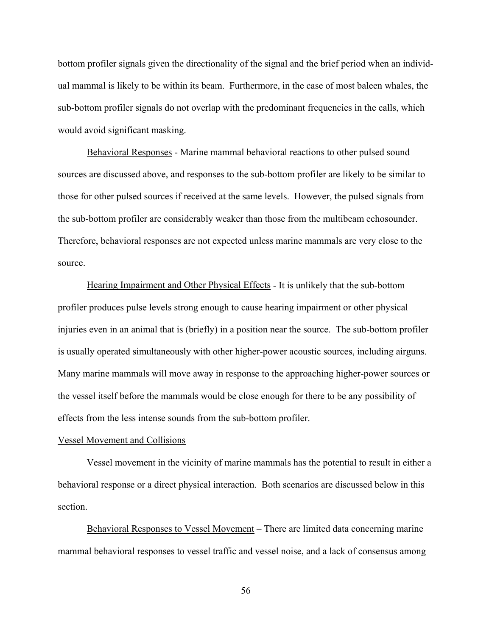bottom profiler signals given the directionality of the signal and the brief period when an individual mammal is likely to be within its beam. Furthermore, in the case of most baleen whales, the sub-bottom profiler signals do not overlap with the predominant frequencies in the calls, which would avoid significant masking.

Behavioral Responses - Marine mammal behavioral reactions to other pulsed sound sources are discussed above, and responses to the sub-bottom profiler are likely to be similar to those for other pulsed sources if received at the same levels. However, the pulsed signals from the sub-bottom profiler are considerably weaker than those from the multibeam echosounder. Therefore, behavioral responses are not expected unless marine mammals are very close to the source.

Hearing Impairment and Other Physical Effects - It is unlikely that the sub-bottom profiler produces pulse levels strong enough to cause hearing impairment or other physical injuries even in an animal that is (briefly) in a position near the source. The sub-bottom profiler is usually operated simultaneously with other higher-power acoustic sources, including airguns. Many marine mammals will move away in response to the approaching higher-power sources or the vessel itself before the mammals would be close enough for there to be any possibility of effects from the less intense sounds from the sub-bottom profiler.

#### Vessel Movement and Collisions

 Vessel movement in the vicinity of marine mammals has the potential to result in either a behavioral response or a direct physical interaction. Both scenarios are discussed below in this section.

 Behavioral Responses to Vessel Movement – There are limited data concerning marine mammal behavioral responses to vessel traffic and vessel noise, and a lack of consensus among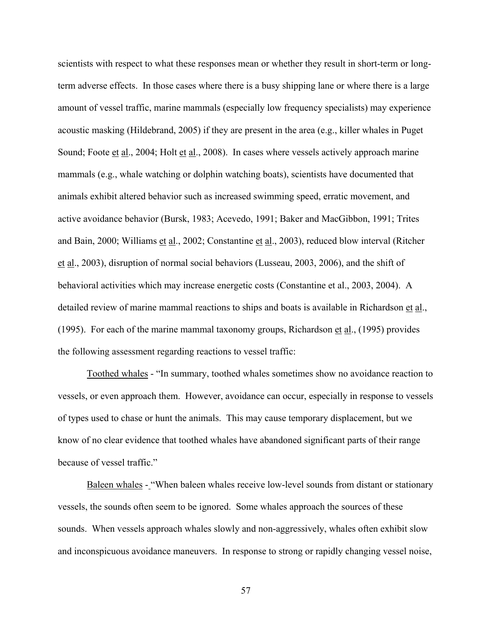scientists with respect to what these responses mean or whether they result in short-term or longterm adverse effects. In those cases where there is a busy shipping lane or where there is a large amount of vessel traffic, marine mammals (especially low frequency specialists) may experience acoustic masking (Hildebrand, 2005) if they are present in the area (e.g., killer whales in Puget Sound; Foote et al., 2004; Holt et al., 2008). In cases where vessels actively approach marine mammals (e.g., whale watching or dolphin watching boats), scientists have documented that animals exhibit altered behavior such as increased swimming speed, erratic movement, and active avoidance behavior (Bursk, 1983; Acevedo, 1991; Baker and MacGibbon, 1991; Trites and Bain, 2000; Williams et al., 2002; Constantine et al., 2003), reduced blow interval (Ritcher et al., 2003), disruption of normal social behaviors (Lusseau, 2003, 2006), and the shift of behavioral activities which may increase energetic costs (Constantine et al., 2003, 2004). A detailed review of marine mammal reactions to ships and boats is available in Richardson et al., (1995). For each of the marine mammal taxonomy groups, Richardson et al., (1995) provides the following assessment regarding reactions to vessel traffic:

 Toothed whales - "In summary, toothed whales sometimes show no avoidance reaction to vessels, or even approach them. However, avoidance can occur, especially in response to vessels of types used to chase or hunt the animals. This may cause temporary displacement, but we know of no clear evidence that toothed whales have abandoned significant parts of their range because of vessel traffic."

Baleen whales - "When baleen whales receive low-level sounds from distant or stationary vessels, the sounds often seem to be ignored. Some whales approach the sources of these sounds. When vessels approach whales slowly and non-aggressively, whales often exhibit slow and inconspicuous avoidance maneuvers. In response to strong or rapidly changing vessel noise,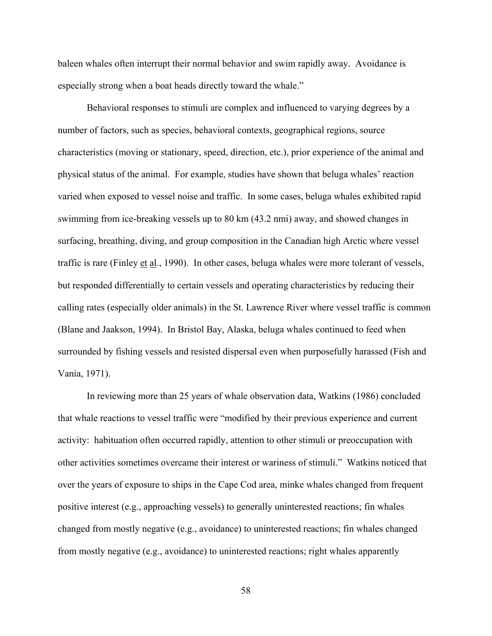baleen whales often interrupt their normal behavior and swim rapidly away. Avoidance is especially strong when a boat heads directly toward the whale."

 Behavioral responses to stimuli are complex and influenced to varying degrees by a number of factors, such as species, behavioral contexts, geographical regions, source characteristics (moving or stationary, speed, direction, etc.), prior experience of the animal and physical status of the animal. For example, studies have shown that beluga whales' reaction varied when exposed to vessel noise and traffic. In some cases, beluga whales exhibited rapid swimming from ice-breaking vessels up to 80 km (43.2 nmi) away, and showed changes in surfacing, breathing, diving, and group composition in the Canadian high Arctic where vessel traffic is rare (Finley et al., 1990). In other cases, beluga whales were more tolerant of vessels, but responded differentially to certain vessels and operating characteristics by reducing their calling rates (especially older animals) in the St. Lawrence River where vessel traffic is common (Blane and Jaakson, 1994). In Bristol Bay, Alaska, beluga whales continued to feed when surrounded by fishing vessels and resisted dispersal even when purposefully harassed (Fish and Vania, 1971).

 In reviewing more than 25 years of whale observation data, Watkins (1986) concluded that whale reactions to vessel traffic were "modified by their previous experience and current activity: habituation often occurred rapidly, attention to other stimuli or preoccupation with other activities sometimes overcame their interest or wariness of stimuli." Watkins noticed that over the years of exposure to ships in the Cape Cod area, minke whales changed from frequent positive interest (e.g., approaching vessels) to generally uninterested reactions; fin whales changed from mostly negative (e.g., avoidance) to uninterested reactions; fin whales changed from mostly negative (e.g., avoidance) to uninterested reactions; right whales apparently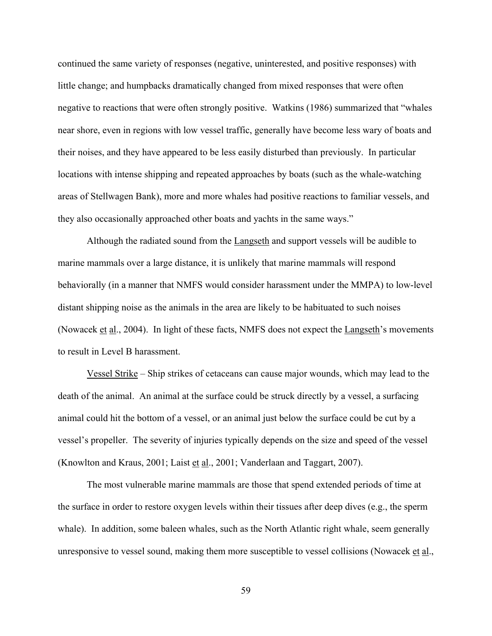continued the same variety of responses (negative, uninterested, and positive responses) with little change; and humpbacks dramatically changed from mixed responses that were often negative to reactions that were often strongly positive. Watkins (1986) summarized that "whales near shore, even in regions with low vessel traffic, generally have become less wary of boats and their noises, and they have appeared to be less easily disturbed than previously. In particular locations with intense shipping and repeated approaches by boats (such as the whale-watching areas of Stellwagen Bank), more and more whales had positive reactions to familiar vessels, and they also occasionally approached other boats and yachts in the same ways."

 Although the radiated sound from the Langseth and support vessels will be audible to marine mammals over a large distance, it is unlikely that marine mammals will respond behaviorally (in a manner that NMFS would consider harassment under the MMPA) to low-level distant shipping noise as the animals in the area are likely to be habituated to such noises (Nowacek et al., 2004). In light of these facts, NMFS does not expect the Langseth's movements to result in Level B harassment.

 Vessel Strike – Ship strikes of cetaceans can cause major wounds, which may lead to the death of the animal. An animal at the surface could be struck directly by a vessel, a surfacing animal could hit the bottom of a vessel, or an animal just below the surface could be cut by a vessel's propeller. The severity of injuries typically depends on the size and speed of the vessel (Knowlton and Kraus, 2001; Laist  $et al., 2001$ ; Vanderlaan and Taggart, 2007).</u>

 The most vulnerable marine mammals are those that spend extended periods of time at the surface in order to restore oxygen levels within their tissues after deep dives (e.g., the sperm whale). In addition, some baleen whales, such as the North Atlantic right whale, seem generally unresponsive to vessel sound, making them more susceptible to vessel collisions (Nowacek et al.,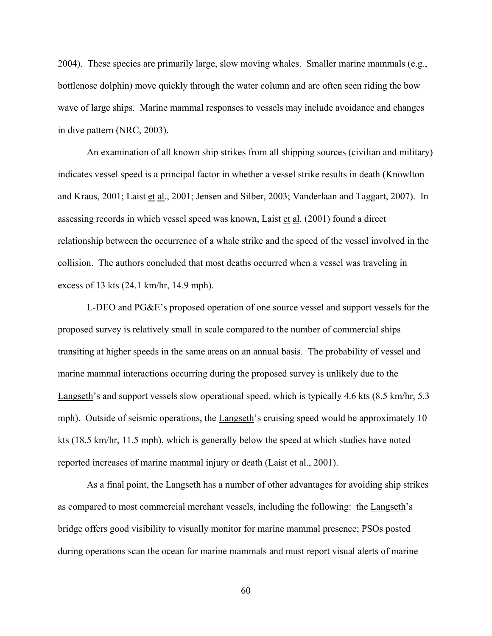2004). These species are primarily large, slow moving whales. Smaller marine mammals (e.g., bottlenose dolphin) move quickly through the water column and are often seen riding the bow wave of large ships. Marine mammal responses to vessels may include avoidance and changes in dive pattern (NRC, 2003).

 An examination of all known ship strikes from all shipping sources (civilian and military) indicates vessel speed is a principal factor in whether a vessel strike results in death (Knowlton and Kraus, 2001; Laist et al., 2001; Jensen and Silber, 2003; Vanderlaan and Taggart, 2007). In assessing records in which vessel speed was known, Laist et al. (2001) found a direct relationship between the occurrence of a whale strike and the speed of the vessel involved in the collision. The authors concluded that most deaths occurred when a vessel was traveling in excess of 13 kts (24.1 km/hr, 14.9 mph).

 L-DEO and PG&E's proposed operation of one source vessel and support vessels for the proposed survey is relatively small in scale compared to the number of commercial ships transiting at higher speeds in the same areas on an annual basis. The probability of vessel and marine mammal interactions occurring during the proposed survey is unlikely due to the Langseth's and support vessels slow operational speed, which is typically 4.6 kts (8.5 km/hr, 5.3 mph). Outside of seismic operations, the Langseth's cruising speed would be approximately 10 kts (18.5 km/hr, 11.5 mph), which is generally below the speed at which studies have noted reported increases of marine mammal injury or death (Laist et al., 2001).

 As a final point, the Langseth has a number of other advantages for avoiding ship strikes as compared to most commercial merchant vessels, including the following: the Langseth's bridge offers good visibility to visually monitor for marine mammal presence; PSOs posted during operations scan the ocean for marine mammals and must report visual alerts of marine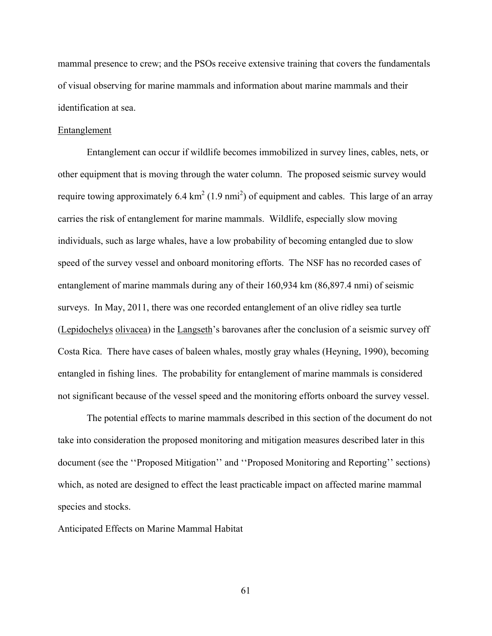mammal presence to crew; and the PSOs receive extensive training that covers the fundamentals of visual observing for marine mammals and information about marine mammals and their identification at sea.

## Entanglement

 Entanglement can occur if wildlife becomes immobilized in survey lines, cables, nets, or other equipment that is moving through the water column. The proposed seismic survey would require towing approximately 6.4  $km^2$  (1.9 nmi<sup>2</sup>) of equipment and cables. This large of an array carries the risk of entanglement for marine mammals. Wildlife, especially slow moving individuals, such as large whales, have a low probability of becoming entangled due to slow speed of the survey vessel and onboard monitoring efforts. The NSF has no recorded cases of entanglement of marine mammals during any of their 160,934 km (86,897.4 nmi) of seismic surveys. In May, 2011, there was one recorded entanglement of an olive ridley sea turtle (Lepidochelys olivacea) in the Langseth's barovanes after the conclusion of a seismic survey off Costa Rica. There have cases of baleen whales, mostly gray whales (Heyning, 1990), becoming entangled in fishing lines. The probability for entanglement of marine mammals is considered not significant because of the vessel speed and the monitoring efforts onboard the survey vessel.

The potential effects to marine mammals described in this section of the document do not take into consideration the proposed monitoring and mitigation measures described later in this document (see the ''Proposed Mitigation'' and ''Proposed Monitoring and Reporting'' sections) which, as noted are designed to effect the least practicable impact on affected marine mammal species and stocks.

Anticipated Effects on Marine Mammal Habitat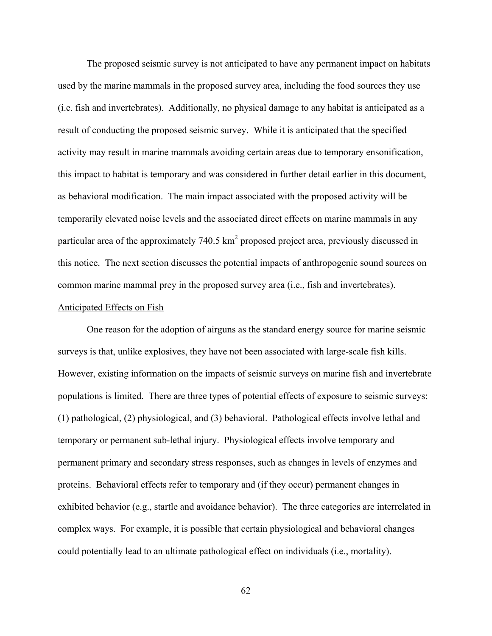The proposed seismic survey is not anticipated to have any permanent impact on habitats used by the marine mammals in the proposed survey area, including the food sources they use (i.e. fish and invertebrates). Additionally, no physical damage to any habitat is anticipated as a result of conducting the proposed seismic survey. While it is anticipated that the specified activity may result in marine mammals avoiding certain areas due to temporary ensonification, this impact to habitat is temporary and was considered in further detail earlier in this document, as behavioral modification. The main impact associated with the proposed activity will be temporarily elevated noise levels and the associated direct effects on marine mammals in any particular area of the approximately  $740.5 \text{ km}^2$  proposed project area, previously discussed in this notice. The next section discusses the potential impacts of anthropogenic sound sources on common marine mammal prey in the proposed survey area (i.e., fish and invertebrates).

## Anticipated Effects on Fish

One reason for the adoption of airguns as the standard energy source for marine seismic surveys is that, unlike explosives, they have not been associated with large-scale fish kills. However, existing information on the impacts of seismic surveys on marine fish and invertebrate populations is limited. There are three types of potential effects of exposure to seismic surveys: (1) pathological, (2) physiological, and (3) behavioral. Pathological effects involve lethal and temporary or permanent sub-lethal injury. Physiological effects involve temporary and permanent primary and secondary stress responses, such as changes in levels of enzymes and proteins. Behavioral effects refer to temporary and (if they occur) permanent changes in exhibited behavior (e.g., startle and avoidance behavior). The three categories are interrelated in complex ways. For example, it is possible that certain physiological and behavioral changes could potentially lead to an ultimate pathological effect on individuals (i.e., mortality).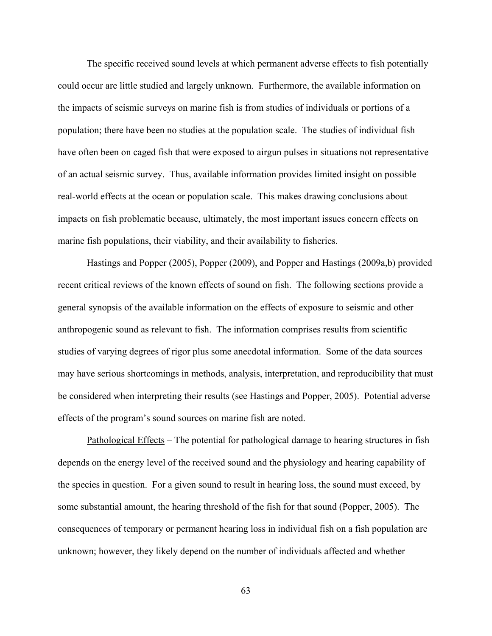The specific received sound levels at which permanent adverse effects to fish potentially could occur are little studied and largely unknown. Furthermore, the available information on the impacts of seismic surveys on marine fish is from studies of individuals or portions of a population; there have been no studies at the population scale. The studies of individual fish have often been on caged fish that were exposed to airgun pulses in situations not representative of an actual seismic survey. Thus, available information provides limited insight on possible real-world effects at the ocean or population scale. This makes drawing conclusions about impacts on fish problematic because, ultimately, the most important issues concern effects on marine fish populations, their viability, and their availability to fisheries.

Hastings and Popper (2005), Popper (2009), and Popper and Hastings (2009a,b) provided recent critical reviews of the known effects of sound on fish. The following sections provide a general synopsis of the available information on the effects of exposure to seismic and other anthropogenic sound as relevant to fish. The information comprises results from scientific studies of varying degrees of rigor plus some anecdotal information. Some of the data sources may have serious shortcomings in methods, analysis, interpretation, and reproducibility that must be considered when interpreting their results (see Hastings and Popper, 2005). Potential adverse effects of the program's sound sources on marine fish are noted.

Pathological Effects – The potential for pathological damage to hearing structures in fish depends on the energy level of the received sound and the physiology and hearing capability of the species in question. For a given sound to result in hearing loss, the sound must exceed, by some substantial amount, the hearing threshold of the fish for that sound (Popper, 2005). The consequences of temporary or permanent hearing loss in individual fish on a fish population are unknown; however, they likely depend on the number of individuals affected and whether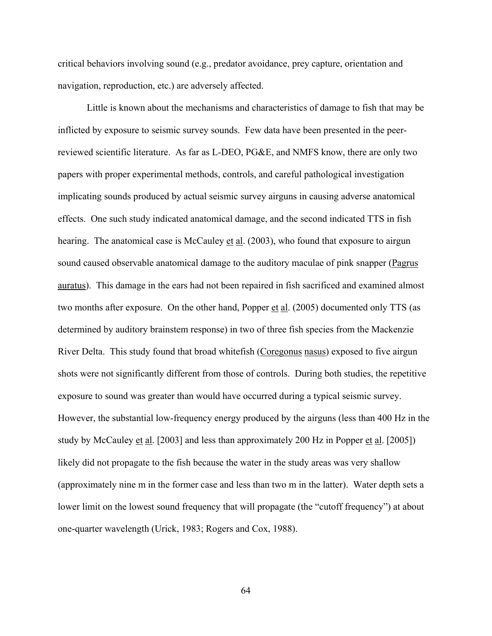critical behaviors involving sound (e.g., predator avoidance, prey capture, orientation and navigation, reproduction, etc.) are adversely affected.

Little is known about the mechanisms and characteristics of damage to fish that may be inflicted by exposure to seismic survey sounds. Few data have been presented in the peerreviewed scientific literature. As far as L-DEO, PG&E, and NMFS know, there are only two papers with proper experimental methods, controls, and careful pathological investigation implicating sounds produced by actual seismic survey airguns in causing adverse anatomical effects. One such study indicated anatomical damage, and the second indicated TTS in fish hearing. The anatomical case is McCauley et al. (2003), who found that exposure to airgun sound caused observable anatomical damage to the auditory maculae of pink snapper (Pagrus auratus). This damage in the ears had not been repaired in fish sacrificed and examined almost two months after exposure. On the other hand, Popper et al. (2005) documented only TTS (as determined by auditory brainstem response) in two of three fish species from the Mackenzie River Delta. This study found that broad whitefish (Coregonus nasus) exposed to five airgun shots were not significantly different from those of controls. During both studies, the repetitive exposure to sound was greater than would have occurred during a typical seismic survey. However, the substantial low-frequency energy produced by the airguns (less than 400 Hz in the study by McCauley et al. [2003] and less than approximately 200 Hz in Popper et al. [2005]) likely did not propagate to the fish because the water in the study areas was very shallow (approximately nine m in the former case and less than two m in the latter). Water depth sets a lower limit on the lowest sound frequency that will propagate (the "cutoff frequency") at about one-quarter wavelength (Urick, 1983; Rogers and Cox, 1988).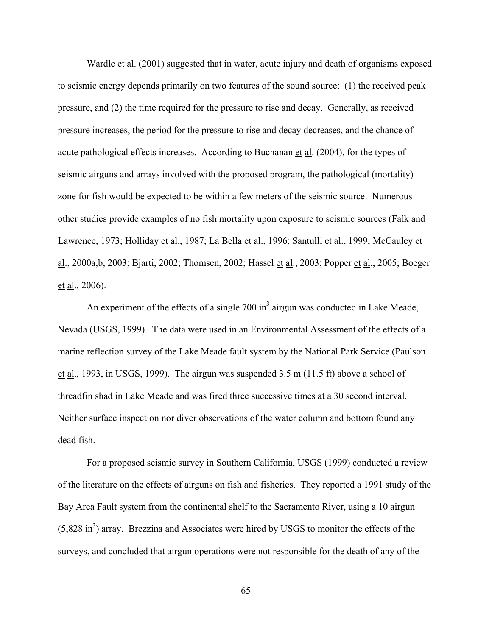Wardle et al. (2001) suggested that in water, acute injury and death of organisms exposed to seismic energy depends primarily on two features of the sound source: (1) the received peak pressure, and (2) the time required for the pressure to rise and decay. Generally, as received pressure increases, the period for the pressure to rise and decay decreases, and the chance of acute pathological effects increases. According to Buchanan et al. (2004), for the types of seismic airguns and arrays involved with the proposed program, the pathological (mortality) zone for fish would be expected to be within a few meters of the seismic source. Numerous other studies provide examples of no fish mortality upon exposure to seismic sources (Falk and Lawrence, 1973; Holliday et al., 1987; La Bella et al., 1996; Santulli et al., 1999; McCauley et al., 2000a,b, 2003; Bjarti, 2002; Thomsen, 2002; Hassel et al., 2003; Popper et al., 2005; Boeger et al., 2006).

An experiment of the effects of a single  $700 \text{ in}^3$  airgun was conducted in Lake Meade, Nevada (USGS, 1999). The data were used in an Environmental Assessment of the effects of a marine reflection survey of the Lake Meade fault system by the National Park Service (Paulson et al., 1993, in USGS, 1999). The airgun was suspended  $3.5 \text{ m}$  (11.5 ft) above a school of threadfin shad in Lake Meade and was fired three successive times at a 30 second interval. Neither surface inspection nor diver observations of the water column and bottom found any dead fish.

For a proposed seismic survey in Southern California, USGS (1999) conducted a review of the literature on the effects of airguns on fish and fisheries. They reported a 1991 study of the Bay Area Fault system from the continental shelf to the Sacramento River, using a 10 airgun  $(5,828 \text{ in}^3)$  array. Brezzina and Associates were hired by USGS to monitor the effects of the surveys, and concluded that airgun operations were not responsible for the death of any of the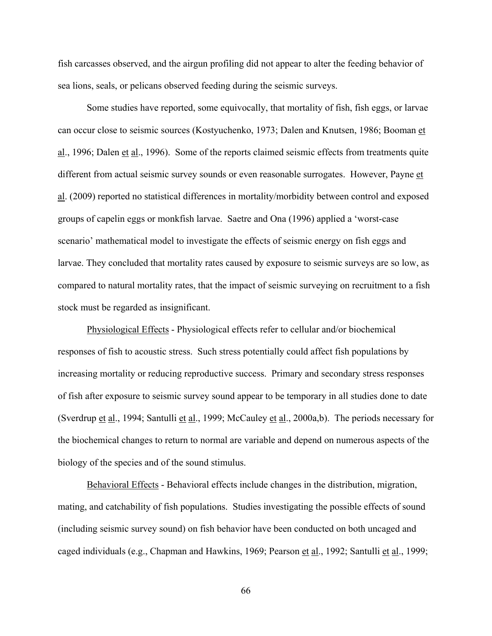fish carcasses observed, and the airgun profiling did not appear to alter the feeding behavior of sea lions, seals, or pelicans observed feeding during the seismic surveys.

Some studies have reported, some equivocally, that mortality of fish, fish eggs, or larvae can occur close to seismic sources (Kostyuchenko, 1973; Dalen and Knutsen, 1986; Booman et al., 1996; Dalen et al., 1996). Some of the reports claimed seismic effects from treatments quite different from actual seismic survey sounds or even reasonable surrogates. However, Payne et al. (2009) reported no statistical differences in mortality/morbidity between control and exposed groups of capelin eggs or monkfish larvae. Saetre and Ona (1996) applied a 'worst-case scenario' mathematical model to investigate the effects of seismic energy on fish eggs and larvae. They concluded that mortality rates caused by exposure to seismic surveys are so low, as compared to natural mortality rates, that the impact of seismic surveying on recruitment to a fish stock must be regarded as insignificant.

Physiological Effects - Physiological effects refer to cellular and/or biochemical responses of fish to acoustic stress. Such stress potentially could affect fish populations by increasing mortality or reducing reproductive success. Primary and secondary stress responses of fish after exposure to seismic survey sound appear to be temporary in all studies done to date (Sverdrup et al., 1994; Santulli et al., 1999; McCauley et al., 2000a,b). The periods necessary for the biochemical changes to return to normal are variable and depend on numerous aspects of the biology of the species and of the sound stimulus.

Behavioral Effects - Behavioral effects include changes in the distribution, migration, mating, and catchability of fish populations. Studies investigating the possible effects of sound (including seismic survey sound) on fish behavior have been conducted on both uncaged and caged individuals (e.g., Chapman and Hawkins, 1969; Pearson et al., 1992; Santulli et al., 1999;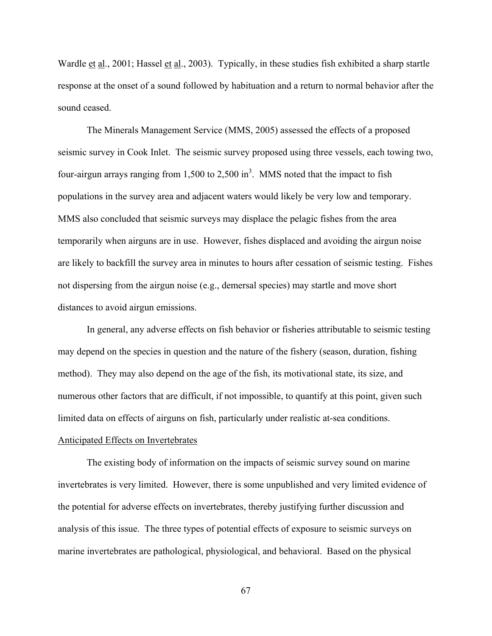Wardle et al., 2001; Hassel et al., 2003). Typically, in these studies fish exhibited a sharp startle response at the onset of a sound followed by habituation and a return to normal behavior after the sound ceased.

The Minerals Management Service (MMS, 2005) assessed the effects of a proposed seismic survey in Cook Inlet. The seismic survey proposed using three vessels, each towing two, four-airgun arrays ranging from 1,500 to 2,500 in<sup>3</sup>. MMS noted that the impact to fish populations in the survey area and adjacent waters would likely be very low and temporary. MMS also concluded that seismic surveys may displace the pelagic fishes from the area temporarily when airguns are in use. However, fishes displaced and avoiding the airgun noise are likely to backfill the survey area in minutes to hours after cessation of seismic testing. Fishes not dispersing from the airgun noise (e.g., demersal species) may startle and move short distances to avoid airgun emissions.

In general, any adverse effects on fish behavior or fisheries attributable to seismic testing may depend on the species in question and the nature of the fishery (season, duration, fishing method). They may also depend on the age of the fish, its motivational state, its size, and numerous other factors that are difficult, if not impossible, to quantify at this point, given such limited data on effects of airguns on fish, particularly under realistic at-sea conditions.

# Anticipated Effects on Invertebrates

The existing body of information on the impacts of seismic survey sound on marine invertebrates is very limited. However, there is some unpublished and very limited evidence of the potential for adverse effects on invertebrates, thereby justifying further discussion and analysis of this issue. The three types of potential effects of exposure to seismic surveys on marine invertebrates are pathological, physiological, and behavioral. Based on the physical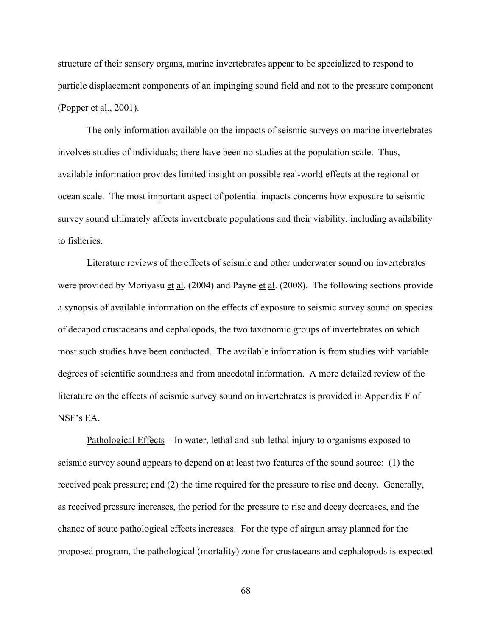structure of their sensory organs, marine invertebrates appear to be specialized to respond to particle displacement components of an impinging sound field and not to the pressure component (Popper et al., 2001).

The only information available on the impacts of seismic surveys on marine invertebrates involves studies of individuals; there have been no studies at the population scale. Thus, available information provides limited insight on possible real-world effects at the regional or ocean scale. The most important aspect of potential impacts concerns how exposure to seismic survey sound ultimately affects invertebrate populations and their viability, including availability to fisheries.

Literature reviews of the effects of seismic and other underwater sound on invertebrates were provided by Moriyasu et al. (2004) and Payne et al. (2008). The following sections provide a synopsis of available information on the effects of exposure to seismic survey sound on species of decapod crustaceans and cephalopods, the two taxonomic groups of invertebrates on which most such studies have been conducted. The available information is from studies with variable degrees of scientific soundness and from anecdotal information. A more detailed review of the literature on the effects of seismic survey sound on invertebrates is provided in Appendix F of NSF's EA.

Pathological Effects – In water, lethal and sub-lethal injury to organisms exposed to seismic survey sound appears to depend on at least two features of the sound source: (1) the received peak pressure; and (2) the time required for the pressure to rise and decay. Generally, as received pressure increases, the period for the pressure to rise and decay decreases, and the chance of acute pathological effects increases. For the type of airgun array planned for the proposed program, the pathological (mortality) zone for crustaceans and cephalopods is expected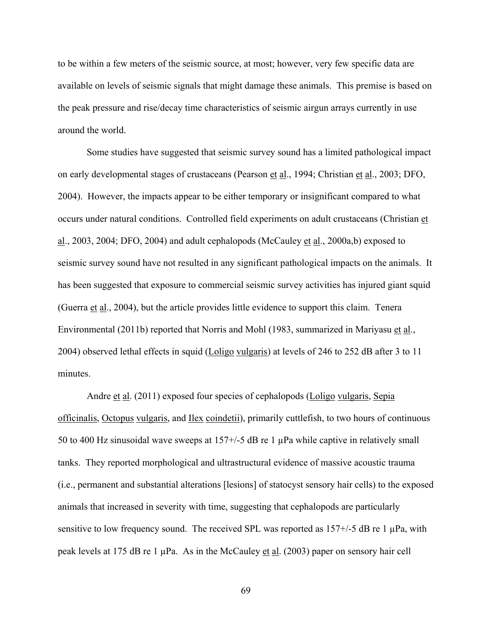to be within a few meters of the seismic source, at most; however, very few specific data are available on levels of seismic signals that might damage these animals. This premise is based on the peak pressure and rise/decay time characteristics of seismic airgun arrays currently in use around the world.

Some studies have suggested that seismic survey sound has a limited pathological impact on early developmental stages of crustaceans (Pearson et al., 1994; Christian et al., 2003; DFO, 2004). However, the impacts appear to be either temporary or insignificant compared to what occurs under natural conditions. Controlled field experiments on adult crustaceans (Christian et al., 2003, 2004; DFO, 2004) and adult cephalopods (McCauley et al., 2000a,b) exposed to seismic survey sound have not resulted in any significant pathological impacts on the animals. It has been suggested that exposure to commercial seismic survey activities has injured giant squid (Guerra et al., 2004), but the article provides little evidence to support this claim. Tenera Environmental (2011b) reported that Norris and Mohl (1983, summarized in Mariyasu et al., 2004) observed lethal effects in squid (Loligo vulgaris) at levels of 246 to 252 dB after 3 to 11 minutes.

Andre et al. (2011) exposed four species of cephalopods (Loligo vulgaris, Sepia officinalis, Octopus vulgaris, and Ilex coindetii), primarily cuttlefish, to two hours of continuous 50 to 400 Hz sinusoidal wave sweeps at 157+/-5 dB re 1 µPa while captive in relatively small tanks. They reported morphological and ultrastructural evidence of massive acoustic trauma (i.e., permanent and substantial alterations [lesions] of statocyst sensory hair cells) to the exposed animals that increased in severity with time, suggesting that cephalopods are particularly sensitive to low frequency sound. The received SPL was reported as  $157+/5$  dB re 1  $\mu$ Pa, with peak levels at 175 dB re 1 µPa. As in the McCauley et al. (2003) paper on sensory hair cell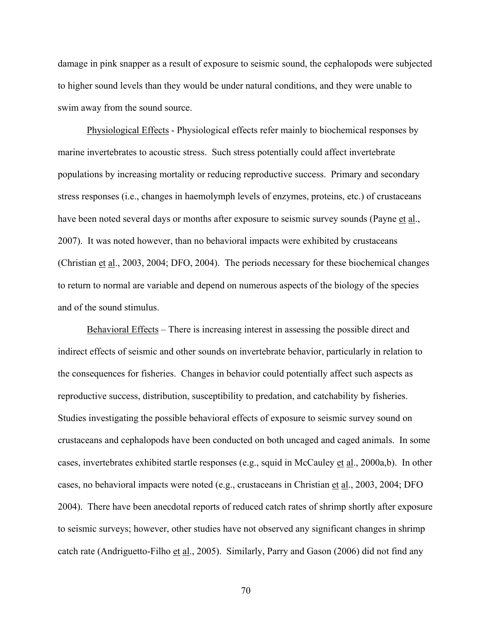damage in pink snapper as a result of exposure to seismic sound, the cephalopods were subjected to higher sound levels than they would be under natural conditions, and they were unable to swim away from the sound source.

Physiological Effects - Physiological effects refer mainly to biochemical responses by marine invertebrates to acoustic stress. Such stress potentially could affect invertebrate populations by increasing mortality or reducing reproductive success. Primary and secondary stress responses (i.e., changes in haemolymph levels of enzymes, proteins, etc.) of crustaceans have been noted several days or months after exposure to seismic survey sounds (Payne et al., 2007). It was noted however, than no behavioral impacts were exhibited by crustaceans (Christian et al., 2003, 2004; DFO, 2004). The periods necessary for these biochemical changes to return to normal are variable and depend on numerous aspects of the biology of the species and of the sound stimulus.

Behavioral Effects – There is increasing interest in assessing the possible direct and indirect effects of seismic and other sounds on invertebrate behavior, particularly in relation to the consequences for fisheries. Changes in behavior could potentially affect such aspects as reproductive success, distribution, susceptibility to predation, and catchability by fisheries. Studies investigating the possible behavioral effects of exposure to seismic survey sound on crustaceans and cephalopods have been conducted on both uncaged and caged animals. In some cases, invertebrates exhibited startle responses (e.g., squid in McCauley et al., 2000a,b). In other cases, no behavioral impacts were noted (e.g., crustaceans in Christian et al., 2003, 2004; DFO 2004). There have been anecdotal reports of reduced catch rates of shrimp shortly after exposure to seismic surveys; however, other studies have not observed any significant changes in shrimp catch rate (Andriguetto-Filho et al., 2005). Similarly, Parry and Gason (2006) did not find any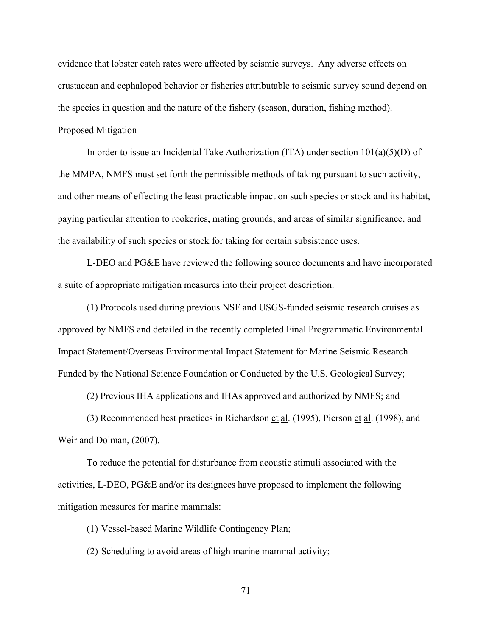evidence that lobster catch rates were affected by seismic surveys. Any adverse effects on crustacean and cephalopod behavior or fisheries attributable to seismic survey sound depend on the species in question and the nature of the fishery (season, duration, fishing method). Proposed Mitigation

In order to issue an Incidental Take Authorization (ITA) under section  $101(a)(5)(D)$  of the MMPA, NMFS must set forth the permissible methods of taking pursuant to such activity, and other means of effecting the least practicable impact on such species or stock and its habitat, paying particular attention to rookeries, mating grounds, and areas of similar significance, and the availability of such species or stock for taking for certain subsistence uses.

L-DEO and PG&E have reviewed the following source documents and have incorporated a suite of appropriate mitigation measures into their project description.

(1) Protocols used during previous NSF and USGS-funded seismic research cruises as approved by NMFS and detailed in the recently completed Final Programmatic Environmental Impact Statement/Overseas Environmental Impact Statement for Marine Seismic Research Funded by the National Science Foundation or Conducted by the U.S. Geological Survey;

(2) Previous IHA applications and IHAs approved and authorized by NMFS; and

(3) Recommended best practices in Richardson et al. (1995), Pierson et al. (1998), and Weir and Dolman, (2007).

To reduce the potential for disturbance from acoustic stimuli associated with the activities, L-DEO, PG&E and/or its designees have proposed to implement the following mitigation measures for marine mammals:

(1) Vessel-based Marine Wildlife Contingency Plan;

(2) Scheduling to avoid areas of high marine mammal activity;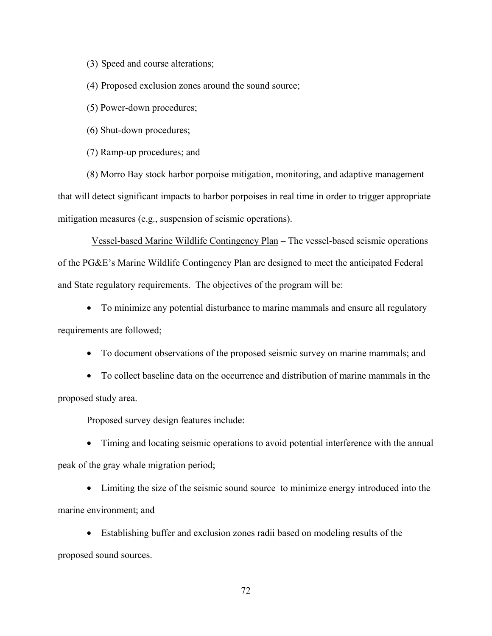(3) Speed and course alterations;

(4) Proposed exclusion zones around the sound source;

(5) Power-down procedures;

(6) Shut-down procedures;

(7) Ramp-up procedures; and

(8) Morro Bay stock harbor porpoise mitigation, monitoring, and adaptive management that will detect significant impacts to harbor porpoises in real time in order to trigger appropriate mitigation measures (e.g., suspension of seismic operations).

 Vessel-based Marine Wildlife Contingency Plan – The vessel-based seismic operations of the PG&E's Marine Wildlife Contingency Plan are designed to meet the anticipated Federal and State regulatory requirements. The objectives of the program will be:

• To minimize any potential disturbance to marine mammals and ensure all regulatory requirements are followed;

• To document observations of the proposed seismic survey on marine mammals; and

• To collect baseline data on the occurrence and distribution of marine mammals in the proposed study area.

Proposed survey design features include:

• Timing and locating seismic operations to avoid potential interference with the annual peak of the gray whale migration period;

• Limiting the size of the seismic sound source to minimize energy introduced into the marine environment; and

• Establishing buffer and exclusion zones radii based on modeling results of the proposed sound sources.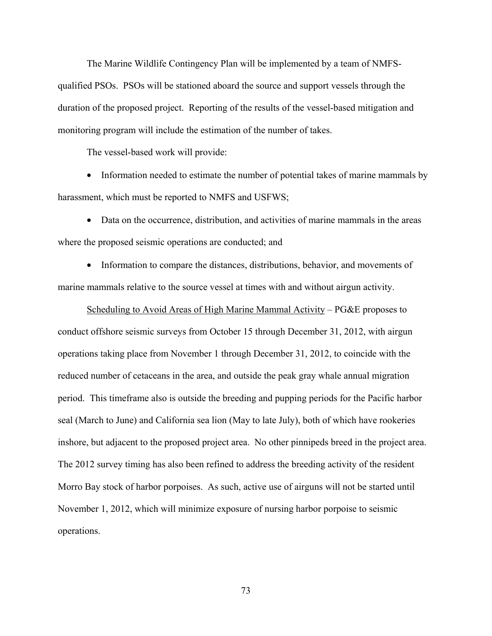The Marine Wildlife Contingency Plan will be implemented by a team of NMFSqualified PSOs. PSOs will be stationed aboard the source and support vessels through the duration of the proposed project. Reporting of the results of the vessel-based mitigation and monitoring program will include the estimation of the number of takes.

The vessel-based work will provide:

• Information needed to estimate the number of potential takes of marine mammals by harassment, which must be reported to NMFS and USFWS;

• Data on the occurrence, distribution, and activities of marine mammals in the areas where the proposed seismic operations are conducted; and

• Information to compare the distances, distributions, behavior, and movements of marine mammals relative to the source vessel at times with and without airgun activity.

Scheduling to Avoid Areas of High Marine Mammal Activity – PG&E proposes to conduct offshore seismic surveys from October 15 through December 31, 2012, with airgun operations taking place from November 1 through December 31, 2012, to coincide with the reduced number of cetaceans in the area, and outside the peak gray whale annual migration period. This timeframe also is outside the breeding and pupping periods for the Pacific harbor seal (March to June) and California sea lion (May to late July), both of which have rookeries inshore, but adjacent to the proposed project area. No other pinnipeds breed in the project area. The 2012 survey timing has also been refined to address the breeding activity of the resident Morro Bay stock of harbor porpoises. As such, active use of airguns will not be started until November 1, 2012, which will minimize exposure of nursing harbor porpoise to seismic operations.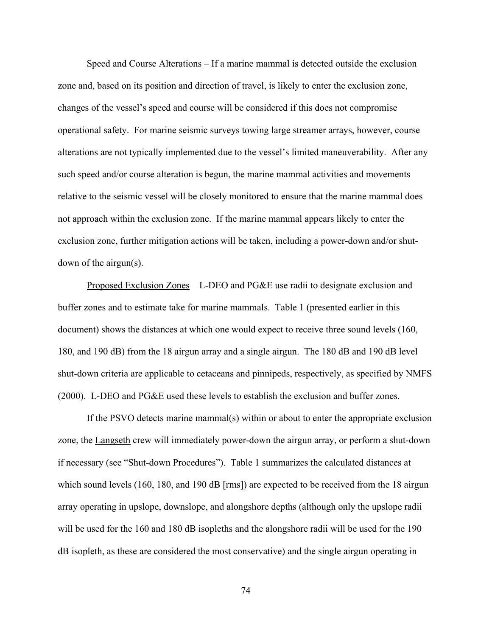Speed and Course Alterations – If a marine mammal is detected outside the exclusion zone and, based on its position and direction of travel, is likely to enter the exclusion zone, changes of the vessel's speed and course will be considered if this does not compromise operational safety. For marine seismic surveys towing large streamer arrays, however, course alterations are not typically implemented due to the vessel's limited maneuverability. After any such speed and/or course alteration is begun, the marine mammal activities and movements relative to the seismic vessel will be closely monitored to ensure that the marine mammal does not approach within the exclusion zone. If the marine mammal appears likely to enter the exclusion zone, further mitigation actions will be taken, including a power-down and/or shutdown of the airgun(s).

Proposed Exclusion Zones – L-DEO and PG&E use radii to designate exclusion and buffer zones and to estimate take for marine mammals. Table 1 (presented earlier in this document) shows the distances at which one would expect to receive three sound levels (160, 180, and 190 dB) from the 18 airgun array and a single airgun. The 180 dB and 190 dB level shut-down criteria are applicable to cetaceans and pinnipeds, respectively, as specified by NMFS (2000). L-DEO and PG&E used these levels to establish the exclusion and buffer zones.

If the PSVO detects marine mammal(s) within or about to enter the appropriate exclusion zone, the Langseth crew will immediately power-down the airgun array, or perform a shut-down if necessary (see "Shut-down Procedures"). Table 1 summarizes the calculated distances at which sound levels (160, 180, and 190 dB [rms]) are expected to be received from the 18 airgun array operating in upslope, downslope, and alongshore depths (although only the upslope radii will be used for the 160 and 180 dB isopleths and the alongshore radii will be used for the 190 dB isopleth, as these are considered the most conservative) and the single airgun operating in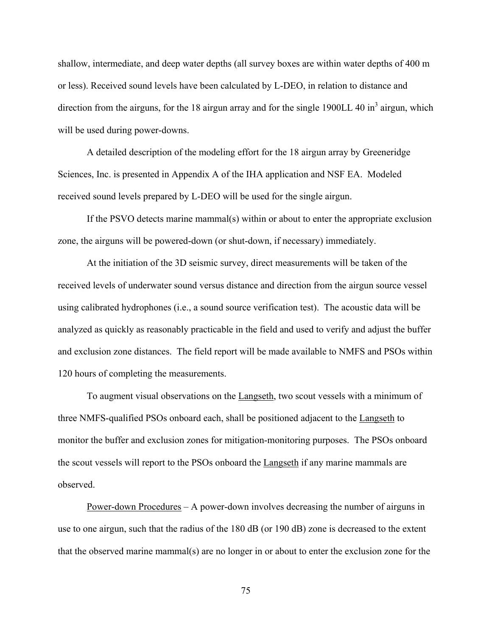shallow, intermediate, and deep water depths (all survey boxes are within water depths of 400 m or less). Received sound levels have been calculated by L-DEO, in relation to distance and direction from the airguns, for the 18 airgun array and for the single 1900LL 40 in $^3$  airgun, which will be used during power-downs.

A detailed description of the modeling effort for the 18 airgun array by Greeneridge Sciences, Inc. is presented in Appendix A of the IHA application and NSF EA. Modeled received sound levels prepared by L-DEO will be used for the single airgun.

If the PSVO detects marine mammal(s) within or about to enter the appropriate exclusion zone, the airguns will be powered-down (or shut-down, if necessary) immediately.

At the initiation of the 3D seismic survey, direct measurements will be taken of the received levels of underwater sound versus distance and direction from the airgun source vessel using calibrated hydrophones (i.e., a sound source verification test). The acoustic data will be analyzed as quickly as reasonably practicable in the field and used to verify and adjust the buffer and exclusion zone distances. The field report will be made available to NMFS and PSOs within 120 hours of completing the measurements.

To augment visual observations on the Langseth, two scout vessels with a minimum of three NMFS-qualified PSOs onboard each, shall be positioned adjacent to the Langseth to monitor the buffer and exclusion zones for mitigation-monitoring purposes. The PSOs onboard the scout vessels will report to the PSOs onboard the Langseth if any marine mammals are observed.

Power-down Procedures – A power-down involves decreasing the number of airguns in use to one airgun, such that the radius of the 180 dB (or 190 dB) zone is decreased to the extent that the observed marine mammal(s) are no longer in or about to enter the exclusion zone for the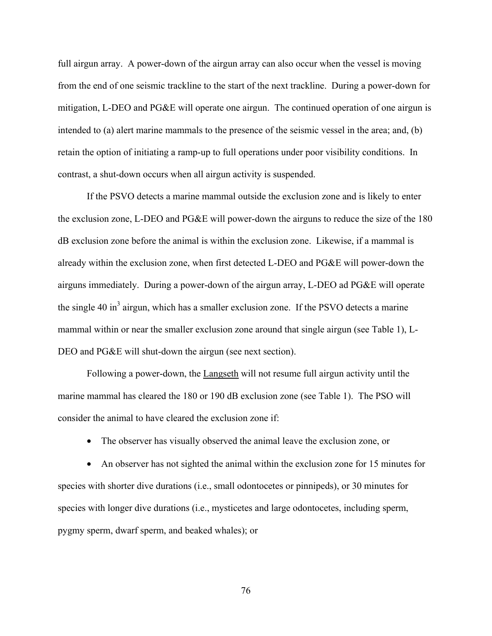full airgun array. A power-down of the airgun array can also occur when the vessel is moving from the end of one seismic trackline to the start of the next trackline. During a power-down for mitigation, L-DEO and PG&E will operate one airgun. The continued operation of one airgun is intended to (a) alert marine mammals to the presence of the seismic vessel in the area; and, (b) retain the option of initiating a ramp-up to full operations under poor visibility conditions. In contrast, a shut-down occurs when all airgun activity is suspended.

If the PSVO detects a marine mammal outside the exclusion zone and is likely to enter the exclusion zone, L-DEO and PG&E will power-down the airguns to reduce the size of the 180 dB exclusion zone before the animal is within the exclusion zone. Likewise, if a mammal is already within the exclusion zone, when first detected L-DEO and PG&E will power-down the airguns immediately. During a power-down of the airgun array, L-DEO ad PG&E will operate the single 40 in<sup>3</sup> airgun, which has a smaller exclusion zone. If the PSVO detects a marine mammal within or near the smaller exclusion zone around that single airgun (see Table 1), L-DEO and PG&E will shut-down the airgun (see next section).

 Following a power-down, the Langseth will not resume full airgun activity until the marine mammal has cleared the 180 or 190 dB exclusion zone (see Table 1). The PSO will consider the animal to have cleared the exclusion zone if:

• The observer has visually observed the animal leave the exclusion zone, or

• An observer has not sighted the animal within the exclusion zone for 15 minutes for species with shorter dive durations (i.e., small odontocetes or pinnipeds), or 30 minutes for species with longer dive durations (i.e., mysticetes and large odontocetes, including sperm, pygmy sperm, dwarf sperm, and beaked whales); or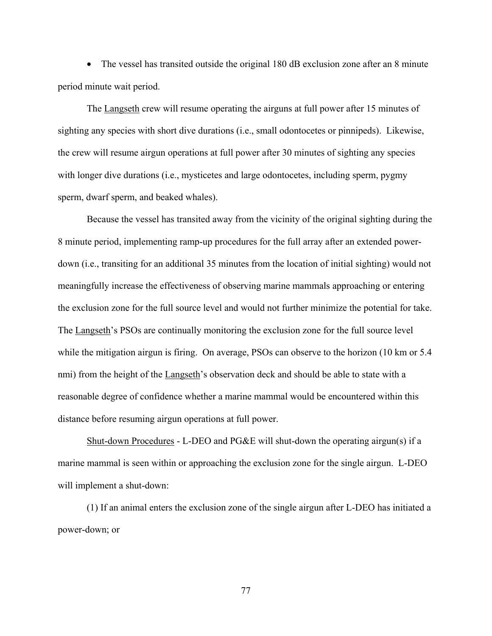• The vessel has transited outside the original 180 dB exclusion zone after an 8 minute period minute wait period.

The Langseth crew will resume operating the airguns at full power after 15 minutes of sighting any species with short dive durations (i.e., small odontocetes or pinnipeds). Likewise, the crew will resume airgun operations at full power after 30 minutes of sighting any species with longer dive durations (i.e., mysticetes and large odontocetes, including sperm, pygmy sperm, dwarf sperm, and beaked whales).

Because the vessel has transited away from the vicinity of the original sighting during the 8 minute period, implementing ramp-up procedures for the full array after an extended powerdown (i.e., transiting for an additional 35 minutes from the location of initial sighting) would not meaningfully increase the effectiveness of observing marine mammals approaching or entering the exclusion zone for the full source level and would not further minimize the potential for take. The Langseth's PSOs are continually monitoring the exclusion zone for the full source level while the mitigation airgun is firing. On average, PSOs can observe to the horizon (10 km or 5.4) nmi) from the height of the Langseth's observation deck and should be able to state with a reasonable degree of confidence whether a marine mammal would be encountered within this distance before resuming airgun operations at full power.

Shut-down Procedures - L-DEO and PG&E will shut-down the operating airgun(s) if a marine mammal is seen within or approaching the exclusion zone for the single airgun. L-DEO will implement a shut-down:

(1) If an animal enters the exclusion zone of the single airgun after L-DEO has initiated a power-down; or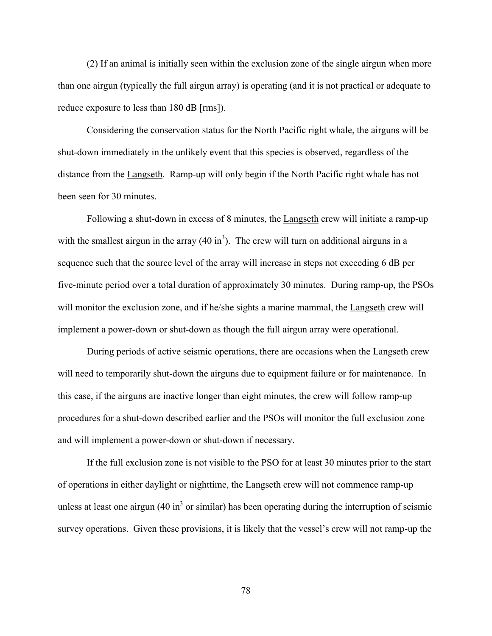(2) If an animal is initially seen within the exclusion zone of the single airgun when more than one airgun (typically the full airgun array) is operating (and it is not practical or adequate to reduce exposure to less than 180 dB [rms]).

Considering the conservation status for the North Pacific right whale, the airguns will be shut-down immediately in the unlikely event that this species is observed, regardless of the distance from the Langseth. Ramp-up will only begin if the North Pacific right whale has not been seen for 30 minutes.

 Following a shut-down in excess of 8 minutes, the Langseth crew will initiate a ramp-up with the smallest airgun in the array  $(40 \text{ in}^3)$ . The crew will turn on additional airguns in a sequence such that the source level of the array will increase in steps not exceeding 6 dB per five-minute period over a total duration of approximately 30 minutes. During ramp-up, the PSOs will monitor the exclusion zone, and if he/she sights a marine mammal, the Langseth crew will implement a power-down or shut-down as though the full airgun array were operational.

During periods of active seismic operations, there are occasions when the Langseth crew will need to temporarily shut-down the airguns due to equipment failure or for maintenance. In this case, if the airguns are inactive longer than eight minutes, the crew will follow ramp-up procedures for a shut-down described earlier and the PSOs will monitor the full exclusion zone and will implement a power-down or shut-down if necessary.

 If the full exclusion zone is not visible to the PSO for at least 30 minutes prior to the start of operations in either daylight or nighttime, the Langseth crew will not commence ramp-up unless at least one airgun  $(40 \text{ in}^3 \text{ or } \text{similar})$  has been operating during the interruption of seismic survey operations. Given these provisions, it is likely that the vessel's crew will not ramp-up the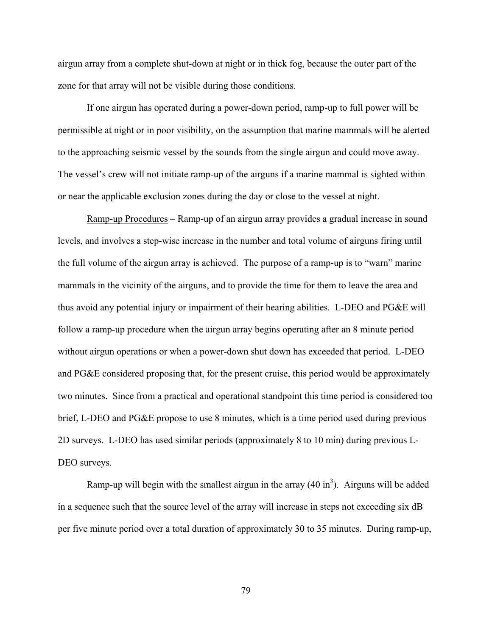airgun array from a complete shut-down at night or in thick fog, because the outer part of the zone for that array will not be visible during those conditions.

 If one airgun has operated during a power-down period, ramp-up to full power will be permissible at night or in poor visibility, on the assumption that marine mammals will be alerted to the approaching seismic vessel by the sounds from the single airgun and could move away. The vessel's crew will not initiate ramp-up of the airguns if a marine mammal is sighted within or near the applicable exclusion zones during the day or close to the vessel at night.

Ramp-up Procedures – Ramp-up of an airgun array provides a gradual increase in sound levels, and involves a step-wise increase in the number and total volume of airguns firing until the full volume of the airgun array is achieved. The purpose of a ramp-up is to "warn" marine mammals in the vicinity of the airguns, and to provide the time for them to leave the area and thus avoid any potential injury or impairment of their hearing abilities. L-DEO and PG&E will follow a ramp-up procedure when the airgun array begins operating after an 8 minute period without airgun operations or when a power-down shut down has exceeded that period. L-DEO and PG&E considered proposing that, for the present cruise, this period would be approximately two minutes. Since from a practical and operational standpoint this time period is considered too brief, L-DEO and PG&E propose to use 8 minutes, which is a time period used during previous 2D surveys. L-DEO has used similar periods (approximately 8 to 10 min) during previous L-DEO surveys.

Ramp-up will begin with the smallest airgun in the array  $(40 \text{ in}^3)$ . Airguns will be added in a sequence such that the source level of the array will increase in steps not exceeding six dB per five minute period over a total duration of approximately 30 to 35 minutes. During ramp-up,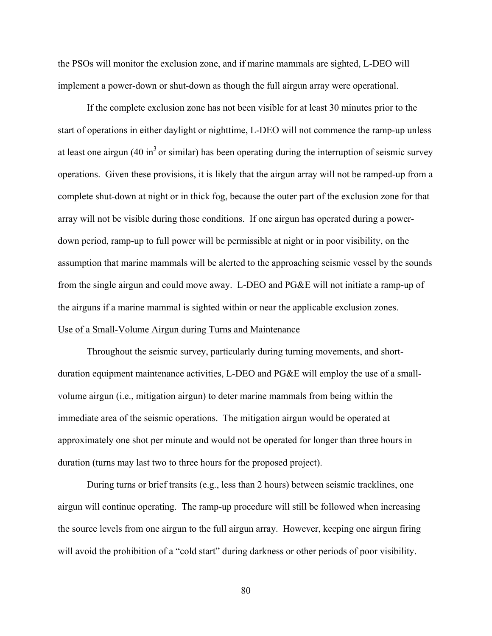the PSOs will monitor the exclusion zone, and if marine mammals are sighted, L-DEO will implement a power-down or shut-down as though the full airgun array were operational.

If the complete exclusion zone has not been visible for at least 30 minutes prior to the start of operations in either daylight or nighttime, L-DEO will not commence the ramp-up unless at least one airgun  $(40 \text{ in}^3 \text{ or similar})$  has been operating during the interruption of seismic survey operations. Given these provisions, it is likely that the airgun array will not be ramped-up from a complete shut-down at night or in thick fog, because the outer part of the exclusion zone for that array will not be visible during those conditions. If one airgun has operated during a powerdown period, ramp-up to full power will be permissible at night or in poor visibility, on the assumption that marine mammals will be alerted to the approaching seismic vessel by the sounds from the single airgun and could move away. L-DEO and PG&E will not initiate a ramp-up of the airguns if a marine mammal is sighted within or near the applicable exclusion zones. Use of a Small-Volume Airgun during Turns and Maintenance

 Throughout the seismic survey, particularly during turning movements, and shortduration equipment maintenance activities, L-DEO and PG&E will employ the use of a smallvolume airgun (i.e., mitigation airgun) to deter marine mammals from being within the immediate area of the seismic operations. The mitigation airgun would be operated at approximately one shot per minute and would not be operated for longer than three hours in duration (turns may last two to three hours for the proposed project).

 During turns or brief transits (e.g., less than 2 hours) between seismic tracklines, one airgun will continue operating. The ramp-up procedure will still be followed when increasing the source levels from one airgun to the full airgun array. However, keeping one airgun firing will avoid the prohibition of a "cold start" during darkness or other periods of poor visibility.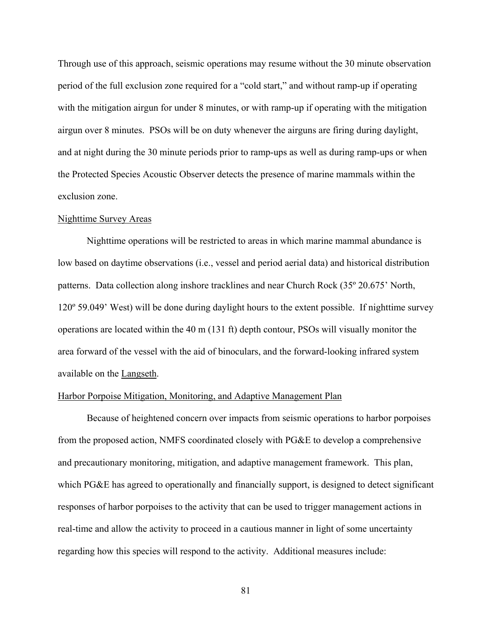Through use of this approach, seismic operations may resume without the 30 minute observation period of the full exclusion zone required for a "cold start," and without ramp-up if operating with the mitigation airgun for under 8 minutes, or with ramp-up if operating with the mitigation airgun over 8 minutes. PSOs will be on duty whenever the airguns are firing during daylight, and at night during the 30 minute periods prior to ramp-ups as well as during ramp-ups or when the Protected Species Acoustic Observer detects the presence of marine mammals within the exclusion zone.

#### Nighttime Survey Areas

 Nighttime operations will be restricted to areas in which marine mammal abundance is low based on daytime observations (i.e., vessel and period aerial data) and historical distribution patterns. Data collection along inshore tracklines and near Church Rock (35º 20.675' North, 120º 59.049' West) will be done during daylight hours to the extent possible. If nighttime survey operations are located within the 40 m (131 ft) depth contour, PSOs will visually monitor the area forward of the vessel with the aid of binoculars, and the forward-looking infrared system available on the Langseth.

### Harbor Porpoise Mitigation, Monitoring, and Adaptive Management Plan

 Because of heightened concern over impacts from seismic operations to harbor porpoises from the proposed action, NMFS coordinated closely with PG&E to develop a comprehensive and precautionary monitoring, mitigation, and adaptive management framework. This plan, which PG&E has agreed to operationally and financially support, is designed to detect significant responses of harbor porpoises to the activity that can be used to trigger management actions in real-time and allow the activity to proceed in a cautious manner in light of some uncertainty regarding how this species will respond to the activity. Additional measures include: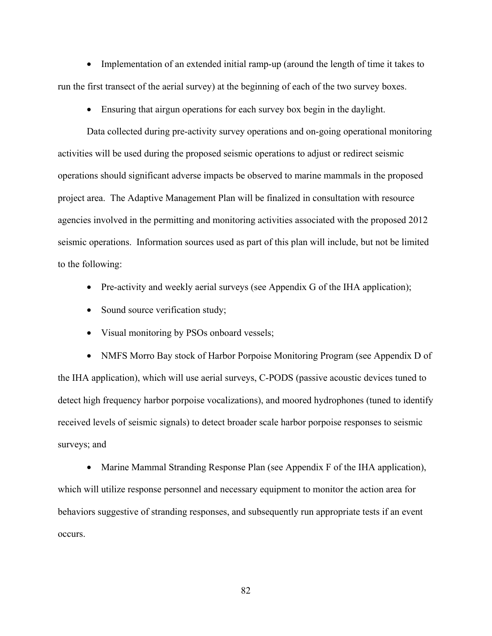• Implementation of an extended initial ramp-up (around the length of time it takes to run the first transect of the aerial survey) at the beginning of each of the two survey boxes.

• Ensuring that airgun operations for each survey box begin in the daylight.

 Data collected during pre-activity survey operations and on-going operational monitoring activities will be used during the proposed seismic operations to adjust or redirect seismic operations should significant adverse impacts be observed to marine mammals in the proposed project area. The Adaptive Management Plan will be finalized in consultation with resource agencies involved in the permitting and monitoring activities associated with the proposed 2012 seismic operations. Information sources used as part of this plan will include, but not be limited to the following:

- Pre-activity and weekly aerial surveys (see Appendix G of the IHA application);
- Sound source verification study;
- Visual monitoring by PSOs onboard vessels;

• NMFS Morro Bay stock of Harbor Porpoise Monitoring Program (see Appendix D of the IHA application), which will use aerial surveys, C-PODS (passive acoustic devices tuned to detect high frequency harbor porpoise vocalizations), and moored hydrophones (tuned to identify received levels of seismic signals) to detect broader scale harbor porpoise responses to seismic surveys; and

• Marine Mammal Stranding Response Plan (see Appendix F of the IHA application), which will utilize response personnel and necessary equipment to monitor the action area for behaviors suggestive of stranding responses, and subsequently run appropriate tests if an event occurs.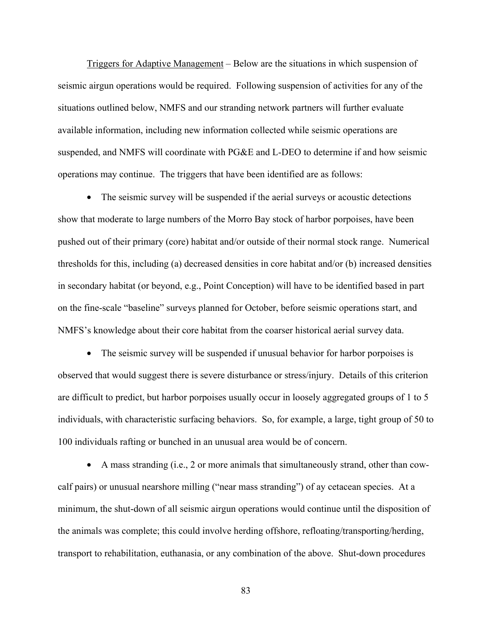Triggers for Adaptive Management – Below are the situations in which suspension of seismic airgun operations would be required. Following suspension of activities for any of the situations outlined below, NMFS and our stranding network partners will further evaluate available information, including new information collected while seismic operations are suspended, and NMFS will coordinate with PG&E and L-DEO to determine if and how seismic operations may continue. The triggers that have been identified are as follows:

• The seismic survey will be suspended if the aerial surveys or acoustic detections show that moderate to large numbers of the Morro Bay stock of harbor porpoises, have been pushed out of their primary (core) habitat and/or outside of their normal stock range. Numerical thresholds for this, including (a) decreased densities in core habitat and/or (b) increased densities in secondary habitat (or beyond, e.g., Point Conception) will have to be identified based in part on the fine-scale "baseline" surveys planned for October, before seismic operations start, and NMFS's knowledge about their core habitat from the coarser historical aerial survey data.

• The seismic survey will be suspended if unusual behavior for harbor porpoises is observed that would suggest there is severe disturbance or stress/injury. Details of this criterion are difficult to predict, but harbor porpoises usually occur in loosely aggregated groups of 1 to 5 individuals, with characteristic surfacing behaviors. So, for example, a large, tight group of 50 to 100 individuals rafting or bunched in an unusual area would be of concern.

• A mass stranding (i.e., 2 or more animals that simultaneously strand, other than cowcalf pairs) or unusual nearshore milling ("near mass stranding") of ay cetacean species. At a minimum, the shut-down of all seismic airgun operations would continue until the disposition of the animals was complete; this could involve herding offshore, refloating/transporting/herding, transport to rehabilitation, euthanasia, or any combination of the above. Shut-down procedures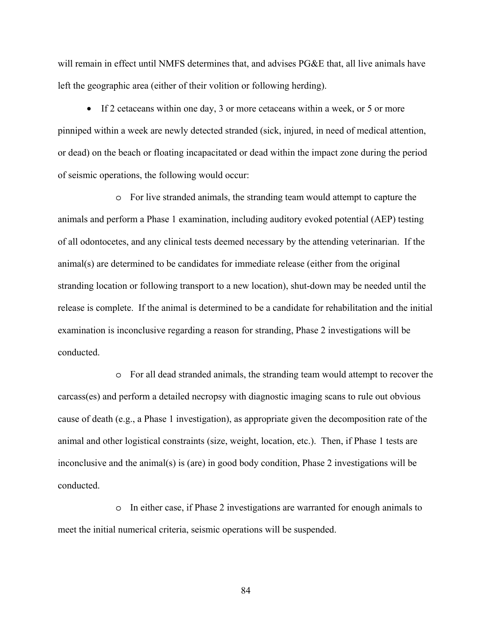will remain in effect until NMFS determines that, and advises PG&E that, all live animals have left the geographic area (either of their volition or following herding).

• If 2 cetaceans within one day, 3 or more cetaceans within a week, or 5 or more pinniped within a week are newly detected stranded (sick, injured, in need of medical attention, or dead) on the beach or floating incapacitated or dead within the impact zone during the period of seismic operations, the following would occur:

o For live stranded animals, the stranding team would attempt to capture the animals and perform a Phase 1 examination, including auditory evoked potential (AEP) testing of all odontocetes, and any clinical tests deemed necessary by the attending veterinarian. If the animal(s) are determined to be candidates for immediate release (either from the original stranding location or following transport to a new location), shut-down may be needed until the release is complete. If the animal is determined to be a candidate for rehabilitation and the initial examination is inconclusive regarding a reason for stranding, Phase 2 investigations will be conducted.

o For all dead stranded animals, the stranding team would attempt to recover the carcass(es) and perform a detailed necropsy with diagnostic imaging scans to rule out obvious cause of death (e.g., a Phase 1 investigation), as appropriate given the decomposition rate of the animal and other logistical constraints (size, weight, location, etc.). Then, if Phase 1 tests are inconclusive and the animal(s) is (are) in good body condition, Phase 2 investigations will be conducted.

o In either case, if Phase 2 investigations are warranted for enough animals to meet the initial numerical criteria, seismic operations will be suspended.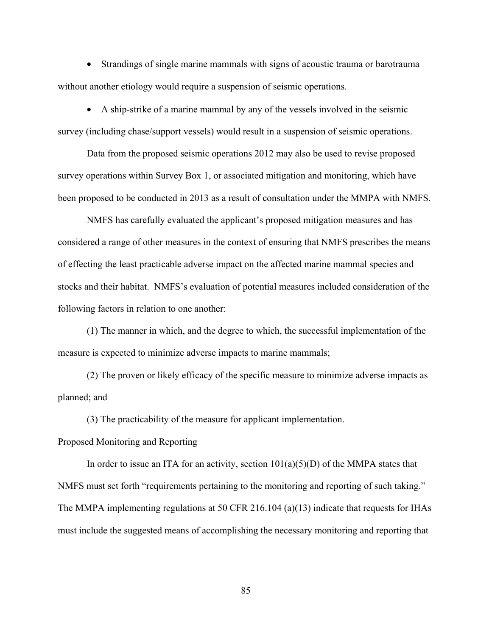• Strandings of single marine mammals with signs of acoustic trauma or barotrauma without another etiology would require a suspension of seismic operations.

• A ship-strike of a marine mammal by any of the vessels involved in the seismic survey (including chase/support vessels) would result in a suspension of seismic operations.

Data from the proposed seismic operations 2012 may also be used to revise proposed survey operations within Survey Box 1, or associated mitigation and monitoring, which have been proposed to be conducted in 2013 as a result of consultation under the MMPA with NMFS.

NMFS has carefully evaluated the applicant's proposed mitigation measures and has considered a range of other measures in the context of ensuring that NMFS prescribes the means of effecting the least practicable adverse impact on the affected marine mammal species and stocks and their habitat. NMFS's evaluation of potential measures included consideration of the following factors in relation to one another:

(1) The manner in which, and the degree to which, the successful implementation of the measure is expected to minimize adverse impacts to marine mammals;

(2) The proven or likely efficacy of the specific measure to minimize adverse impacts as planned; and

(3) The practicability of the measure for applicant implementation.

Proposed Monitoring and Reporting

In order to issue an ITA for an activity, section  $101(a)(5)(D)$  of the MMPA states that NMFS must set forth "requirements pertaining to the monitoring and reporting of such taking." The MMPA implementing regulations at 50 CFR 216.104 (a)(13) indicate that requests for IHAs must include the suggested means of accomplishing the necessary monitoring and reporting that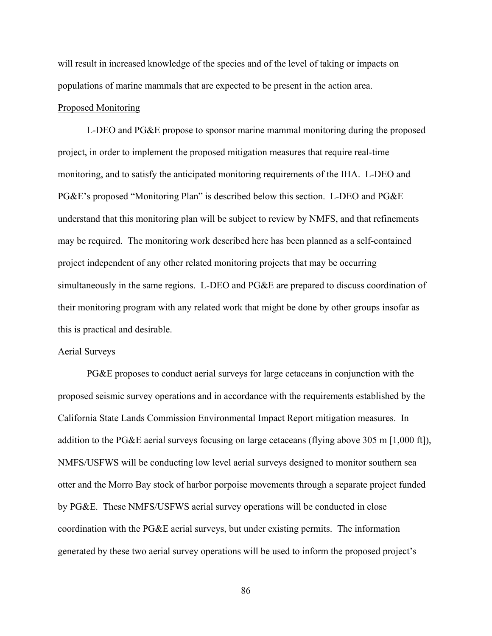will result in increased knowledge of the species and of the level of taking or impacts on populations of marine mammals that are expected to be present in the action area.

# Proposed Monitoring

L-DEO and PG&E propose to sponsor marine mammal monitoring during the proposed project, in order to implement the proposed mitigation measures that require real-time monitoring, and to satisfy the anticipated monitoring requirements of the IHA. L-DEO and PG&E's proposed "Monitoring Plan" is described below this section. L-DEO and PG&E understand that this monitoring plan will be subject to review by NMFS, and that refinements may be required. The monitoring work described here has been planned as a self-contained project independent of any other related monitoring projects that may be occurring simultaneously in the same regions. L-DEO and PG&E are prepared to discuss coordination of their monitoring program with any related work that might be done by other groups insofar as this is practical and desirable.

#### Aerial Surveys

 PG&E proposes to conduct aerial surveys for large cetaceans in conjunction with the proposed seismic survey operations and in accordance with the requirements established by the California State Lands Commission Environmental Impact Report mitigation measures. In addition to the PG&E aerial surveys focusing on large cetaceans (flying above 305 m [1,000 ft]), NMFS/USFWS will be conducting low level aerial surveys designed to monitor southern sea otter and the Morro Bay stock of harbor porpoise movements through a separate project funded by PG&E. These NMFS/USFWS aerial survey operations will be conducted in close coordination with the PG&E aerial surveys, but under existing permits. The information generated by these two aerial survey operations will be used to inform the proposed project's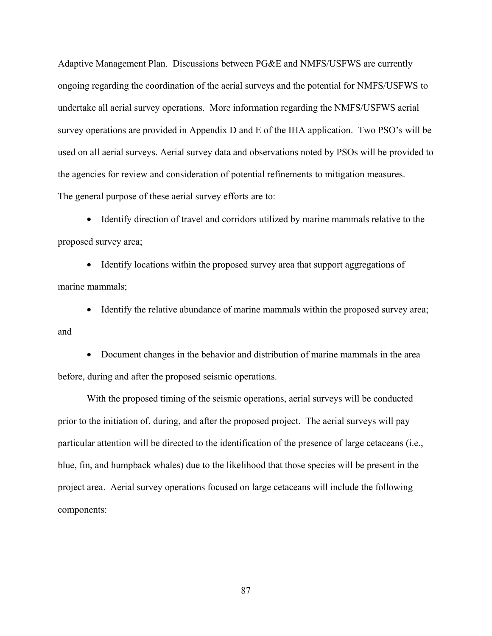Adaptive Management Plan. Discussions between PG&E and NMFS/USFWS are currently ongoing regarding the coordination of the aerial surveys and the potential for NMFS/USFWS to undertake all aerial survey operations. More information regarding the NMFS/USFWS aerial survey operations are provided in Appendix D and E of the IHA application. Two PSO's will be used on all aerial surveys. Aerial survey data and observations noted by PSOs will be provided to the agencies for review and consideration of potential refinements to mitigation measures. The general purpose of these aerial survey efforts are to:

• Identify direction of travel and corridors utilized by marine mammals relative to the proposed survey area;

• Identify locations within the proposed survey area that support aggregations of marine mammals;

• Identify the relative abundance of marine mammals within the proposed survey area; and

• Document changes in the behavior and distribution of marine mammals in the area before, during and after the proposed seismic operations.

With the proposed timing of the seismic operations, aerial surveys will be conducted prior to the initiation of, during, and after the proposed project. The aerial surveys will pay particular attention will be directed to the identification of the presence of large cetaceans (i.e., blue, fin, and humpback whales) due to the likelihood that those species will be present in the project area. Aerial survey operations focused on large cetaceans will include the following components: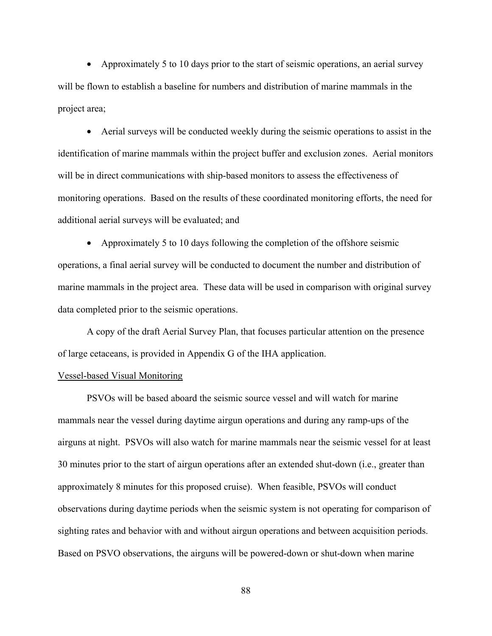• Approximately 5 to 10 days prior to the start of seismic operations, an aerial survey will be flown to establish a baseline for numbers and distribution of marine mammals in the project area;

• Aerial surveys will be conducted weekly during the seismic operations to assist in the identification of marine mammals within the project buffer and exclusion zones. Aerial monitors will be in direct communications with ship-based monitors to assess the effectiveness of monitoring operations. Based on the results of these coordinated monitoring efforts, the need for additional aerial surveys will be evaluated; and

• Approximately 5 to 10 days following the completion of the offshore seismic operations, a final aerial survey will be conducted to document the number and distribution of marine mammals in the project area. These data will be used in comparison with original survey data completed prior to the seismic operations.

A copy of the draft Aerial Survey Plan, that focuses particular attention on the presence of large cetaceans, is provided in Appendix G of the IHA application.

### Vessel-based Visual Monitoring

PSVOs will be based aboard the seismic source vessel and will watch for marine mammals near the vessel during daytime airgun operations and during any ramp-ups of the airguns at night. PSVOs will also watch for marine mammals near the seismic vessel for at least 30 minutes prior to the start of airgun operations after an extended shut-down (i.e., greater than approximately 8 minutes for this proposed cruise). When feasible, PSVOs will conduct observations during daytime periods when the seismic system is not operating for comparison of sighting rates and behavior with and without airgun operations and between acquisition periods. Based on PSVO observations, the airguns will be powered-down or shut-down when marine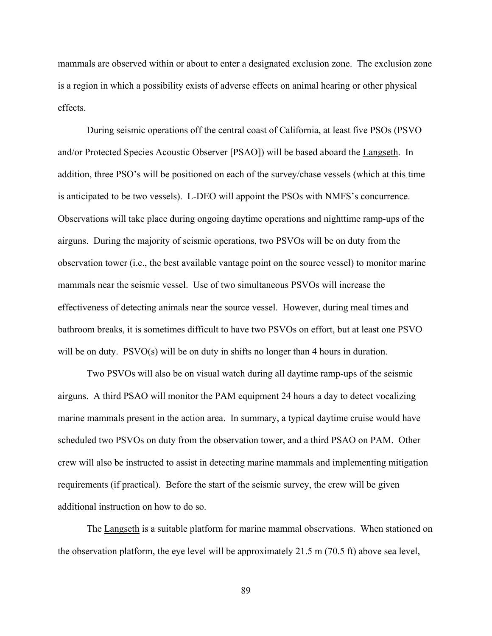mammals are observed within or about to enter a designated exclusion zone. The exclusion zone is a region in which a possibility exists of adverse effects on animal hearing or other physical effects.

During seismic operations off the central coast of California, at least five PSOs (PSVO and/or Protected Species Acoustic Observer [PSAO]) will be based aboard the Langseth. In addition, three PSO's will be positioned on each of the survey/chase vessels (which at this time is anticipated to be two vessels). L-DEO will appoint the PSOs with NMFS's concurrence. Observations will take place during ongoing daytime operations and nighttime ramp-ups of the airguns. During the majority of seismic operations, two PSVOs will be on duty from the observation tower (i.e., the best available vantage point on the source vessel) to monitor marine mammals near the seismic vessel. Use of two simultaneous PSVOs will increase the effectiveness of detecting animals near the source vessel. However, during meal times and bathroom breaks, it is sometimes difficult to have two PSVOs on effort, but at least one PSVO will be on duty. PSVO(s) will be on duty in shifts no longer than 4 hours in duration.

Two PSVOs will also be on visual watch during all daytime ramp-ups of the seismic airguns. A third PSAO will monitor the PAM equipment 24 hours a day to detect vocalizing marine mammals present in the action area. In summary, a typical daytime cruise would have scheduled two PSVOs on duty from the observation tower, and a third PSAO on PAM. Other crew will also be instructed to assist in detecting marine mammals and implementing mitigation requirements (if practical). Before the start of the seismic survey, the crew will be given additional instruction on how to do so.

The Langseth is a suitable platform for marine mammal observations. When stationed on the observation platform, the eye level will be approximately 21.5 m (70.5 ft) above sea level,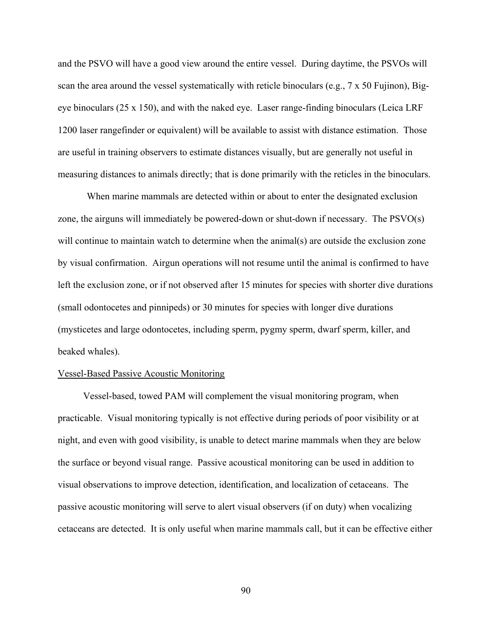and the PSVO will have a good view around the entire vessel. During daytime, the PSVOs will scan the area around the vessel systematically with reticle binoculars (e.g., 7 x 50 Fujinon), Bigeye binoculars (25 x 150), and with the naked eye. Laser range-finding binoculars (Leica LRF 1200 laser rangefinder or equivalent) will be available to assist with distance estimation. Those are useful in training observers to estimate distances visually, but are generally not useful in measuring distances to animals directly; that is done primarily with the reticles in the binoculars.

When marine mammals are detected within or about to enter the designated exclusion zone, the airguns will immediately be powered-down or shut-down if necessary. The PSVO(s) will continue to maintain watch to determine when the animal(s) are outside the exclusion zone by visual confirmation. Airgun operations will not resume until the animal is confirmed to have left the exclusion zone, or if not observed after 15 minutes for species with shorter dive durations (small odontocetes and pinnipeds) or 30 minutes for species with longer dive durations (mysticetes and large odontocetes, including sperm, pygmy sperm, dwarf sperm, killer, and beaked whales).

### Vessel-Based Passive Acoustic Monitoring

Vessel-based, towed PAM will complement the visual monitoring program, when practicable. Visual monitoring typically is not effective during periods of poor visibility or at night, and even with good visibility, is unable to detect marine mammals when they are below the surface or beyond visual range. Passive acoustical monitoring can be used in addition to visual observations to improve detection, identification, and localization of cetaceans. The passive acoustic monitoring will serve to alert visual observers (if on duty) when vocalizing cetaceans are detected. It is only useful when marine mammals call, but it can be effective either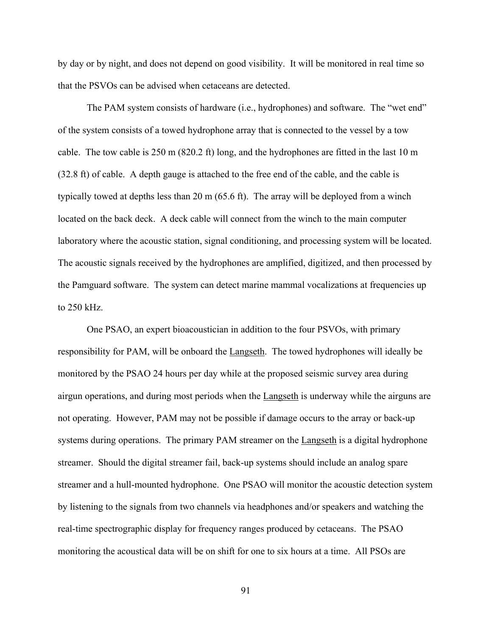by day or by night, and does not depend on good visibility. It will be monitored in real time so that the PSVOs can be advised when cetaceans are detected.

The PAM system consists of hardware (i.e., hydrophones) and software. The "wet end" of the system consists of a towed hydrophone array that is connected to the vessel by a tow cable. The tow cable is 250 m (820.2 ft) long, and the hydrophones are fitted in the last 10 m (32.8 ft) of cable. A depth gauge is attached to the free end of the cable, and the cable is typically towed at depths less than 20 m (65.6 ft). The array will be deployed from a winch located on the back deck. A deck cable will connect from the winch to the main computer laboratory where the acoustic station, signal conditioning, and processing system will be located. The acoustic signals received by the hydrophones are amplified, digitized, and then processed by the Pamguard software. The system can detect marine mammal vocalizations at frequencies up to 250 kHz.

One PSAO, an expert bioacoustician in addition to the four PSVOs, with primary responsibility for PAM, will be onboard the Langseth. The towed hydrophones will ideally be monitored by the PSAO 24 hours per day while at the proposed seismic survey area during airgun operations, and during most periods when the Langseth is underway while the airguns are not operating. However, PAM may not be possible if damage occurs to the array or back-up systems during operations. The primary PAM streamer on the Langseth is a digital hydrophone streamer. Should the digital streamer fail, back-up systems should include an analog spare streamer and a hull-mounted hydrophone. One PSAO will monitor the acoustic detection system by listening to the signals from two channels via headphones and/or speakers and watching the real-time spectrographic display for frequency ranges produced by cetaceans. The PSAO monitoring the acoustical data will be on shift for one to six hours at a time. All PSOs are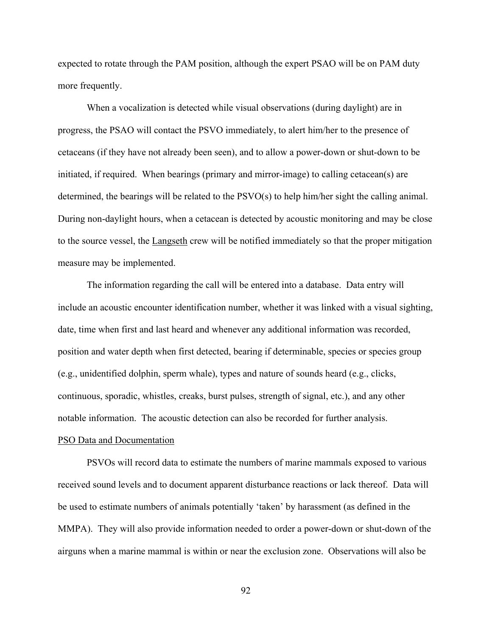expected to rotate through the PAM position, although the expert PSAO will be on PAM duty more frequently.

When a vocalization is detected while visual observations (during daylight) are in progress, the PSAO will contact the PSVO immediately, to alert him/her to the presence of cetaceans (if they have not already been seen), and to allow a power-down or shut-down to be initiated, if required. When bearings (primary and mirror-image) to calling cetacean(s) are determined, the bearings will be related to the PSVO(s) to help him/her sight the calling animal. During non-daylight hours, when a cetacean is detected by acoustic monitoring and may be close to the source vessel, the Langseth crew will be notified immediately so that the proper mitigation measure may be implemented.

The information regarding the call will be entered into a database. Data entry will include an acoustic encounter identification number, whether it was linked with a visual sighting, date, time when first and last heard and whenever any additional information was recorded, position and water depth when first detected, bearing if determinable, species or species group (e.g., unidentified dolphin, sperm whale), types and nature of sounds heard (e.g., clicks, continuous, sporadic, whistles, creaks, burst pulses, strength of signal, etc.), and any other notable information. The acoustic detection can also be recorded for further analysis.

# PSO Data and Documentation

PSVOs will record data to estimate the numbers of marine mammals exposed to various received sound levels and to document apparent disturbance reactions or lack thereof. Data will be used to estimate numbers of animals potentially 'taken' by harassment (as defined in the MMPA). They will also provide information needed to order a power-down or shut-down of the airguns when a marine mammal is within or near the exclusion zone. Observations will also be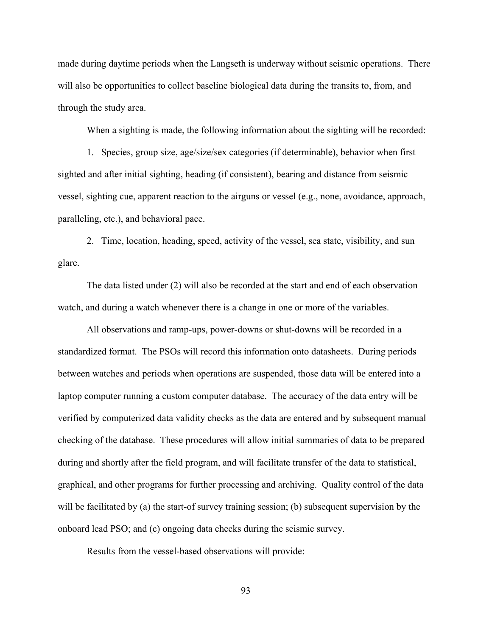made during daytime periods when the **Langseth** is underway without seismic operations. There will also be opportunities to collect baseline biological data during the transits to, from, and through the study area.

When a sighting is made, the following information about the sighting will be recorded:

1. Species, group size, age/size/sex categories (if determinable), behavior when first sighted and after initial sighting, heading (if consistent), bearing and distance from seismic vessel, sighting cue, apparent reaction to the airguns or vessel (e.g., none, avoidance, approach, paralleling, etc.), and behavioral pace.

2. Time, location, heading, speed, activity of the vessel, sea state, visibility, and sun glare.

The data listed under (2) will also be recorded at the start and end of each observation watch, and during a watch whenever there is a change in one or more of the variables.

All observations and ramp-ups, power-downs or shut-downs will be recorded in a standardized format. The PSOs will record this information onto datasheets. During periods between watches and periods when operations are suspended, those data will be entered into a laptop computer running a custom computer database. The accuracy of the data entry will be verified by computerized data validity checks as the data are entered and by subsequent manual checking of the database. These procedures will allow initial summaries of data to be prepared during and shortly after the field program, and will facilitate transfer of the data to statistical, graphical, and other programs for further processing and archiving. Quality control of the data will be facilitated by (a) the start-of survey training session; (b) subsequent supervision by the onboard lead PSO; and (c) ongoing data checks during the seismic survey.

Results from the vessel-based observations will provide: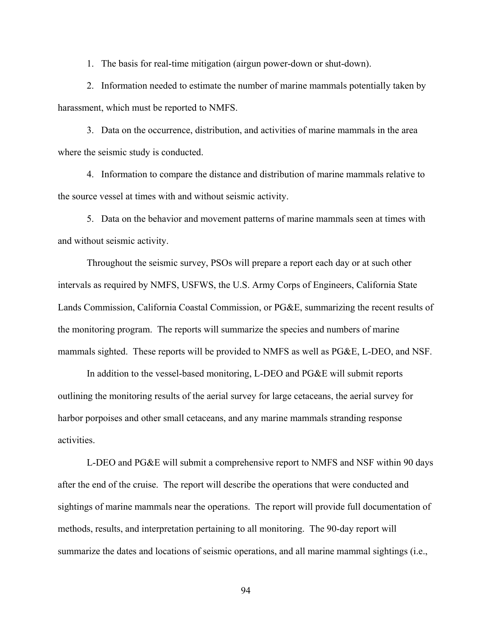1. The basis for real-time mitigation (airgun power-down or shut-down).

2. Information needed to estimate the number of marine mammals potentially taken by harassment, which must be reported to NMFS.

3. Data on the occurrence, distribution, and activities of marine mammals in the area where the seismic study is conducted.

4. Information to compare the distance and distribution of marine mammals relative to the source vessel at times with and without seismic activity.

5. Data on the behavior and movement patterns of marine mammals seen at times with and without seismic activity.

Throughout the seismic survey, PSOs will prepare a report each day or at such other intervals as required by NMFS, USFWS, the U.S. Army Corps of Engineers, California State Lands Commission, California Coastal Commission, or PG&E, summarizing the recent results of the monitoring program. The reports will summarize the species and numbers of marine mammals sighted. These reports will be provided to NMFS as well as PG&E, L-DEO, and NSF.

In addition to the vessel-based monitoring, L-DEO and PG&E will submit reports outlining the monitoring results of the aerial survey for large cetaceans, the aerial survey for harbor porpoises and other small cetaceans, and any marine mammals stranding response activities.

L-DEO and PG&E will submit a comprehensive report to NMFS and NSF within 90 days after the end of the cruise. The report will describe the operations that were conducted and sightings of marine mammals near the operations. The report will provide full documentation of methods, results, and interpretation pertaining to all monitoring. The 90-day report will summarize the dates and locations of seismic operations, and all marine mammal sightings (i.e.,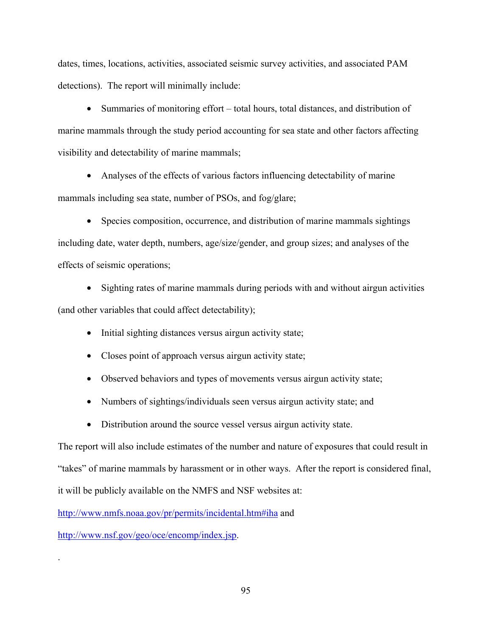dates, times, locations, activities, associated seismic survey activities, and associated PAM detections). The report will minimally include:

• Summaries of monitoring effort – total hours, total distances, and distribution of marine mammals through the study period accounting for sea state and other factors affecting visibility and detectability of marine mammals;

• Analyses of the effects of various factors influencing detectability of marine mammals including sea state, number of PSOs, and fog/glare;

• Species composition, occurrence, and distribution of marine mammals sightings including date, water depth, numbers, age/size/gender, and group sizes; and analyses of the effects of seismic operations;

• Sighting rates of marine mammals during periods with and without airgun activities (and other variables that could affect detectability);

- Initial sighting distances versus airgun activity state;
- Closes point of approach versus airgun activity state;
- Observed behaviors and types of movements versus airgun activity state;
- Numbers of sightings/individuals seen versus airgun activity state; and
- Distribution around the source vessel versus airgun activity state.

The report will also include estimates of the number and nature of exposures that could result in "takes" of marine mammals by harassment or in other ways. After the report is considered final, it will be publicly available on the NMFS and NSF websites at:

http://www.nmfs.noaa.gov/pr/permits/incidental.htm#iha and

http://www.nsf.gov/geo/oce/encomp/index.jsp.

.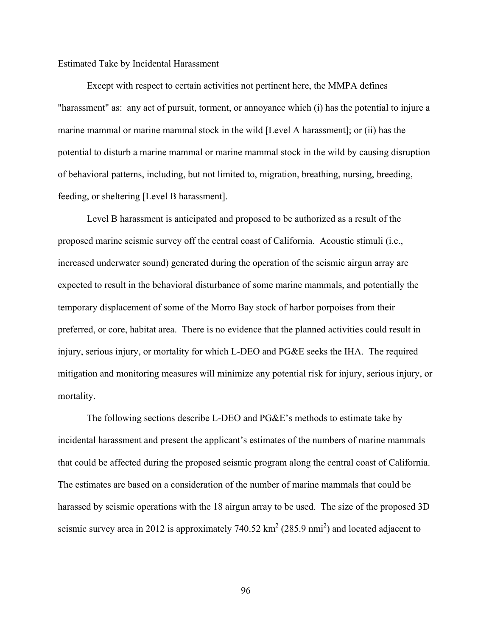## Estimated Take by Incidental Harassment

Except with respect to certain activities not pertinent here, the MMPA defines "harassment" as: any act of pursuit, torment, or annoyance which (i) has the potential to injure a marine mammal or marine mammal stock in the wild [Level A harassment]; or (ii) has the potential to disturb a marine mammal or marine mammal stock in the wild by causing disruption of behavioral patterns, including, but not limited to, migration, breathing, nursing, breeding, feeding, or sheltering [Level B harassment].

Level B harassment is anticipated and proposed to be authorized as a result of the proposed marine seismic survey off the central coast of California. Acoustic stimuli (i.e., increased underwater sound) generated during the operation of the seismic airgun array are expected to result in the behavioral disturbance of some marine mammals, and potentially the temporary displacement of some of the Morro Bay stock of harbor porpoises from their preferred, or core, habitat area. There is no evidence that the planned activities could result in injury, serious injury, or mortality for which L-DEO and PG&E seeks the IHA. The required mitigation and monitoring measures will minimize any potential risk for injury, serious injury, or mortality.

The following sections describe L-DEO and PG&E's methods to estimate take by incidental harassment and present the applicant's estimates of the numbers of marine mammals that could be affected during the proposed seismic program along the central coast of California. The estimates are based on a consideration of the number of marine mammals that could be harassed by seismic operations with the 18 airgun array to be used. The size of the proposed 3D seismic survey area in 2012 is approximately 740.52  $\text{km}^2$  (285.9 nmi<sup>2</sup>) and located adjacent to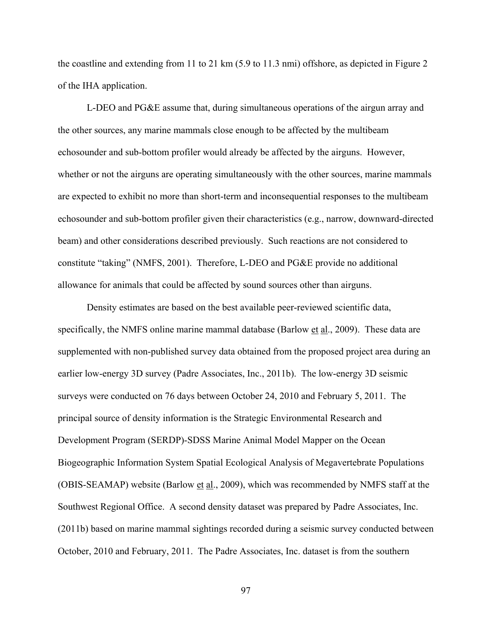the coastline and extending from 11 to 21 km (5.9 to 11.3 nmi) offshore, as depicted in Figure 2 of the IHA application.

L-DEO and PG&E assume that, during simultaneous operations of the airgun array and the other sources, any marine mammals close enough to be affected by the multibeam echosounder and sub-bottom profiler would already be affected by the airguns. However, whether or not the airguns are operating simultaneously with the other sources, marine mammals are expected to exhibit no more than short-term and inconsequential responses to the multibeam echosounder and sub-bottom profiler given their characteristics (e.g., narrow, downward-directed beam) and other considerations described previously. Such reactions are not considered to constitute "taking" (NMFS, 2001). Therefore, L-DEO and PG&E provide no additional allowance for animals that could be affected by sound sources other than airguns.

Density estimates are based on the best available peer-reviewed scientific data, specifically, the NMFS online marine mammal database (Barlow et al., 2009). These data are supplemented with non-published survey data obtained from the proposed project area during an earlier low-energy 3D survey (Padre Associates, Inc., 2011b). The low-energy 3D seismic surveys were conducted on 76 days between October 24, 2010 and February 5, 2011. The principal source of density information is the Strategic Environmental Research and Development Program (SERDP)-SDSS Marine Animal Model Mapper on the Ocean Biogeographic Information System Spatial Ecological Analysis of Megavertebrate Populations (OBIS-SEAMAP) website (Barlow et al., 2009), which was recommended by NMFS staff at the Southwest Regional Office. A second density dataset was prepared by Padre Associates, Inc. (2011b) based on marine mammal sightings recorded during a seismic survey conducted between October, 2010 and February, 2011. The Padre Associates, Inc. dataset is from the southern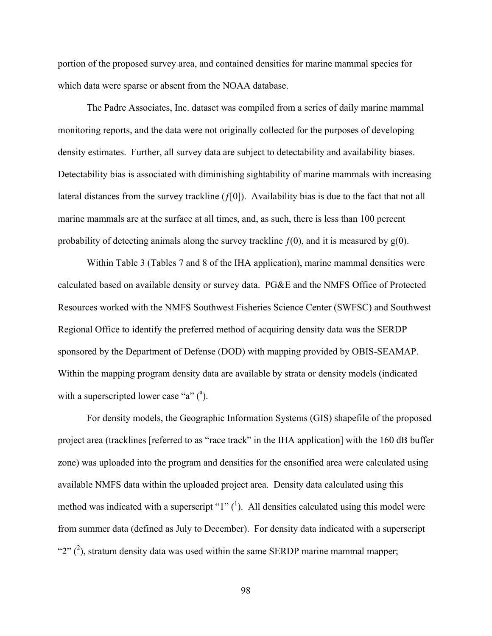portion of the proposed survey area, and contained densities for marine mammal species for which data were sparse or absent from the NOAA database.

The Padre Associates, Inc. dataset was compiled from a series of daily marine mammal monitoring reports, and the data were not originally collected for the purposes of developing density estimates. Further, all survey data are subject to detectability and availability biases. Detectability bias is associated with diminishing sightability of marine mammals with increasing lateral distances from the survey trackline  $(f[0])$ . Availability bias is due to the fact that not all marine mammals are at the surface at all times, and, as such, there is less than 100 percent probability of detecting animals along the survey trackline  $f(0)$ , and it is measured by  $g(0)$ .

Within Table 3 (Tables 7 and 8 of the IHA application), marine mammal densities were calculated based on available density or survey data. PG&E and the NMFS Office of Protected Resources worked with the NMFS Southwest Fisheries Science Center (SWFSC) and Southwest Regional Office to identify the preferred method of acquiring density data was the SERDP sponsored by the Department of Defense (DOD) with mapping provided by OBIS-SEAMAP. Within the mapping program density data are available by strata or density models (indicated with a superscripted lower case "a"  $(^{a})$ .

For density models, the Geographic Information Systems (GIS) shapefile of the proposed project area (tracklines [referred to as "race track" in the IHA application] with the 160 dB buffer zone) was uploaded into the program and densities for the ensonified area were calculated using available NMFS data within the uploaded project area. Density data calculated using this method was indicated with a superscript " $1$ " (<sup>1</sup>). All densities calculated using this model were from summer data (defined as July to December). For density data indicated with a superscript " $2$ " ( $^2$ ), stratum density data was used within the same SERDP marine mammal mapper;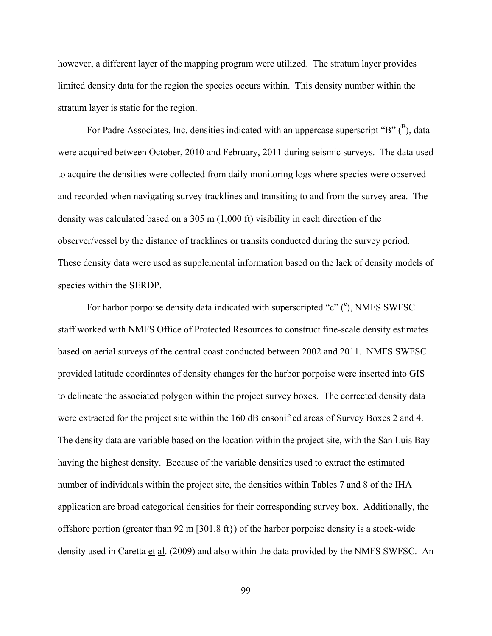however, a different layer of the mapping program were utilized. The stratum layer provides limited density data for the region the species occurs within. This density number within the stratum layer is static for the region.

For Padre Associates, Inc. densities indicated with an uppercase superscript "B"  $(^{B})$ , data were acquired between October, 2010 and February, 2011 during seismic surveys. The data used to acquire the densities were collected from daily monitoring logs where species were observed and recorded when navigating survey tracklines and transiting to and from the survey area. The density was calculated based on a 305 m (1,000 ft) visibility in each direction of the observer/vessel by the distance of tracklines or transits conducted during the survey period. These density data were used as supplemental information based on the lack of density models of species within the SERDP.

For harbor porpoise density data indicated with superscripted "c" (°), NMFS SWFSC staff worked with NMFS Office of Protected Resources to construct fine-scale density estimates based on aerial surveys of the central coast conducted between 2002 and 2011. NMFS SWFSC provided latitude coordinates of density changes for the harbor porpoise were inserted into GIS to delineate the associated polygon within the project survey boxes. The corrected density data were extracted for the project site within the 160 dB ensonified areas of Survey Boxes 2 and 4. The density data are variable based on the location within the project site, with the San Luis Bay having the highest density. Because of the variable densities used to extract the estimated number of individuals within the project site, the densities within Tables 7 and 8 of the IHA application are broad categorical densities for their corresponding survey box. Additionally, the offshore portion (greater than 92 m [301.8 ft}) of the harbor porpoise density is a stock-wide density used in Caretta et al. (2009) and also within the data provided by the NMFS SWFSC. An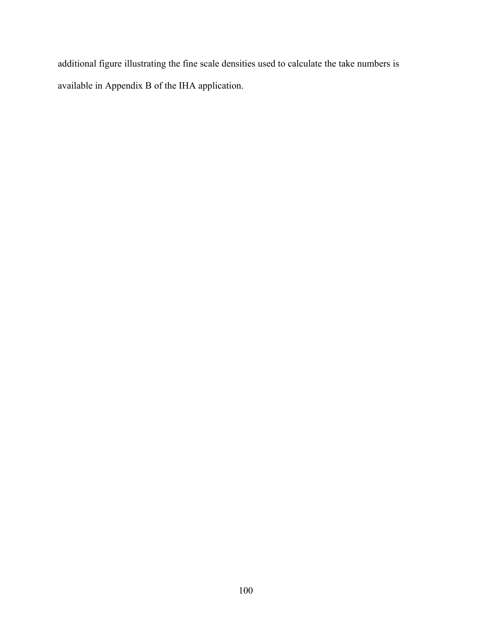additional figure illustrating the fine scale densities used to calculate the take numbers is available in Appendix B of the IHA application.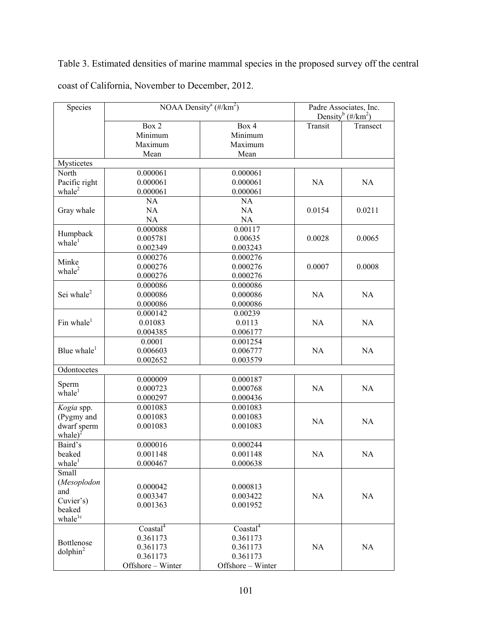Table 3. Estimated densities of marine mammal species in the proposed survey off the central coast of California, November to December, 2012.

| Species                       | NOAA Density <sup>a</sup> (#/km <sup>2</sup> ) |                             | Padre Associates, Inc.<br>Density <sup>b</sup> (#/km <sup>2</sup> ) |           |
|-------------------------------|------------------------------------------------|-----------------------------|---------------------------------------------------------------------|-----------|
|                               | Box 2<br>Minimum<br>Maximum                    | Box 4<br>Minimum<br>Maximum | Transit                                                             | Transect  |
|                               | Mean                                           | Mean                        |                                                                     |           |
| Mysticetes                    |                                                |                             |                                                                     |           |
| North                         | 0.000061                                       | 0.000061                    |                                                                     |           |
| Pacific right                 | 0.000061                                       | 0.000061                    | <b>NA</b>                                                           | NA        |
| whale $^2$                    | 0.000061                                       | 0.000061                    |                                                                     |           |
|                               | NA                                             | NA                          |                                                                     |           |
| Gray whale                    | <b>NA</b>                                      | <b>NA</b>                   | 0.0154                                                              | 0.0211    |
|                               | NA                                             | NA                          |                                                                     |           |
| Humpback                      | 0.000088                                       | 0.00117                     |                                                                     |           |
| $\text{whale}^1$              | 0.005781                                       | 0.00635                     | 0.0028                                                              | 0.0065    |
|                               | 0.002349                                       | 0.003243                    |                                                                     |           |
| Minke                         | 0.000276                                       | 0.000276                    |                                                                     |           |
| whale $^2$                    | 0.000276                                       | 0.000276                    | 0.0007                                                              | 0.0008    |
|                               | 0.000276                                       | 0.000276                    |                                                                     |           |
|                               | 0.000086                                       | 0.000086                    |                                                                     |           |
| Sei whale <sup>2</sup>        | 0.000086                                       | 0.000086                    | <b>NA</b>                                                           | NA        |
|                               | 0.000086                                       | 0.000086                    |                                                                     |           |
| Fin whale $1$                 | 0.000142                                       | 0.00239<br>0.0113           |                                                                     |           |
|                               | 0.01083                                        |                             | <b>NA</b>                                                           | NA        |
|                               | 0.004385<br>0.0001                             | 0.006177<br>0.001254        |                                                                     |           |
| Blue whale $1$                | 0.006603                                       | 0.006777                    | <b>NA</b>                                                           | NA        |
|                               | 0.002652                                       | 0.003579                    |                                                                     |           |
| Odontocetes                   |                                                |                             |                                                                     |           |
|                               | 0.000009                                       | 0.000187                    |                                                                     |           |
| Sperm                         | 0.000723                                       | 0.000768                    | NA                                                                  | NA        |
| $\text{whale}^1$              | 0.000297                                       | 0.000436                    |                                                                     |           |
| Kogia spp.                    | 0.001083                                       | 0.001083                    |                                                                     |           |
| (Pygmy and                    | 0.001083                                       | 0.001083                    |                                                                     |           |
| dwarf sperm                   | 0.001083                                       | 0.001083                    | <b>NA</b>                                                           | <b>NA</b> |
| $\text{while}\right)^2$       |                                                |                             |                                                                     |           |
| Baird's                       | 0.000016                                       | 0.000244                    |                                                                     |           |
| beaked                        | 0.001148                                       | 0.001148                    | <b>NA</b>                                                           | NA        |
| whale <sup>1</sup>            | 0.000467                                       | 0.000638                    |                                                                     |           |
| Small                         |                                                |                             |                                                                     |           |
| (Mesoplodon                   | 0.000042                                       | 0.000813                    |                                                                     |           |
| and                           | 0.003347                                       | 0.003422                    | NA                                                                  | NA        |
| Cuvier's)                     | 0.001363                                       | 0.001952                    |                                                                     |           |
| beaked<br>whale <sup>1c</sup> |                                                |                             |                                                                     |           |
|                               | Coastal <sup>4</sup>                           | Coastal <sup>4</sup>        |                                                                     |           |
|                               | 0.361173                                       | 0.361173                    |                                                                     |           |
| Bottlenose                    | 0.361173                                       | 0.361173                    | NA                                                                  | NA        |
| $d$ olphin $^2$               | 0.361173                                       | 0.361173                    |                                                                     |           |
|                               | Offshore - Winter                              | Offshore - Winter           |                                                                     |           |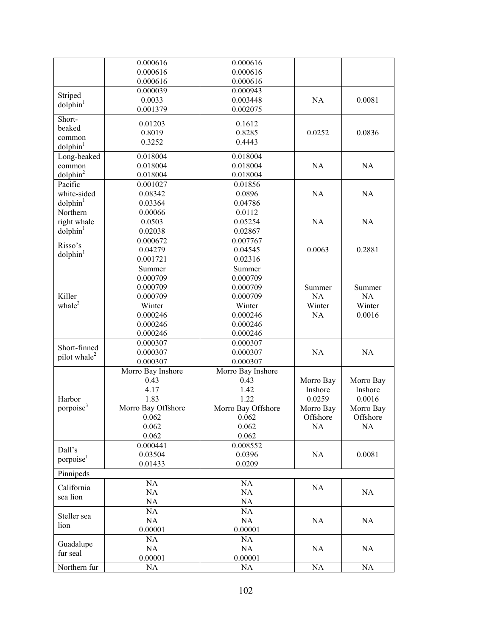|                          | 0.000616           | 0.000616           |           |           |
|--------------------------|--------------------|--------------------|-----------|-----------|
|                          | 0.000616           | 0.000616           |           |           |
|                          | 0.000616           | 0.000616           |           |           |
|                          | 0.000039           | 0.000943           |           |           |
| Striped                  | 0.0033             | 0.003448           | NA        | 0.0081    |
| $d$ olphin $1$           | 0.001379           | 0.002075           |           |           |
| Short-                   |                    |                    |           |           |
| beaked                   | 0.01203            | 0.1612             |           |           |
| common                   | 0.8019             | 0.8285             | 0.0252    | 0.0836    |
| $d$ olphin $1$           | 0.3252             | 0.4443             |           |           |
| Long-beaked              | 0.018004           | 0.018004           |           |           |
| common                   | 0.018004           | 0.018004           | NA        | NA        |
| $d$ olphin $^2$          | 0.018004           | 0.018004           |           |           |
| Pacific                  | 0.001027           | 0.01856            |           |           |
| white-sided              | 0.08342            | 0.0896             | NA        | NA        |
|                          |                    |                    |           |           |
| $d$ olphin $1$           | 0.03364            | 0.04786            |           |           |
| Northern                 | 0.00066            | 0.0112             |           |           |
| right whale              | 0.0503             | 0.05254            | NA        | NA        |
| dolphin <sup>1</sup>     | 0.02038            | 0.02867            |           |           |
| Risso's                  | 0.000672           | 0.007767           |           |           |
| $d$ olphin $1$           | 0.04279            | 0.04545            | 0.0063    | 0.2881    |
|                          | 0.001721           | 0.02316            |           |           |
|                          | Summer             | Summer             |           |           |
|                          | 0.000709           | 0.000709           |           |           |
|                          | 0.000709           | 0.000709           | Summer    | Summer    |
| Killer                   | 0.000709           | 0.000709           | NA        | <b>NA</b> |
| whale $^2$               | Winter             | Winter             | Winter    | Winter    |
|                          | 0.000246           | 0.000246           | NA        | 0.0016    |
|                          | 0.000246           | 0.000246           |           |           |
|                          | 0.000246           | 0.000246           |           |           |
| Short-finned             | 0.000307           | 0.000307           |           |           |
| pilot whale <sup>2</sup> | 0.000307           | 0.000307           | NA        | NA        |
|                          | 0.000307           | 0.000307           |           |           |
|                          | Morro Bay Inshore  | Morro Bay Inshore  |           |           |
|                          | 0.43               | 0.43               | Morro Bay | Morro Bay |
|                          | 4.17               | 1.42               | Inshore   | Inshore   |
| Harbor                   | 1.83               | 1.22               | 0.0259    | 0.0016    |
| porpoise <sup>3</sup>    | Morro Bay Offshore | Morro Bay Offshore | Morro Bay | Morro Bay |
|                          | 0.062              | 0.062              | Offshore  | Offshore  |
|                          | 0.062              | 0.062              | NA        | NA        |
|                          | 0.062              | 0.062              |           |           |
|                          | 0.000441           | 0.008552           |           |           |
| Dall's                   | 0.03504            | 0.0396             | NA        | 0.0081    |
| porpoise <sup>1</sup>    | 0.01433            | 0.0209             |           |           |
| Pinnipeds                |                    |                    |           |           |
|                          | NA                 | NA                 |           |           |
| California               | NA                 | NA                 | NA        | NA        |
| sea lion                 | NA                 | NA                 |           |           |
|                          | NA                 | NA                 |           |           |
| Steller sea              | NA                 | NA                 | NA        | NA        |
| lion                     | 0.00001            | 0.00001            |           |           |
|                          | NA                 | <b>NA</b>          |           |           |
| Guadalupe                | NA                 | NA                 | NA        | NA        |
| fur seal                 | 0.00001            | 0.00001            |           |           |
| Northern fur             | <b>NA</b>          | NA                 | NA        | NA        |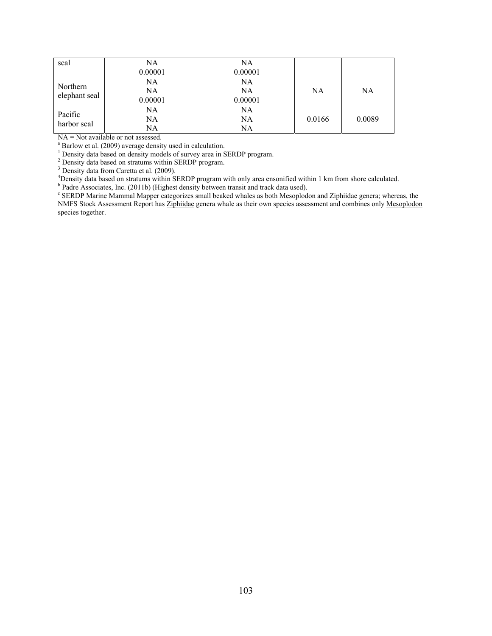| seal                      | NA      | NA      |        |           |
|---------------------------|---------|---------|--------|-----------|
|                           | 0.00001 | 0.00001 |        |           |
| Northern<br>elephant seal | NA      | NA      |        |           |
|                           | NA      | NA      | NA     | <b>NA</b> |
|                           | 0.00001 | 0.00001 |        |           |
| Pacific<br>harbor seal    | NA      | NA      |        |           |
|                           | NA      | NA      | 0.0166 | 0.0089    |
|                           | NA      | NA      |        |           |

NA = Not available or not assessed.

<sup>a</sup> Barlow et al. (2009) average density used in calculation.

<sup>a</sup> Barlow <u>et al.</u> (2009) average density used in calculation.<br><sup>1</sup> Density data based on density models of survey area in SERDP program.<br><sup>2</sup> Density data based on stratums within SERDP program.

<sup>3</sup> Density data from Caretta <u>et al</u>. (2009).<br><sup>4</sup> Density data based on stratums within S1

<sup>4</sup>Density data based on stratums within SERDP program with only area ensonified within 1 km from shore calculated. **b** Bodra Associates, Inc. (2011b) (Highest density between transit and track data used)

<sup>b</sup> Padre Associates, Inc. (2011b) (Highest density between transit and track data used).<br><sup>c</sup> SERDP Marine Mammal Mapper categorizes small beaked whales as both <u>Mesoplodon</u> and Ziphiidae genera; whereas, the NMFS Stock Assessment Report has Ziphiidae genera whale as their own species assessment and combines only Mesoplodon species together.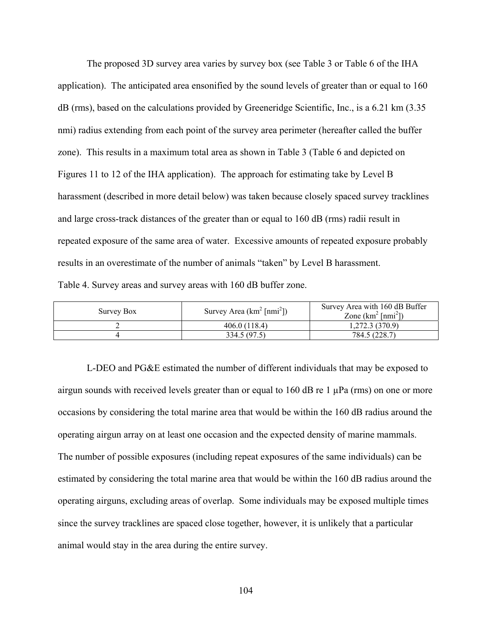The proposed 3D survey area varies by survey box (see Table 3 or Table 6 of the IHA application). The anticipated area ensonified by the sound levels of greater than or equal to 160 dB (rms), based on the calculations provided by Greeneridge Scientific, Inc., is a 6.21 km (3.35 nmi) radius extending from each point of the survey area perimeter (hereafter called the buffer zone). This results in a maximum total area as shown in Table 3 (Table 6 and depicted on Figures 11 to 12 of the IHA application). The approach for estimating take by Level B harassment (described in more detail below) was taken because closely spaced survey tracklines and large cross-track distances of the greater than or equal to 160 dB (rms) radii result in repeated exposure of the same area of water. Excessive amounts of repeated exposure probably results in an overestimate of the number of animals "taken" by Level B harassment. Table 4. Survey areas and survey areas with 160 dB buffer zone.

| Survey Box | Survey Area $(km^2 \text{[nmi}^2))$ | Survey Area with 160 dB Buffer<br>Zone $(km^2 \text{[nmi}^2))$ |
|------------|-------------------------------------|----------------------------------------------------------------|
|            | 406.0 (118.4)                       | 1.272.3(370.9)                                                 |
|            | 334.5 (97.5)                        | 784.5 (228.7)                                                  |

L-DEO and PG&E estimated the number of different individuals that may be exposed to airgun sounds with received levels greater than or equal to 160 dB re 1  $\mu$ Pa (rms) on one or more occasions by considering the total marine area that would be within the 160 dB radius around the operating airgun array on at least one occasion and the expected density of marine mammals. The number of possible exposures (including repeat exposures of the same individuals) can be estimated by considering the total marine area that would be within the 160 dB radius around the operating airguns, excluding areas of overlap. Some individuals may be exposed multiple times since the survey tracklines are spaced close together, however, it is unlikely that a particular animal would stay in the area during the entire survey.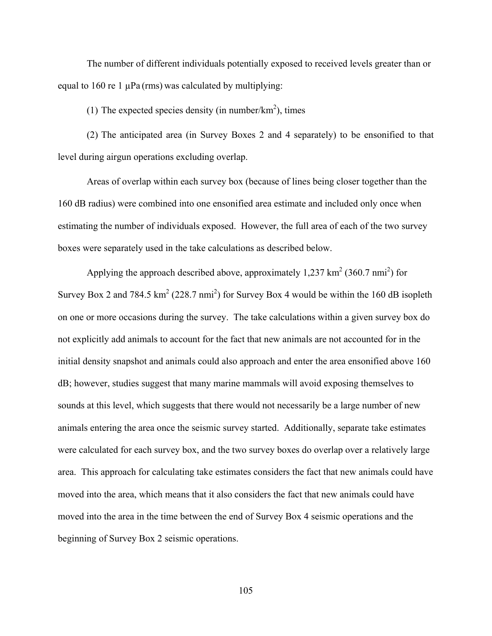The number of different individuals potentially exposed to received levels greater than or equal to 160 re 1  $\mu$ Pa (rms) was calculated by multiplying:

(1) The expected species density (in number/ $km<sup>2</sup>$ ), times

(2) The anticipated area (in Survey Boxes 2 and 4 separately) to be ensonified to that level during airgun operations excluding overlap.

Areas of overlap within each survey box (because of lines being closer together than the 160 dB radius) were combined into one ensonified area estimate and included only once when estimating the number of individuals exposed. However, the full area of each of the two survey boxes were separately used in the take calculations as described below.

Applying the approach described above, approximately  $1,237 \text{ km}^2 (360.7 \text{ nm}^2)$  for Survey Box 2 and 784.5  $km^2$  (228.7 nmi<sup>2</sup>) for Survey Box 4 would be within the 160 dB isopleth on one or more occasions during the survey. The take calculations within a given survey box do not explicitly add animals to account for the fact that new animals are not accounted for in the initial density snapshot and animals could also approach and enter the area ensonified above 160 dB; however, studies suggest that many marine mammals will avoid exposing themselves to sounds at this level, which suggests that there would not necessarily be a large number of new animals entering the area once the seismic survey started. Additionally, separate take estimates were calculated for each survey box, and the two survey boxes do overlap over a relatively large area. This approach for calculating take estimates considers the fact that new animals could have moved into the area, which means that it also considers the fact that new animals could have moved into the area in the time between the end of Survey Box 4 seismic operations and the beginning of Survey Box 2 seismic operations.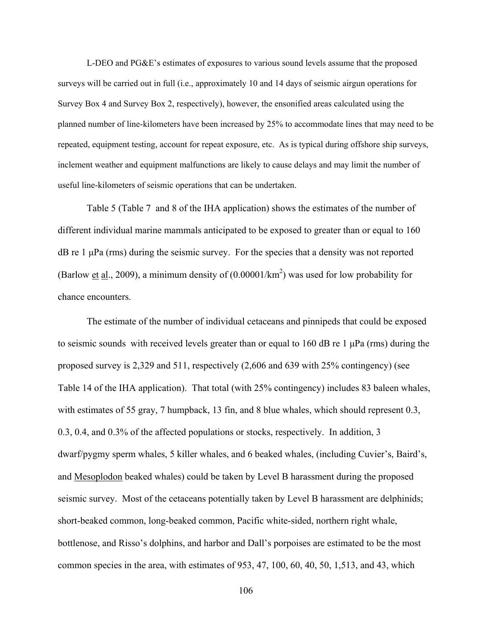L-DEO and PG&E's estimates of exposures to various sound levels assume that the proposed surveys will be carried out in full (i.e., approximately 10 and 14 days of seismic airgun operations for Survey Box 4 and Survey Box 2, respectively), however, the ensonified areas calculated using the planned number of line-kilometers have been increased by 25% to accommodate lines that may need to be repeated, equipment testing, account for repeat exposure, etc. As is typical during offshore ship surveys, inclement weather and equipment malfunctions are likely to cause delays and may limit the number of useful line-kilometers of seismic operations that can be undertaken.

Table 5 (Table 7 and 8 of the IHA application) shows the estimates of the number of different individual marine mammals anticipated to be exposed to greater than or equal to 160 dB re 1 μPa (rms) during the seismic survey. For the species that a density was not reported (Barlow et al., 2009), a minimum density of  $(0.00001/km^2)$  was used for low probability for chance encounters.

The estimate of the number of individual cetaceans and pinnipeds that could be exposed to seismic sounds with received levels greater than or equal to 160 dB re 1  $\mu$ Pa (rms) during the proposed survey is 2,329 and 511, respectively (2,606 and 639 with 25% contingency) (see Table 14 of the IHA application). That total (with 25% contingency) includes 83 baleen whales, with estimates of 55 gray, 7 humpback, 13 fin, and 8 blue whales, which should represent 0.3, 0.3, 0.4, and 0.3% of the affected populations or stocks, respectively. In addition, 3 dwarf/pygmy sperm whales, 5 killer whales, and 6 beaked whales, (including Cuvier's, Baird's, and Mesoplodon beaked whales) could be taken by Level B harassment during the proposed seismic survey. Most of the cetaceans potentially taken by Level B harassment are delphinids; short-beaked common, long-beaked common, Pacific white-sided, northern right whale, bottlenose, and Risso's dolphins, and harbor and Dall's porpoises are estimated to be the most common species in the area, with estimates of 953, 47, 100, 60, 40, 50, 1,513, and 43, which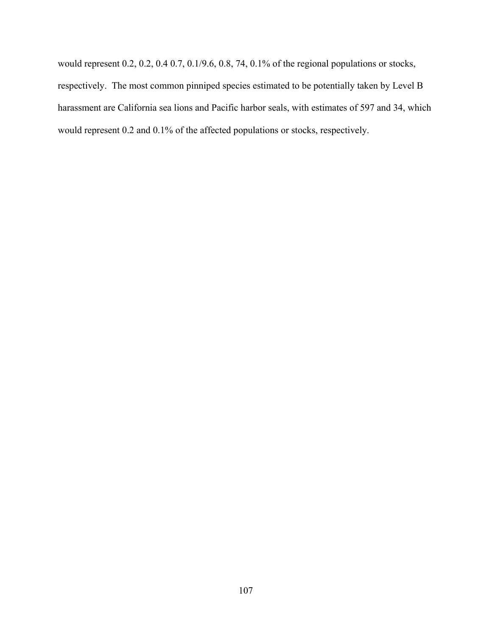would represent 0.2, 0.2, 0.4 0.7, 0.1/9.6, 0.8, 74, 0.1% of the regional populations or stocks, respectively. The most common pinniped species estimated to be potentially taken by Level B harassment are California sea lions and Pacific harbor seals, with estimates of 597 and 34, which would represent 0.2 and 0.1% of the affected populations or stocks, respectively.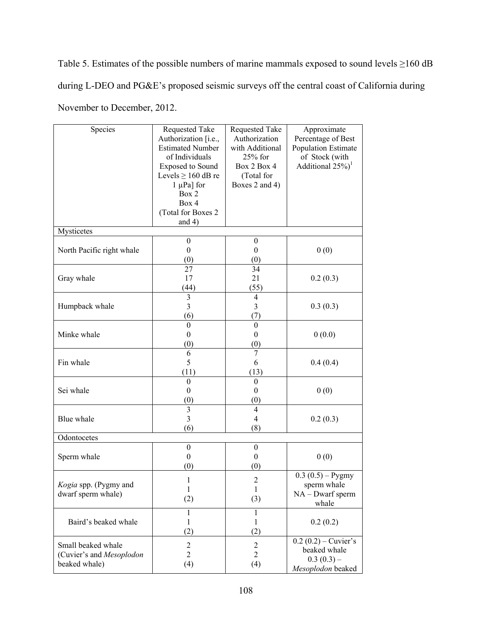Table 5. Estimates of the possible numbers of marine mammals exposed to sound levels ≥160 dB during L-DEO and PG&E's proposed seismic surveys off the central coast of California during November to December, 2012.

| Species                                                         | Requested Take<br>Authorization [i.e.,<br><b>Estimated Number</b><br>of Individuals<br><b>Exposed to Sound</b><br>Levels $\geq 160$ dB re<br>$1 \mu Pa$ ] for<br>Box 2 | Requested Take<br>Authorization<br>with Additional<br>25% for<br>Box 2 Box 4<br>(Total for<br>Boxes 2 and 4) | Approximate<br>Percentage of Best<br>Population Estimate<br>of Stock (with<br>Additional $25\%$ <sup>1</sup> |
|-----------------------------------------------------------------|------------------------------------------------------------------------------------------------------------------------------------------------------------------------|--------------------------------------------------------------------------------------------------------------|--------------------------------------------------------------------------------------------------------------|
|                                                                 | Box 4<br>(Total for Boxes 2)<br>and $4)$                                                                                                                               |                                                                                                              |                                                                                                              |
| Mysticetes                                                      |                                                                                                                                                                        |                                                                                                              |                                                                                                              |
| North Pacific right whale                                       | $\boldsymbol{0}$<br>$\boldsymbol{0}$<br>(0)                                                                                                                            | $\boldsymbol{0}$<br>$\boldsymbol{0}$<br>(0)                                                                  | 0(0)                                                                                                         |
| Gray whale                                                      | 27<br>17<br>(44)                                                                                                                                                       | 34<br>21<br>(55)                                                                                             | 0.2(0.3)                                                                                                     |
| Humpback whale                                                  | $\overline{\mathbf{3}}$<br>3<br>(6)                                                                                                                                    | $\overline{4}$<br>3<br>(7)                                                                                   | 0.3(0.3)                                                                                                     |
| Minke whale                                                     | $\boldsymbol{0}$<br>$\boldsymbol{0}$<br>(0)                                                                                                                            | $\boldsymbol{0}$<br>$\boldsymbol{0}$<br>(0)                                                                  | 0(0.0)                                                                                                       |
| Fin whale                                                       | 6<br>5<br>(11)                                                                                                                                                         | 7<br>6<br>(13)                                                                                               | 0.4(0.4)                                                                                                     |
| Sei whale                                                       | $\boldsymbol{0}$<br>$\boldsymbol{0}$<br>(0)                                                                                                                            | $\boldsymbol{0}$<br>$\boldsymbol{0}$<br>(0)                                                                  | 0(0)                                                                                                         |
| Blue whale                                                      | 3<br>$\overline{\mathbf{3}}$<br>(6)                                                                                                                                    | $\overline{4}$<br>$\overline{4}$<br>(8)                                                                      | 0.2(0.3)                                                                                                     |
| Odontocetes                                                     |                                                                                                                                                                        |                                                                                                              |                                                                                                              |
| Sperm whale                                                     | $\mathbf{0}$<br>$\boldsymbol{0}$<br>(0)                                                                                                                                | $\boldsymbol{0}$<br>$\boldsymbol{0}$<br>(0)                                                                  | 0(0)                                                                                                         |
| Kogia spp. (Pygmy and<br>dwarf sperm whale)                     | 1<br>1<br>(2)                                                                                                                                                          | $\overline{2}$<br>1<br>(3)                                                                                   | $0.3(0.5) - Pygmy$<br>sperm whale<br>$NA - Dwarf$ sperm<br>whale                                             |
| Baird's beaked whale                                            | $\mathbf{1}$<br>1<br>(2)                                                                                                                                               | $\mathbf{1}$<br>1<br>(2)                                                                                     | 0.2(0.2)                                                                                                     |
| Small beaked whale<br>(Cuvier's and Mesoplodon<br>beaked whale) | $\overline{2}$<br>$\overline{2}$<br>(4)                                                                                                                                | $\boldsymbol{2}$<br>$\overline{2}$<br>(4)                                                                    | $0.2(0.2)$ – Cuvier's<br>beaked whale<br>$0.3(0.3)$ –<br>Mesoplodon beaked                                   |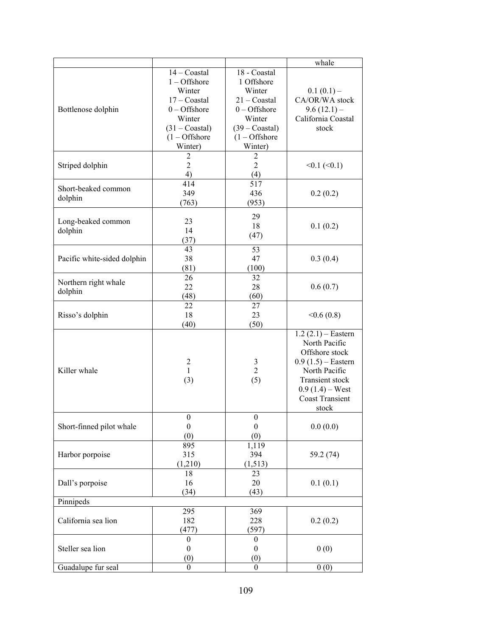|                             |                         |                         | whale                  |
|-----------------------------|-------------------------|-------------------------|------------------------|
|                             | $14 -$ Coastal          | 18 - Coastal            |                        |
|                             | $1 -$ Offshore          | 1 Offshore              |                        |
|                             | Winter                  | Winter                  | $0.1(0.1)$ –           |
|                             | $17 -$ Coastal          | $21 -$ Coastal          | CA/OR/WA stock         |
| Bottlenose dolphin          | $0$ – Offshore          | $0 -$ Offshore          | $9.6(12.1)$ –          |
|                             |                         |                         |                        |
|                             | Winter                  | Winter                  | California Coastal     |
|                             | $(31 - Coastal)$        | $(39 - Coastal)$        | stock                  |
|                             | $(1 - \text{Offshore})$ | $(1 - \text{Offshore})$ |                        |
|                             | Winter)                 | Winter)                 |                        |
|                             | $\overline{2}$          | $\overline{2}$          |                        |
| Striped dolphin             | $\overline{2}$          | $\overline{2}$          | $<0.1$ ( $<0.1$ )      |
|                             | 4)                      | (4)                     |                        |
| Short-beaked common         | 414                     | 517                     |                        |
|                             | 349                     | 436                     | 0.2(0.2)               |
| dolphin                     | (763)                   | (953)                   |                        |
|                             |                         |                         |                        |
| Long-beaked common          | 23                      | 29                      |                        |
| dolphin                     | 14                      | 18                      | 0.1(0.2)               |
|                             | (37)                    | (47)                    |                        |
|                             | 43                      | 53                      |                        |
| Pacific white-sided dolphin | 38                      | 47                      | 0.3(0.4)               |
|                             | (81)                    | (100)                   |                        |
|                             | 26                      | 32                      |                        |
| Northern right whale        | 22                      | 28                      |                        |
| dolphin                     |                         |                         | 0.6(0.7)               |
|                             | (48)                    | (60)                    |                        |
|                             | 22                      | 27                      |                        |
| Risso's dolphin             | 18                      | 23                      | <0.6(0.8)              |
|                             | (40)                    | (50)                    |                        |
|                             |                         |                         | $1.2(2.1)$ – Eastern   |
|                             |                         |                         | North Pacific          |
|                             |                         |                         | Offshore stock         |
|                             | $\overline{c}$          | 3                       | $0.9(1.5)$ – Eastern   |
| Killer whale                | $\mathbf{1}$            | $\overline{2}$          | North Pacific          |
|                             | (3)                     | (5)                     | Transient stock        |
|                             |                         |                         | $0.9(1.4) -$ West      |
|                             |                         |                         | <b>Coast Transient</b> |
|                             |                         |                         | stock                  |
|                             | $\boldsymbol{0}$        | $\boldsymbol{0}$        |                        |
| Short-finned pilot whale    | $\boldsymbol{0}$        | $\boldsymbol{0}$        | 0.0(0.0)               |
|                             | (0)                     | (0)                     |                        |
|                             | 895                     | 1,119                   |                        |
| Harbor porpoise             | 315                     | 394                     | 59.2 (74)              |
|                             | (1,210)                 | (1, 513)                |                        |
|                             |                         |                         |                        |
|                             | 18                      | 23                      |                        |
| Dall's porpoise             | 16                      | 20                      | 0.1(0.1)               |
|                             | (34)                    | (43)                    |                        |
| Pinnipeds                   |                         |                         |                        |
|                             | 295                     | 369                     |                        |
| California sea lion         | 182                     | 228                     | 0.2(0.2)               |
|                             | (477)                   | (597)                   |                        |
|                             | $\theta$                | 0                       |                        |
| Steller sea lion            | $\boldsymbol{0}$        | $\boldsymbol{0}$        | 0(0)                   |
|                             | (0)                     | (0)                     |                        |
| Guadalupe fur seal          | $\boldsymbol{0}$        | $\boldsymbol{0}$        | 0(0)                   |
|                             |                         |                         |                        |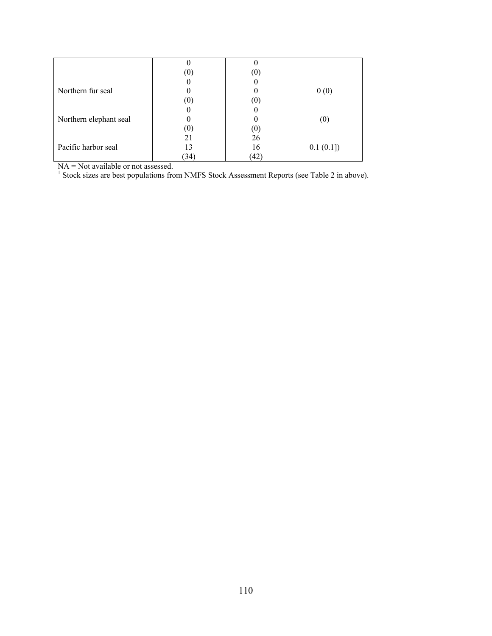|                        | $\left(0\right)$ | $\left( 0\right)$ |          |
|------------------------|------------------|-------------------|----------|
|                        |                  |                   |          |
| Northern fur seal      |                  |                   | 0(0)     |
|                        | (0)              | (O)               |          |
|                        |                  |                   |          |
| Northern elephant seal |                  |                   |          |
|                        | (0)              | (O)               |          |
| Pacific harbor seal    | 2 <sub>1</sub>   | 26                |          |
|                        |                  | 16                | 0.1(0.1] |
|                        | (34)             | (42)              |          |

NA = Not available or not assessed.<br><sup>1</sup> Stock sizes are best populations from NMFS Stock Assessment Reports (see Table 2 in above).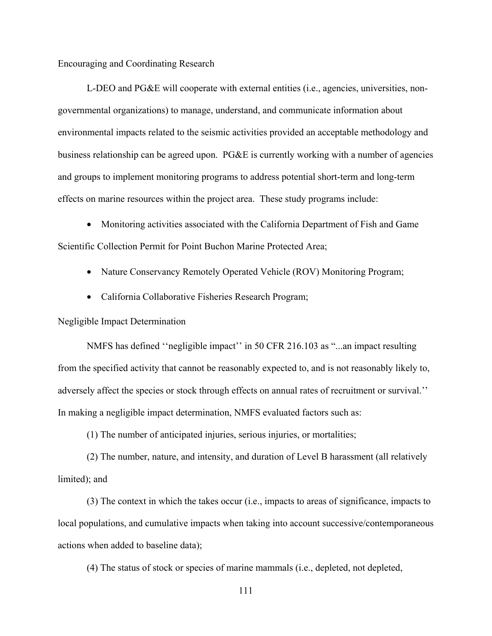## Encouraging and Coordinating Research

L-DEO and PG&E will cooperate with external entities (i.e., agencies, universities, nongovernmental organizations) to manage, understand, and communicate information about environmental impacts related to the seismic activities provided an acceptable methodology and business relationship can be agreed upon. PG&E is currently working with a number of agencies and groups to implement monitoring programs to address potential short-term and long-term effects on marine resources within the project area. These study programs include:

• Monitoring activities associated with the California Department of Fish and Game Scientific Collection Permit for Point Buchon Marine Protected Area;

- Nature Conservancy Remotely Operated Vehicle (ROV) Monitoring Program;
- California Collaborative Fisheries Research Program;

Negligible Impact Determination

NMFS has defined ''negligible impact'' in 50 CFR 216.103 as "...an impact resulting from the specified activity that cannot be reasonably expected to, and is not reasonably likely to, adversely affect the species or stock through effects on annual rates of recruitment or survival.'' In making a negligible impact determination, NMFS evaluated factors such as:

(1) The number of anticipated injuries, serious injuries, or mortalities;

(2) The number, nature, and intensity, and duration of Level B harassment (all relatively limited); and

(3) The context in which the takes occur (i.e., impacts to areas of significance, impacts to local populations, and cumulative impacts when taking into account successive/contemporaneous actions when added to baseline data);

(4) The status of stock or species of marine mammals (i.e., depleted, not depleted,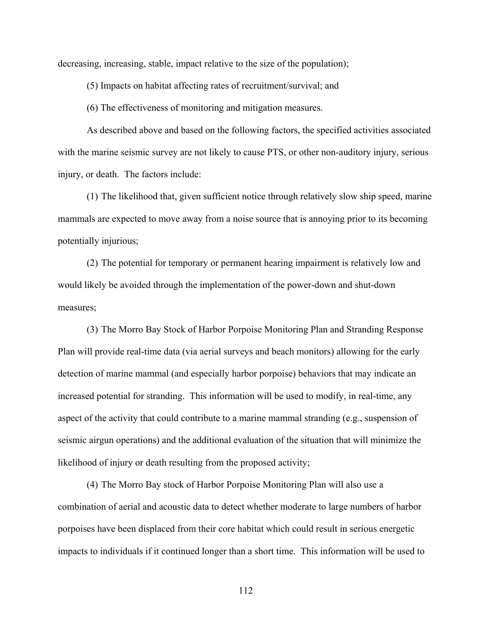decreasing, increasing, stable, impact relative to the size of the population);

(5) Impacts on habitat affecting rates of recruitment/survival; and

(6) The effectiveness of monitoring and mitigation measures.

As described above and based on the following factors, the specified activities associated with the marine seismic survey are not likely to cause PTS, or other non-auditory injury, serious injury, or death. The factors include:

(1) The likelihood that, given sufficient notice through relatively slow ship speed, marine mammals are expected to move away from a noise source that is annoying prior to its becoming potentially injurious;

(2) The potential for temporary or permanent hearing impairment is relatively low and would likely be avoided through the implementation of the power-down and shut-down measures;

(3) The Morro Bay Stock of Harbor Porpoise Monitoring Plan and Stranding Response Plan will provide real-time data (via aerial surveys and beach monitors) allowing for the early detection of marine mammal (and especially harbor porpoise) behaviors that may indicate an increased potential for stranding. This information will be used to modify, in real-time, any aspect of the activity that could contribute to a marine mammal stranding (e.g., suspension of seismic airgun operations) and the additional evaluation of the situation that will minimize the likelihood of injury or death resulting from the proposed activity;

(4) The Morro Bay stock of Harbor Porpoise Monitoring Plan will also use a combination of aerial and acoustic data to detect whether moderate to large numbers of harbor porpoises have been displaced from their core habitat which could result in serious energetic impacts to individuals if it continued longer than a short time. This information will be used to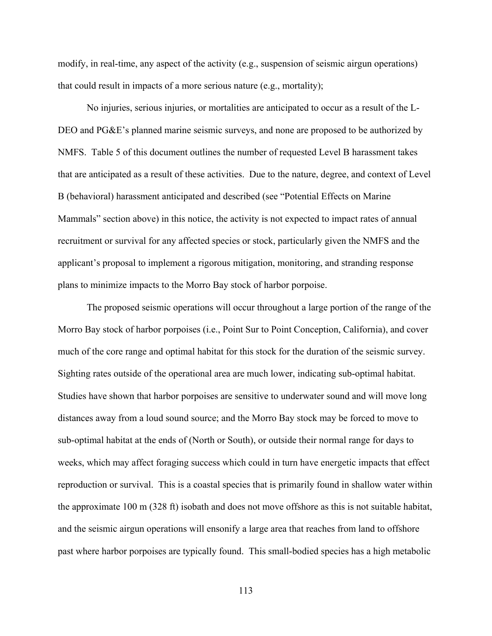modify, in real-time, any aspect of the activity (e.g., suspension of seismic airgun operations) that could result in impacts of a more serious nature (e.g., mortality);

No injuries, serious injuries, or mortalities are anticipated to occur as a result of the L-DEO and PG&E's planned marine seismic surveys, and none are proposed to be authorized by NMFS. Table 5 of this document outlines the number of requested Level B harassment takes that are anticipated as a result of these activities. Due to the nature, degree, and context of Level B (behavioral) harassment anticipated and described (see "Potential Effects on Marine Mammals" section above) in this notice, the activity is not expected to impact rates of annual recruitment or survival for any affected species or stock, particularly given the NMFS and the applicant's proposal to implement a rigorous mitigation, monitoring, and stranding response plans to minimize impacts to the Morro Bay stock of harbor porpoise.

The proposed seismic operations will occur throughout a large portion of the range of the Morro Bay stock of harbor porpoises (i.e., Point Sur to Point Conception, California), and cover much of the core range and optimal habitat for this stock for the duration of the seismic survey. Sighting rates outside of the operational area are much lower, indicating sub-optimal habitat. Studies have shown that harbor porpoises are sensitive to underwater sound and will move long distances away from a loud sound source; and the Morro Bay stock may be forced to move to sub-optimal habitat at the ends of (North or South), or outside their normal range for days to weeks, which may affect foraging success which could in turn have energetic impacts that effect reproduction or survival. This is a coastal species that is primarily found in shallow water within the approximate 100 m (328 ft) isobath and does not move offshore as this is not suitable habitat, and the seismic airgun operations will ensonify a large area that reaches from land to offshore past where harbor porpoises are typically found. This small-bodied species has a high metabolic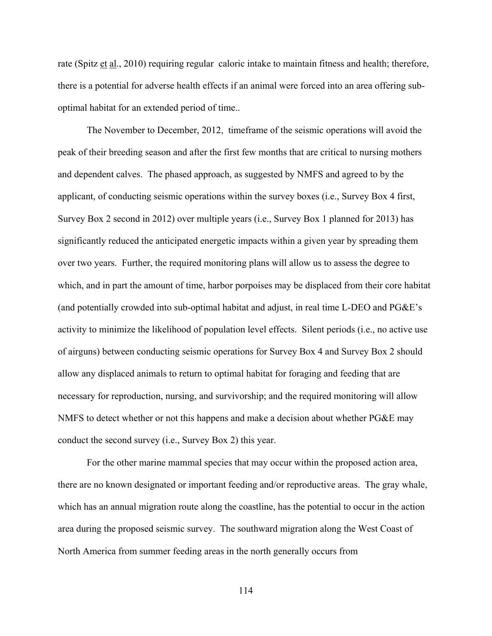rate (Spitz et al., 2010) requiring regular caloric intake to maintain fitness and health; therefore, there is a potential for adverse health effects if an animal were forced into an area offering suboptimal habitat for an extended period of time..

The November to December, 2012, timeframe of the seismic operations will avoid the peak of their breeding season and after the first few months that are critical to nursing mothers and dependent calves. The phased approach, as suggested by NMFS and agreed to by the applicant, of conducting seismic operations within the survey boxes (i.e., Survey Box 4 first, Survey Box 2 second in 2012) over multiple years (i.e., Survey Box 1 planned for 2013) has significantly reduced the anticipated energetic impacts within a given year by spreading them over two years. Further, the required monitoring plans will allow us to assess the degree to which, and in part the amount of time, harbor porpoises may be displaced from their core habitat (and potentially crowded into sub-optimal habitat and adjust, in real time L-DEO and PG&E's activity to minimize the likelihood of population level effects. Silent periods (i.e., no active use of airguns) between conducting seismic operations for Survey Box 4 and Survey Box 2 should allow any displaced animals to return to optimal habitat for foraging and feeding that are necessary for reproduction, nursing, and survivorship; and the required monitoring will allow NMFS to detect whether or not this happens and make a decision about whether PG&E may conduct the second survey (i.e., Survey Box 2) this year.

For the other marine mammal species that may occur within the proposed action area, there are no known designated or important feeding and/or reproductive areas. The gray whale, which has an annual migration route along the coastline, has the potential to occur in the action area during the proposed seismic survey. The southward migration along the West Coast of North America from summer feeding areas in the north generally occurs from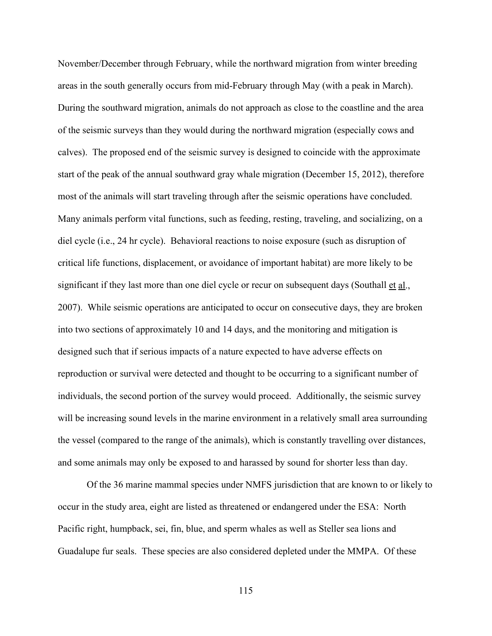November/December through February, while the northward migration from winter breeding areas in the south generally occurs from mid-February through May (with a peak in March). During the southward migration, animals do not approach as close to the coastline and the area of the seismic surveys than they would during the northward migration (especially cows and calves). The proposed end of the seismic survey is designed to coincide with the approximate start of the peak of the annual southward gray whale migration (December 15, 2012), therefore most of the animals will start traveling through after the seismic operations have concluded. Many animals perform vital functions, such as feeding, resting, traveling, and socializing, on a diel cycle (i.e., 24 hr cycle). Behavioral reactions to noise exposure (such as disruption of critical life functions, displacement, or avoidance of important habitat) are more likely to be significant if they last more than one diel cycle or recur on subsequent days (Southall et al., 2007). While seismic operations are anticipated to occur on consecutive days, they are broken into two sections of approximately 10 and 14 days, and the monitoring and mitigation is designed such that if serious impacts of a nature expected to have adverse effects on reproduction or survival were detected and thought to be occurring to a significant number of individuals, the second portion of the survey would proceed. Additionally, the seismic survey will be increasing sound levels in the marine environment in a relatively small area surrounding the vessel (compared to the range of the animals), which is constantly travelling over distances, and some animals may only be exposed to and harassed by sound for shorter less than day.

Of the 36 marine mammal species under NMFS jurisdiction that are known to or likely to occur in the study area, eight are listed as threatened or endangered under the ESA: North Pacific right, humpback, sei, fin, blue, and sperm whales as well as Steller sea lions and Guadalupe fur seals. These species are also considered depleted under the MMPA. Of these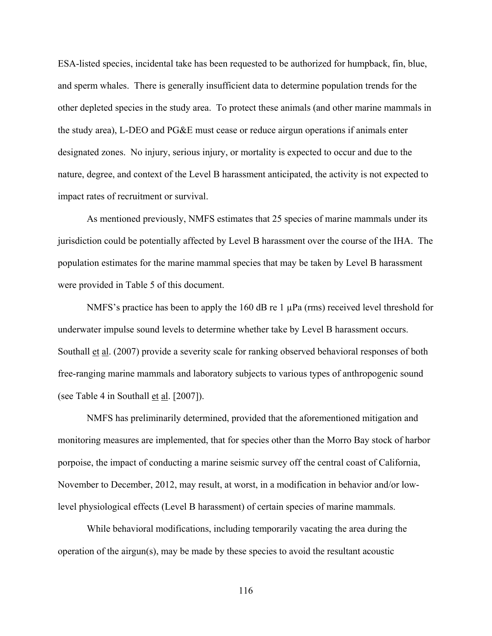ESA-listed species, incidental take has been requested to be authorized for humpback, fin, blue, and sperm whales. There is generally insufficient data to determine population trends for the other depleted species in the study area. To protect these animals (and other marine mammals in the study area), L-DEO and PG&E must cease or reduce airgun operations if animals enter designated zones. No injury, serious injury, or mortality is expected to occur and due to the nature, degree, and context of the Level B harassment anticipated, the activity is not expected to impact rates of recruitment or survival.

As mentioned previously, NMFS estimates that 25 species of marine mammals under its jurisdiction could be potentially affected by Level B harassment over the course of the IHA. The population estimates for the marine mammal species that may be taken by Level B harassment were provided in Table 5 of this document.

NMFS's practice has been to apply the 160 dB re 1  $\mu$ Pa (rms) received level threshold for underwater impulse sound levels to determine whether take by Level B harassment occurs. Southall et al. (2007) provide a severity scale for ranking observed behavioral responses of both free-ranging marine mammals and laboratory subjects to various types of anthropogenic sound (see Table 4 in Southall et al. [2007]).

NMFS has preliminarily determined, provided that the aforementioned mitigation and monitoring measures are implemented, that for species other than the Morro Bay stock of harbor porpoise, the impact of conducting a marine seismic survey off the central coast of California, November to December, 2012, may result, at worst, in a modification in behavior and/or lowlevel physiological effects (Level B harassment) of certain species of marine mammals.

While behavioral modifications, including temporarily vacating the area during the operation of the airgun(s), may be made by these species to avoid the resultant acoustic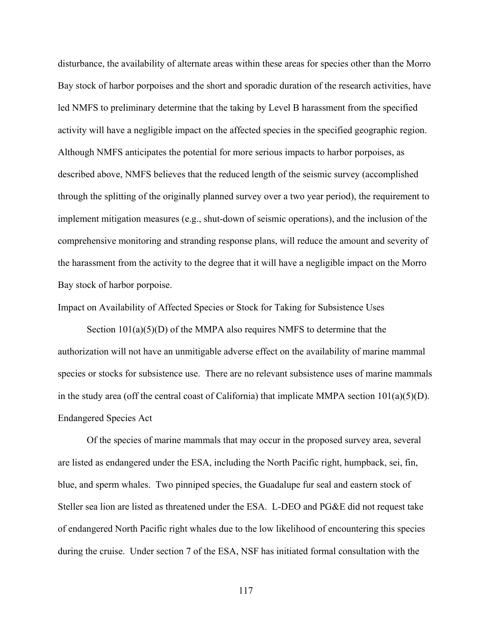disturbance, the availability of alternate areas within these areas for species other than the Morro Bay stock of harbor porpoises and the short and sporadic duration of the research activities, have led NMFS to preliminary determine that the taking by Level B harassment from the specified activity will have a negligible impact on the affected species in the specified geographic region. Although NMFS anticipates the potential for more serious impacts to harbor porpoises, as described above, NMFS believes that the reduced length of the seismic survey (accomplished through the splitting of the originally planned survey over a two year period), the requirement to implement mitigation measures (e.g., shut-down of seismic operations), and the inclusion of the comprehensive monitoring and stranding response plans, will reduce the amount and severity of the harassment from the activity to the degree that it will have a negligible impact on the Morro Bay stock of harbor porpoise.

Impact on Availability of Affected Species or Stock for Taking for Subsistence Uses

Section  $101(a)(5)(D)$  of the MMPA also requires NMFS to determine that the authorization will not have an unmitigable adverse effect on the availability of marine mammal species or stocks for subsistence use. There are no relevant subsistence uses of marine mammals in the study area (off the central coast of California) that implicate MMPA section  $101(a)(5)(D)$ . Endangered Species Act

Of the species of marine mammals that may occur in the proposed survey area, several are listed as endangered under the ESA, including the North Pacific right, humpback, sei, fin, blue, and sperm whales. Two pinniped species, the Guadalupe fur seal and eastern stock of Steller sea lion are listed as threatened under the ESA. L-DEO and PG&E did not request take of endangered North Pacific right whales due to the low likelihood of encountering this species during the cruise. Under section 7 of the ESA, NSF has initiated formal consultation with the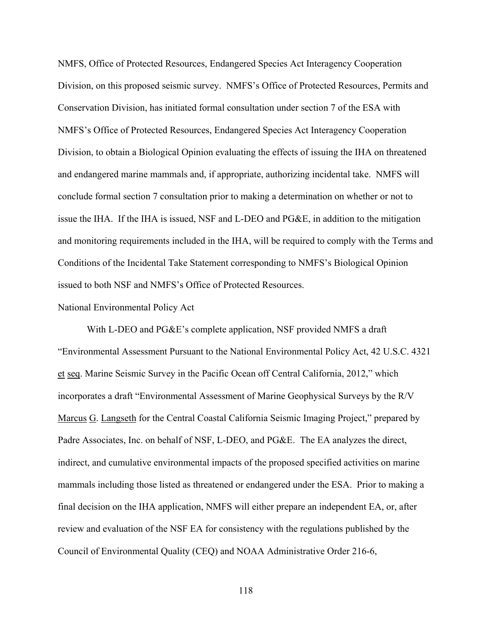NMFS, Office of Protected Resources, Endangered Species Act Interagency Cooperation Division, on this proposed seismic survey. NMFS's Office of Protected Resources, Permits and Conservation Division, has initiated formal consultation under section 7 of the ESA with NMFS's Office of Protected Resources, Endangered Species Act Interagency Cooperation Division, to obtain a Biological Opinion evaluating the effects of issuing the IHA on threatened and endangered marine mammals and, if appropriate, authorizing incidental take. NMFS will conclude formal section 7 consultation prior to making a determination on whether or not to issue the IHA. If the IHA is issued, NSF and L-DEO and PG&E, in addition to the mitigation and monitoring requirements included in the IHA, will be required to comply with the Terms and Conditions of the Incidental Take Statement corresponding to NMFS's Biological Opinion issued to both NSF and NMFS's Office of Protected Resources.

## National Environmental Policy Act

With L-DEO and PG&E's complete application, NSF provided NMFS a draft "Environmental Assessment Pursuant to the National Environmental Policy Act, 42 U.S.C. 4321 et seq. Marine Seismic Survey in the Pacific Ocean off Central California, 2012," which incorporates a draft "Environmental Assessment of Marine Geophysical Surveys by the R/V Marcus G. Langseth for the Central Coastal California Seismic Imaging Project," prepared by Padre Associates, Inc. on behalf of NSF, L-DEO, and PG&E. The EA analyzes the direct, indirect, and cumulative environmental impacts of the proposed specified activities on marine mammals including those listed as threatened or endangered under the ESA. Prior to making a final decision on the IHA application, NMFS will either prepare an independent EA, or, after review and evaluation of the NSF EA for consistency with the regulations published by the Council of Environmental Quality (CEQ) and NOAA Administrative Order 216-6,